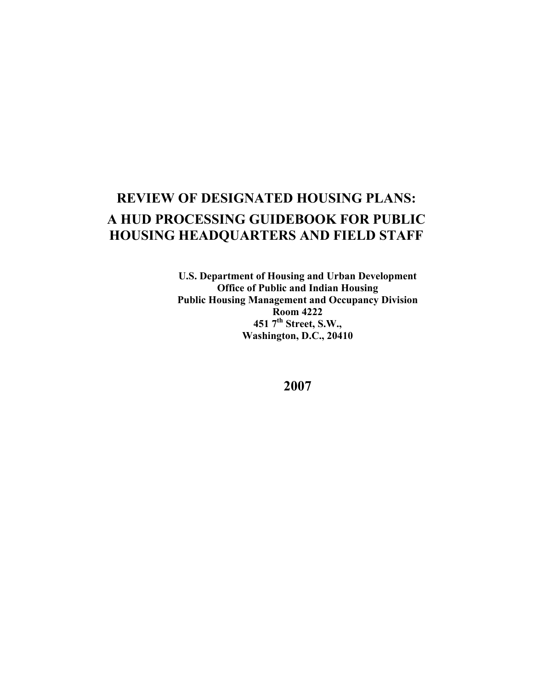# **REVIEW OF DESIGNATED HOUSING PLANS: A HUD PROCESSING GUIDEBOOK FOR PUBLIC HOUSING HEADQUARTERS AND FIELD STAFF**

**U.S. Department of Housing and Urban Development Office of Public and Indian Housing Public Housing Management and Occupancy Division Room 4222 451 7th Street, S.W., Washington, D.C., 20410** 

**2007**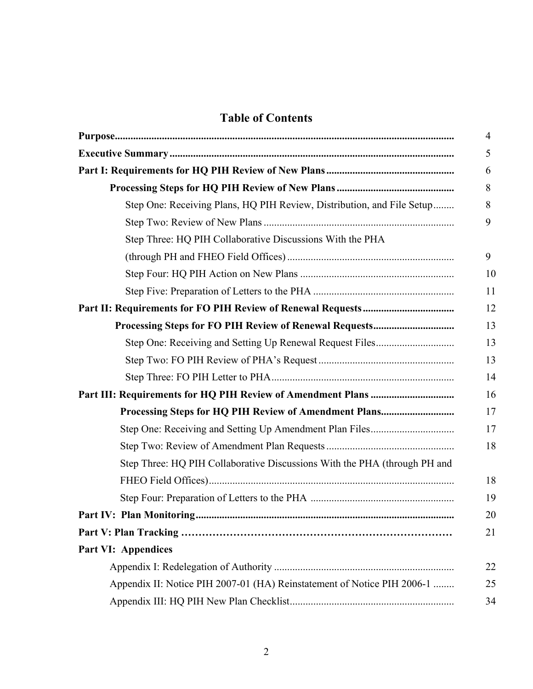# **Table of Contents**

|                                                                           | 4  |
|---------------------------------------------------------------------------|----|
|                                                                           | 5  |
|                                                                           | 6  |
|                                                                           | 8  |
| Step One: Receiving Plans, HQ PIH Review, Distribution, and File Setup    | 8  |
|                                                                           | 9  |
| Step Three: HQ PIH Collaborative Discussions With the PHA                 |    |
|                                                                           | 9  |
|                                                                           | 10 |
|                                                                           | 11 |
|                                                                           | 12 |
|                                                                           | 13 |
|                                                                           | 13 |
|                                                                           | 13 |
|                                                                           | 14 |
|                                                                           | 16 |
|                                                                           | 17 |
|                                                                           | 17 |
|                                                                           | 18 |
| Step Three: HQ PIH Collaborative Discussions With the PHA (through PH and |    |
|                                                                           | 18 |
|                                                                           | 19 |
|                                                                           | 20 |
|                                                                           | 21 |
| <b>Part VI: Appendices</b>                                                |    |
|                                                                           | 22 |
| Appendix II: Notice PIH 2007-01 (HA) Reinstatement of Notice PIH 2006-1   | 25 |
|                                                                           | 34 |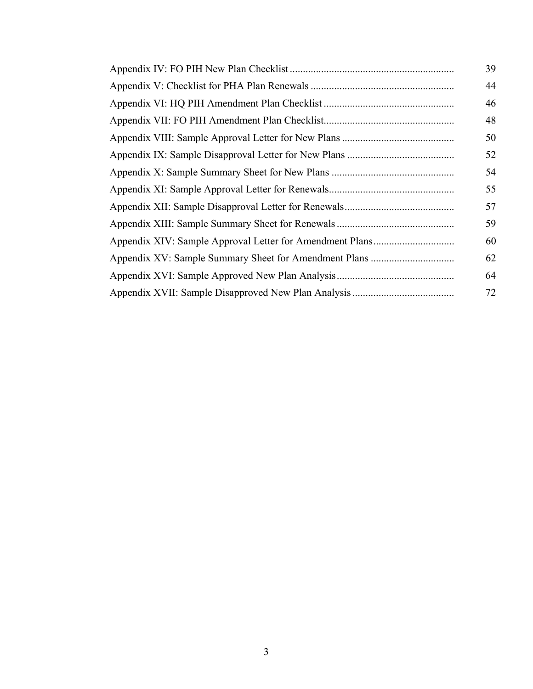| 39 |
|----|
| 44 |
| 46 |
| 48 |
| 50 |
| 52 |
| 54 |
| 55 |
| 57 |
| 59 |
| 60 |
| 62 |
| 64 |
| 72 |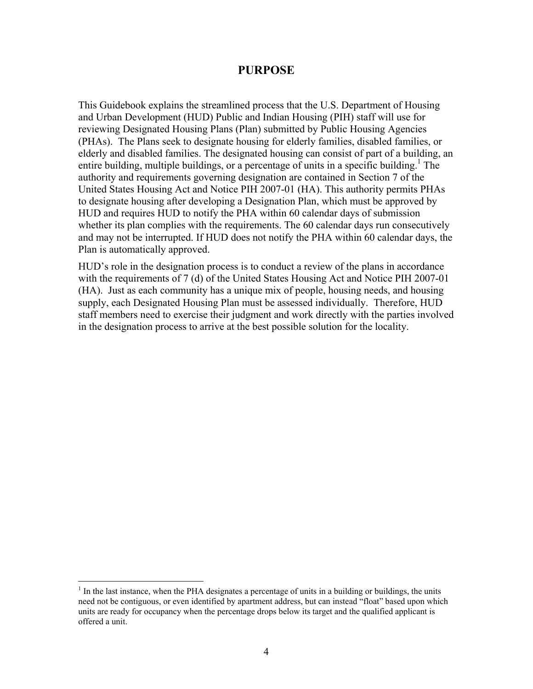#### **PURPOSE**

This Guidebook explains the streamlined process that the U.S. Department of Housing and Urban Development (HUD) Public and Indian Housing (PIH) staff will use for reviewing Designated Housing Plans (Plan) submitted by Public Housing Agencies (PHAs). The Plans seek to designate housing for elderly families, disabled families, or elderly and disabled families. The designated housing can consist of part of a building, an entire building, multiple buildings, or a percentage of units in a specific building.<sup>1</sup> The authority and requirements governing designation are contained in Section 7 of the United States Housing Act and Notice PIH 2007-01 (HA). This authority permits PHAs to designate housing after developing a Designation Plan, which must be approved by HUD and requires HUD to notify the PHA within 60 calendar days of submission whether its plan complies with the requirements. The 60 calendar days run consecutively and may not be interrupted. If HUD does not notify the PHA within 60 calendar days, the Plan is automatically approved.

HUD's role in the designation process is to conduct a review of the plans in accordance with the requirements of 7 (d) of the United States Housing Act and Notice PIH 2007-01 (HA). Just as each community has a unique mix of people, housing needs, and housing supply, each Designated Housing Plan must be assessed individually. Therefore, HUD staff members need to exercise their judgment and work directly with the parties involved in the designation process to arrive at the best possible solution for the locality.

<sup>&</sup>lt;sup>1</sup> In the last instance, when the PHA designates a percentage of units in a building or buildings, the units need not be contiguous, or even identified by apartment address, but can instead "float" based upon which units are ready for occupancy when the percentage drops below its target and the qualified applicant is offered a unit.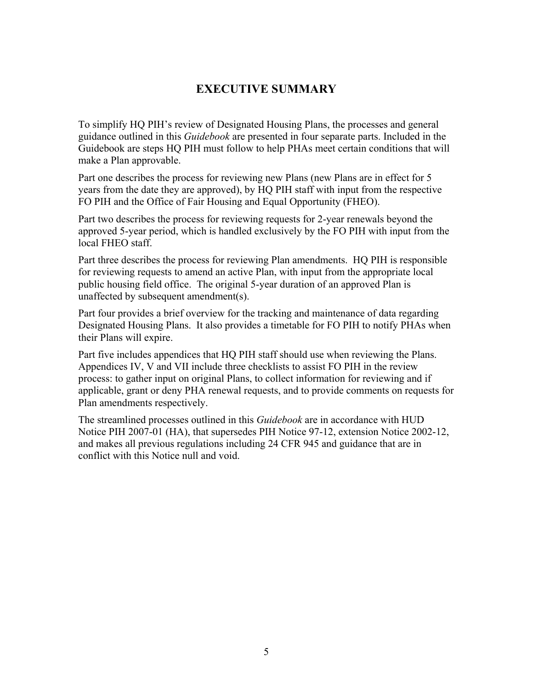# **EXECUTIVE SUMMARY**

To simplify HQ PIH's review of Designated Housing Plans, the processes and general guidance outlined in this *Guidebook* are presented in four separate parts. Included in the Guidebook are steps HQ PIH must follow to help PHAs meet certain conditions that will make a Plan approvable.

Part one describes the process for reviewing new Plans (new Plans are in effect for 5 years from the date they are approved), by HQ PIH staff with input from the respective FO PIH and the Office of Fair Housing and Equal Opportunity (FHEO).

Part two describes the process for reviewing requests for 2-year renewals beyond the approved 5-year period, which is handled exclusively by the FO PIH with input from the local FHEO staff.

Part three describes the process for reviewing Plan amendments. HQ PIH is responsible for reviewing requests to amend an active Plan, with input from the appropriate local public housing field office. The original 5-year duration of an approved Plan is unaffected by subsequent amendment(s).

Part four provides a brief overview for the tracking and maintenance of data regarding Designated Housing Plans. It also provides a timetable for FO PIH to notify PHAs when their Plans will expire.

Part five includes appendices that HQ PIH staff should use when reviewing the Plans. Appendices IV, V and VII include three checklists to assist FO PIH in the review process: to gather input on original Plans, to collect information for reviewing and if applicable, grant or deny PHA renewal requests, and to provide comments on requests for Plan amendments respectively.

The streamlined processes outlined in this *Guidebook* are in accordance with HUD Notice PIH 2007-01 (HA), that supersedes PIH Notice 97-12, extension Notice 2002-12, and makes all previous regulations including 24 CFR 945 and guidance that are in conflict with this Notice null and void.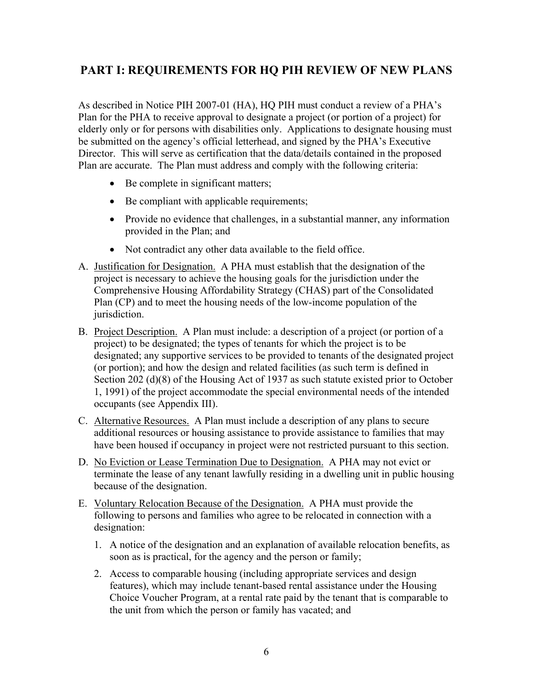# **PART I: REQUIREMENTS FOR HQ PIH REVIEW OF NEW PLANS**

As described in Notice PIH 2007-01 (HA), HQ PIH must conduct a review of a PHA's Plan for the PHA to receive approval to designate a project (or portion of a project) for elderly only or for persons with disabilities only. Applications to designate housing must be submitted on the agency's official letterhead, and signed by the PHA's Executive Director. This will serve as certification that the data/details contained in the proposed Plan are accurate. The Plan must address and comply with the following criteria:

- Be complete in significant matters;
- Be compliant with applicable requirements;
- Provide no evidence that challenges, in a substantial manner, any information provided in the Plan; and
- Not contradict any other data available to the field office.
- A. Justification for Designation. A PHA must establish that the designation of the project is necessary to achieve the housing goals for the jurisdiction under the Comprehensive Housing Affordability Strategy (CHAS) part of the Consolidated Plan (CP) and to meet the housing needs of the low-income population of the jurisdiction.
- B. Project Description. A Plan must include: a description of a project (or portion of a project) to be designated; the types of tenants for which the project is to be designated; any supportive services to be provided to tenants of the designated project (or portion); and how the design and related facilities (as such term is defined in Section 202 (d)(8) of the Housing Act of 1937 as such statute existed prior to October 1, 1991) of the project accommodate the special environmental needs of the intended occupants (see Appendix III).
- C. Alternative Resources. A Plan must include a description of any plans to secure additional resources or housing assistance to provide assistance to families that may have been housed if occupancy in project were not restricted pursuant to this section.
- D. No Eviction or Lease Termination Due to Designation. A PHA may not evict or terminate the lease of any tenant lawfully residing in a dwelling unit in public housing because of the designation.
- E. Voluntary Relocation Because of the Designation. A PHA must provide the following to persons and families who agree to be relocated in connection with a designation:
	- 1. A notice of the designation and an explanation of available relocation benefits, as soon as is practical, for the agency and the person or family;
	- 2. Access to comparable housing (including appropriate services and design features), which may include tenant-based rental assistance under the Housing Choice Voucher Program, at a rental rate paid by the tenant that is comparable to the unit from which the person or family has vacated; and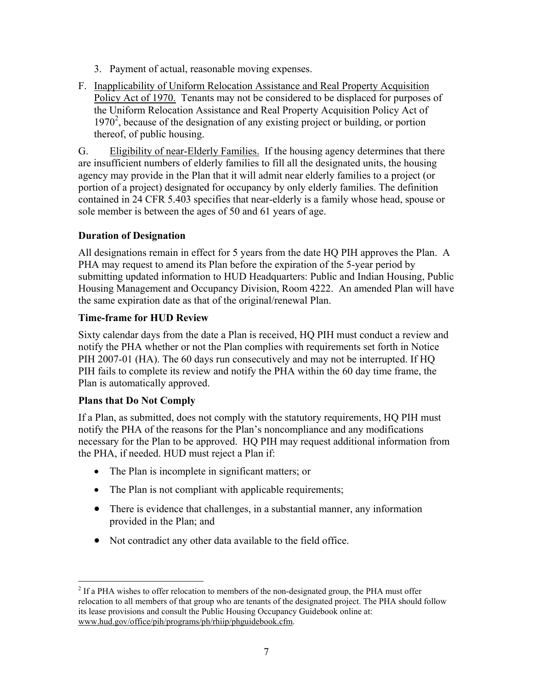- 3. Payment of actual, reasonable moving expenses.
- F. Inapplicability of Uniform Relocation Assistance and Real Property Acquisition Policy Act of 1970. Tenants may not be considered to be displaced for purposes of the Uniform Relocation Assistance and Real Property Acquisition Policy Act of 1970<sup>2</sup>, because of the designation of any existing project or building, or portion thereof, of public housing.

G. Eligibility of near-Elderly Families. If the housing agency determines that there are insufficient numbers of elderly families to fill all the designated units, the housing agency may provide in the Plan that it will admit near elderly families to a project (or portion of a project) designated for occupancy by only elderly families. The definition contained in 24 CFR 5.403 specifies that near-elderly is a family whose head, spouse or sole member is between the ages of 50 and 61 years of age.

# **Duration of Designation**

All designations remain in effect for 5 years from the date HQ PIH approves the Plan. A PHA may request to amend its Plan before the expiration of the 5-year period by submitting updated information to HUD Headquarters: Public and Indian Housing, Public Housing Management and Occupancy Division, Room 4222. An amended Plan will have the same expiration date as that of the original/renewal Plan.

#### **Time-frame for HUD Review**

Sixty calendar days from the date a Plan is received, HQ PIH must conduct a review and notify the PHA whether or not the Plan complies with requirements set forth in Notice PIH 2007-01 (HA). The 60 days run consecutively and may not be interrupted. If HQ PIH fails to complete its review and notify the PHA within the 60 day time frame, the Plan is automatically approved.

#### **Plans that Do Not Comply**

If a Plan, as submitted, does not comply with the statutory requirements, HQ PIH must notify the PHA of the reasons for the Plan's noncompliance and any modifications necessary for the Plan to be approved. HQ PIH may request additional information from the PHA, if needed. HUD must reject a Plan if:

- The Plan is incomplete in significant matters; or
- The Plan is not compliant with applicable requirements;
- There is evidence that challenges, in a substantial manner, any information provided in the Plan; and
- Not contradict any other data available to the field office.

 $\overline{a}$  $2^2$  If a PHA wishes to offer relocation to members of the non-designated group, the PHA must offer relocation to all members of that group who are tenants of the designated project. The PHA should follow its lease provisions and consult the Public Housing Occupancy Guidebook online at: www.hud.gov/office/pih/programs/ph/rhiip/phguidebook.cfm.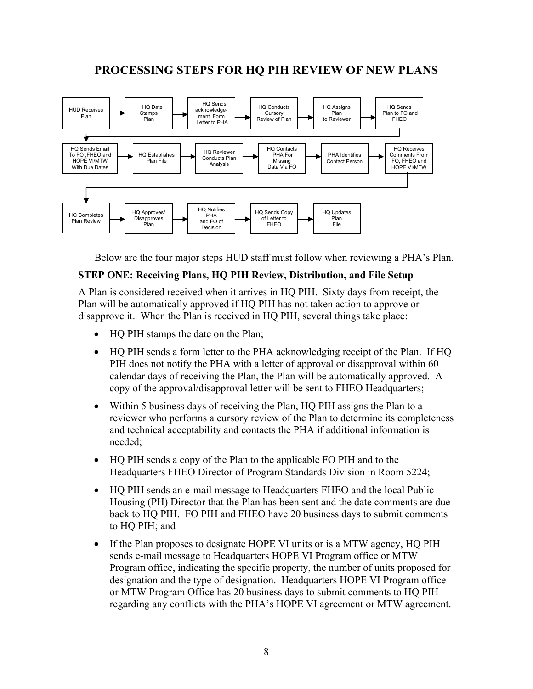# **PROCESSING STEPS FOR HQ PIH REVIEW OF NEW PLANS**



Below are the four major steps HUD staff must follow when reviewing a PHA's Plan.

#### **STEP ONE: Receiving Plans, HQ PIH Review, Distribution, and File Setup**

A Plan is considered received when it arrives in HQ PIH. Sixty days from receipt, the Plan will be automatically approved if HQ PIH has not taken action to approve or disapprove it. When the Plan is received in HQ PIH, several things take place:

- HQ PIH stamps the date on the Plan;
- HQ PIH sends a form letter to the PHA acknowledging receipt of the Plan. If HQ PIH does not notify the PHA with a letter of approval or disapproval within 60 calendar days of receiving the Plan, the Plan will be automatically approved. A copy of the approval/disapproval letter will be sent to FHEO Headquarters;
- Within 5 business days of receiving the Plan, HQ PIH assigns the Plan to a reviewer who performs a cursory review of the Plan to determine its completeness and technical acceptability and contacts the PHA if additional information is needed;
- HQ PIH sends a copy of the Plan to the applicable FO PIH and to the Headquarters FHEO Director of Program Standards Division in Room 5224;
- HQ PIH sends an e-mail message to Headquarters FHEO and the local Public Housing (PH) Director that the Plan has been sent and the date comments are due back to HQ PIH. FO PIH and FHEO have 20 business days to submit comments to HQ PIH; and
- If the Plan proposes to designate HOPE VI units or is a MTW agency, HQ PIH sends e-mail message to Headquarters HOPE VI Program office or MTW Program office, indicating the specific property, the number of units proposed for designation and the type of designation. Headquarters HOPE VI Program office or MTW Program Office has 20 business days to submit comments to HQ PIH regarding any conflicts with the PHA's HOPE VI agreement or MTW agreement.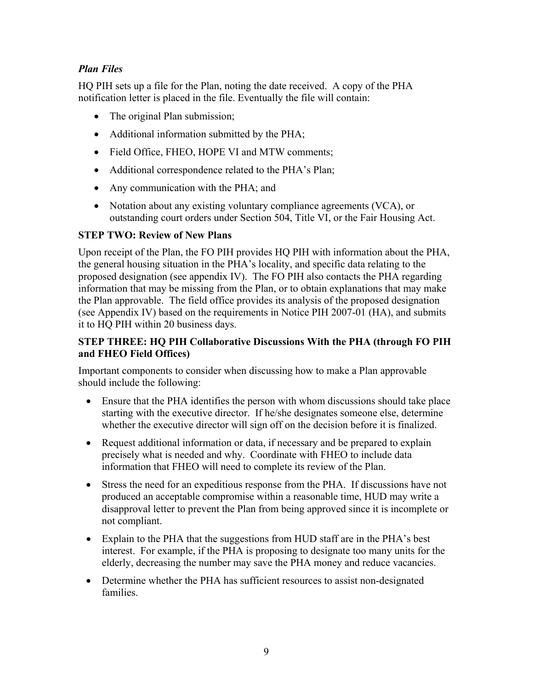# *Plan Files*

HQ PIH sets up a file for the Plan, noting the date received. A copy of the PHA notification letter is placed in the file. Eventually the file will contain:

- The original Plan submission;
- Additional information submitted by the PHA;
- Field Office, FHEO, HOPE VI and MTW comments;
- Additional correspondence related to the PHA's Plan;
- Any communication with the PHA; and
- Notation about any existing voluntary compliance agreements (VCA), or outstanding court orders under Section 504, Title VI, or the Fair Housing Act.

# **STEP TWO: Review of New Plans**

Upon receipt of the Plan, the FO PIH provides HQ PIH with information about the PHA, the general housing situation in the PHA's locality, and specific data relating to the proposed designation (see appendix IV). The FO PIH also contacts the PHA regarding information that may be missing from the Plan, or to obtain explanations that may make the Plan approvable. The field office provides its analysis of the proposed designation (see Appendix IV) based on the requirements in Notice PIH 2007-01 (HA), and submits it to HQ PIH within 20 business days.

#### **STEP THREE: HQ PIH Collaborative Discussions With the PHA (through FO PIH and FHEO Field Offices)**

Important components to consider when discussing how to make a Plan approvable should include the following:

- Ensure that the PHA identifies the person with whom discussions should take place starting with the executive director. If he/she designates someone else, determine whether the executive director will sign off on the decision before it is finalized.
- Request additional information or data, if necessary and be prepared to explain precisely what is needed and why. Coordinate with FHEO to include data information that FHEO will need to complete its review of the Plan.
- Stress the need for an expeditious response from the PHA. If discussions have not produced an acceptable compromise within a reasonable time, HUD may write a disapproval letter to prevent the Plan from being approved since it is incomplete or not compliant.
- Explain to the PHA that the suggestions from HUD staff are in the PHA's best interest. For example, if the PHA is proposing to designate too many units for the elderly, decreasing the number may save the PHA money and reduce vacancies.
- Determine whether the PHA has sufficient resources to assist non-designated families.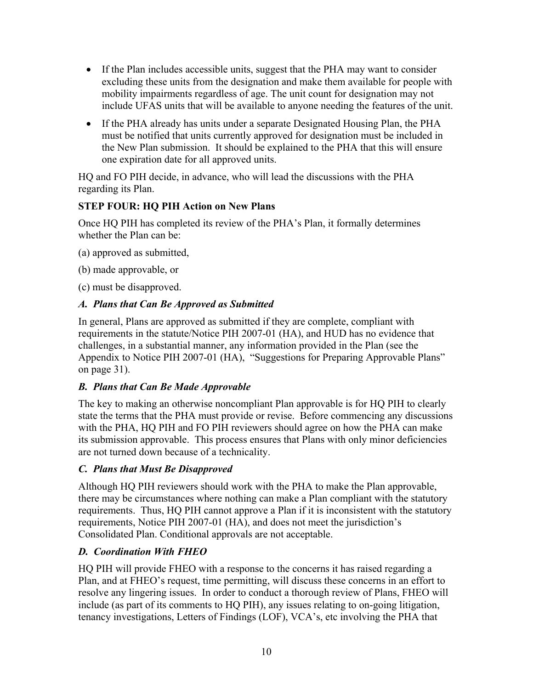- If the Plan includes accessible units, suggest that the PHA may want to consider excluding these units from the designation and make them available for people with mobility impairments regardless of age. The unit count for designation may not include UFAS units that will be available to anyone needing the features of the unit.
- If the PHA already has units under a separate Designated Housing Plan, the PHA must be notified that units currently approved for designation must be included in the New Plan submission. It should be explained to the PHA that this will ensure one expiration date for all approved units.

HQ and FO PIH decide, in advance, who will lead the discussions with the PHA regarding its Plan.

# **STEP FOUR: HQ PIH Action on New Plans**

Once HQ PIH has completed its review of the PHA's Plan, it formally determines whether the Plan can be:

(a) approved as submitted,

(b) made approvable, or

(c) must be disapproved.

# *A. Plans that Can Be Approved as Submitted*

In general, Plans are approved as submitted if they are complete, compliant with requirements in the statute/Notice PIH 2007-01 (HA), and HUD has no evidence that challenges, in a substantial manner, any information provided in the Plan (see the Appendix to Notice PIH 2007-01 (HA), "Suggestions for Preparing Approvable Plans" on page 31).

# *B. Plans that Can Be Made Approvable*

The key to making an otherwise noncompliant Plan approvable is for HQ PIH to clearly state the terms that the PHA must provide or revise. Before commencing any discussions with the PHA, HQ PIH and FO PIH reviewers should agree on how the PHA can make its submission approvable. This process ensures that Plans with only minor deficiencies are not turned down because of a technicality.

# *C. Plans that Must Be Disapproved*

Although HQ PIH reviewers should work with the PHA to make the Plan approvable, there may be circumstances where nothing can make a Plan compliant with the statutory requirements. Thus, HQ PIH cannot approve a Plan if it is inconsistent with the statutory requirements, Notice PIH 2007-01 (HA), and does not meet the jurisdiction's Consolidated Plan. Conditional approvals are not acceptable.

# *D. Coordination With FHEO*

HQ PIH will provide FHEO with a response to the concerns it has raised regarding a Plan, and at FHEO's request, time permitting, will discuss these concerns in an effort to resolve any lingering issues. In order to conduct a thorough review of Plans, FHEO will include (as part of its comments to HQ PIH), any issues relating to on-going litigation, tenancy investigations, Letters of Findings (LOF), VCA's, etc involving the PHA that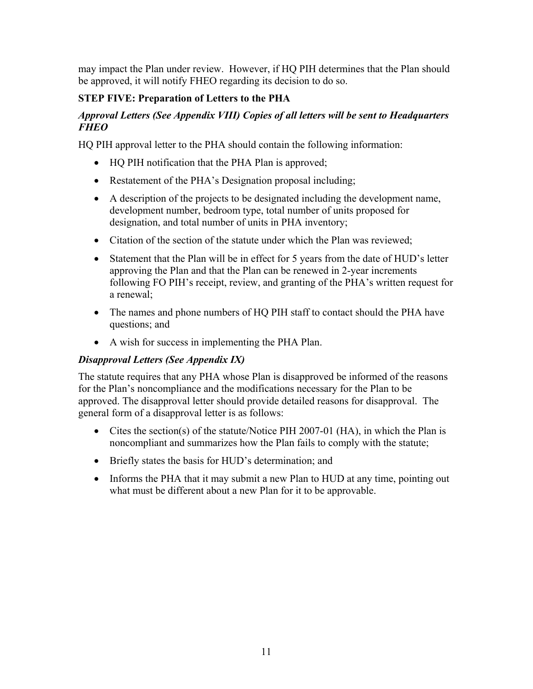may impact the Plan under review. However, if HQ PIH determines that the Plan should be approved, it will notify FHEO regarding its decision to do so.

# **STEP FIVE: Preparation of Letters to the PHA**

### *Approval Letters (See Appendix VIII) Copies of all letters will be sent to Headquarters FHEO*

HQ PIH approval letter to the PHA should contain the following information:

- HO PIH notification that the PHA Plan is approved;
- Restatement of the PHA's Designation proposal including;
- A description of the projects to be designated including the development name, development number, bedroom type, total number of units proposed for designation, and total number of units in PHA inventory;
- Citation of the section of the statute under which the Plan was reviewed:
- Statement that the Plan will be in effect for 5 years from the date of HUD's letter approving the Plan and that the Plan can be renewed in 2-year increments following FO PIH's receipt, review, and granting of the PHA's written request for a renewal;
- The names and phone numbers of HQ PIH staff to contact should the PHA have questions; and
- A wish for success in implementing the PHA Plan.

# *Disapproval Letters (See Appendix IX)*

The statute requires that any PHA whose Plan is disapproved be informed of the reasons for the Plan's noncompliance and the modifications necessary for the Plan to be approved. The disapproval letter should provide detailed reasons for disapproval. The general form of a disapproval letter is as follows:

- Cites the section(s) of the statute/Notice PIH 2007-01 (HA), in which the Plan is noncompliant and summarizes how the Plan fails to comply with the statute;
- Briefly states the basis for HUD's determination; and
- Informs the PHA that it may submit a new Plan to HUD at any time, pointing out what must be different about a new Plan for it to be approvable.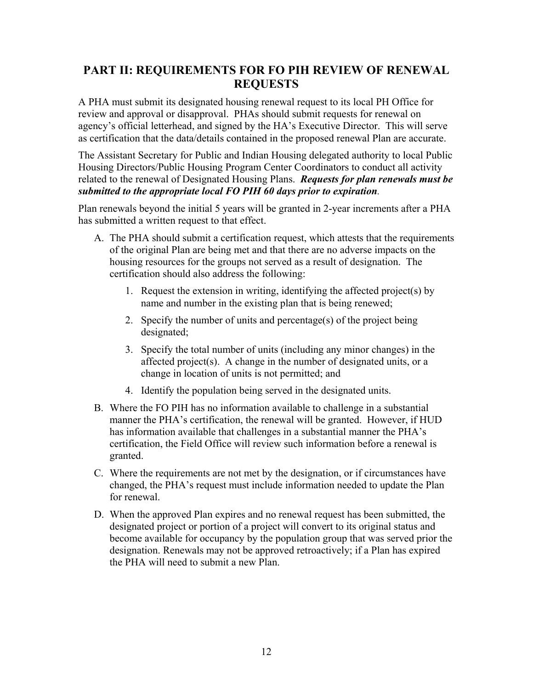# **PART II: REQUIREMENTS FOR FO PIH REVIEW OF RENEWAL REQUESTS**

A PHA must submit its designated housing renewal request to its local PH Office for review and approval or disapproval. PHAs should submit requests for renewal on agency's official letterhead, and signed by the HA's Executive Director. This will serve as certification that the data/details contained in the proposed renewal Plan are accurate.

The Assistant Secretary for Public and Indian Housing delegated authority to local Public Housing Directors/Public Housing Program Center Coordinators to conduct all activity related to the renewal of Designated Housing Plans. *Requests for plan renewals must be submitted to the appropriate local FO PIH 60 days prior to expiration.*

Plan renewals beyond the initial 5 years will be granted in 2-year increments after a PHA has submitted a written request to that effect.

- A. The PHA should submit a certification request, which attests that the requirements of the original Plan are being met and that there are no adverse impacts on the housing resources for the groups not served as a result of designation. The certification should also address the following:
	- 1. Request the extension in writing, identifying the affected project(s) by name and number in the existing plan that is being renewed;
	- 2. Specify the number of units and percentage(s) of the project being designated;
	- 3. Specify the total number of units (including any minor changes) in the affected project(s). A change in the number of designated units, or a change in location of units is not permitted; and
	- 4. Identify the population being served in the designated units.
- B. Where the FO PIH has no information available to challenge in a substantial manner the PHA's certification, the renewal will be granted. However, if HUD has information available that challenges in a substantial manner the PHA's certification, the Field Office will review such information before a renewal is granted.
- C. Where the requirements are not met by the designation, or if circumstances have changed, the PHA's request must include information needed to update the Plan for renewal.
- D. When the approved Plan expires and no renewal request has been submitted, the designated project or portion of a project will convert to its original status and become available for occupancy by the population group that was served prior the designation. Renewals may not be approved retroactively; if a Plan has expired the PHA will need to submit a new Plan.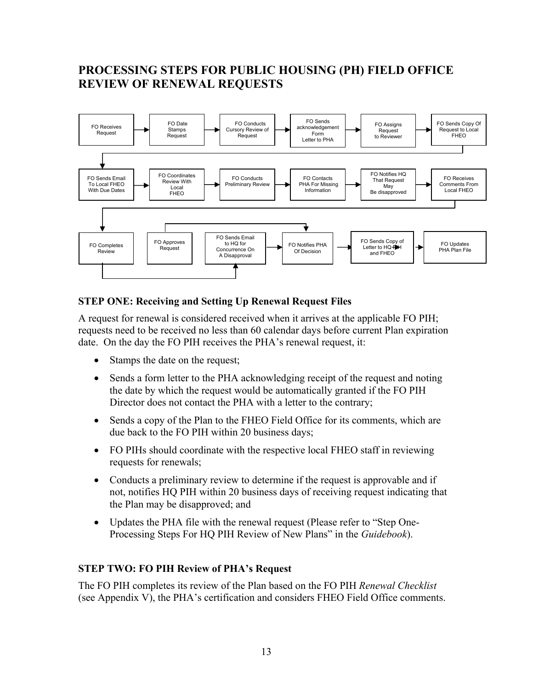# **PROCESSING STEPS FOR PUBLIC HOUSING (PH) FIELD OFFICE REVIEW OF RENEWAL REQUESTS**



# **STEP ONE: Receiving and Setting Up Renewal Request Files**

A request for renewal is considered received when it arrives at the applicable FO PIH; requests need to be received no less than 60 calendar days before current Plan expiration date. On the day the FO PIH receives the PHA's renewal request, it:

- Stamps the date on the request;
- Sends a form letter to the PHA acknowledging receipt of the request and noting the date by which the request would be automatically granted if the FO PIH Director does not contact the PHA with a letter to the contrary;
- Sends a copy of the Plan to the FHEO Field Office for its comments, which are due back to the FO PIH within 20 business days;
- FO PIHs should coordinate with the respective local FHEO staff in reviewing requests for renewals;
- Conducts a preliminary review to determine if the request is approvable and if not, notifies HQ PIH within 20 business days of receiving request indicating that the Plan may be disapproved; and
- Updates the PHA file with the renewal request (Please refer to "Step One-Processing Steps For HQ PIH Review of New Plans" in the *Guidebook*).

#### **STEP TWO: FO PIH Review of PHA's Request**

The FO PIH completes its review of the Plan based on the FO PIH *Renewal Checklist* (see Appendix V), the PHA's certification and considers FHEO Field Office comments.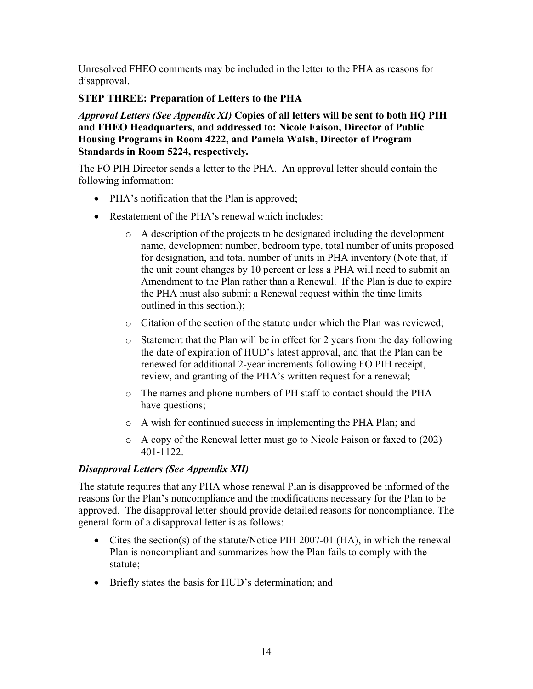Unresolved FHEO comments may be included in the letter to the PHA as reasons for disapproval.

### **STEP THREE: Preparation of Letters to the PHA**

*Approval Letters (See Appendix XI)* **Copies of all letters will be sent to both HQ PIH and FHEO Headquarters, and addressed to: Nicole Faison, Director of Public Housing Programs in Room 4222, and Pamela Walsh, Director of Program Standards in Room 5224, respectively***.* 

The FO PIH Director sends a letter to the PHA. An approval letter should contain the following information:

- PHA's notification that the Plan is approved;
- Restatement of the PHA's renewal which includes:
	- o A description of the projects to be designated including the development name, development number, bedroom type, total number of units proposed for designation, and total number of units in PHA inventory (Note that, if the unit count changes by 10 percent or less a PHA will need to submit an Amendment to the Plan rather than a Renewal. If the Plan is due to expire the PHA must also submit a Renewal request within the time limits outlined in this section.);
	- o Citation of the section of the statute under which the Plan was reviewed;
	- $\circ$  Statement that the Plan will be in effect for 2 years from the day following the date of expiration of HUD's latest approval, and that the Plan can be renewed for additional 2-year increments following FO PIH receipt, review, and granting of the PHA's written request for a renewal;
	- o The names and phone numbers of PH staff to contact should the PHA have questions;
	- o A wish for continued success in implementing the PHA Plan; and
	- o A copy of the Renewal letter must go to Nicole Faison or faxed to (202) 401-1122.

# *Disapproval Letters (See Appendix XII)*

The statute requires that any PHA whose renewal Plan is disapproved be informed of the reasons for the Plan's noncompliance and the modifications necessary for the Plan to be approved. The disapproval letter should provide detailed reasons for noncompliance. The general form of a disapproval letter is as follows:

- Cites the section(s) of the statute/Notice PIH 2007-01 (HA), in which the renewal Plan is noncompliant and summarizes how the Plan fails to comply with the statute;
- Briefly states the basis for HUD's determination; and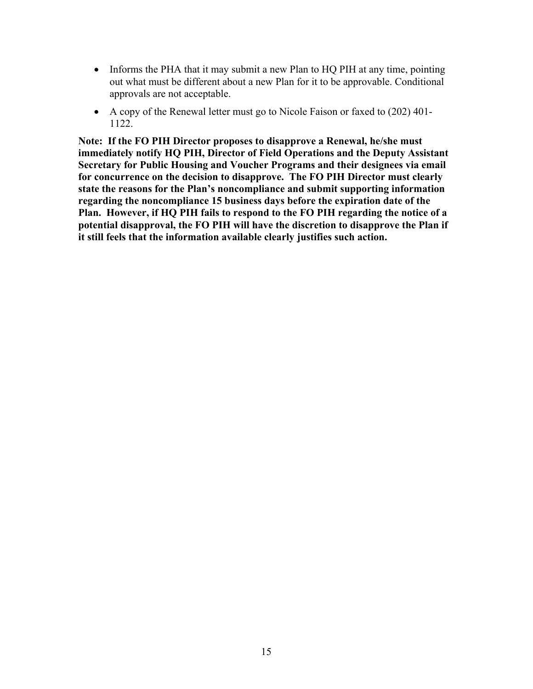- Informs the PHA that it may submit a new Plan to HQ PIH at any time, pointing out what must be different about a new Plan for it to be approvable. Conditional approvals are not acceptable.
- A copy of the Renewal letter must go to Nicole Faison or faxed to (202) 401- 1122.

**Note: If the FO PIH Director proposes to disapprove a Renewal, he/she must immediately notify HQ PIH, Director of Field Operations and the Deputy Assistant Secretary for Public Housing and Voucher Programs and their designees via email for concurrence on the decision to disapprove. The FO PIH Director must clearly state the reasons for the Plan's noncompliance and submit supporting information regarding the noncompliance 15 business days before the expiration date of the Plan. However, if HQ PIH fails to respond to the FO PIH regarding the notice of a potential disapproval, the FO PIH will have the discretion to disapprove the Plan if it still feels that the information available clearly justifies such action.**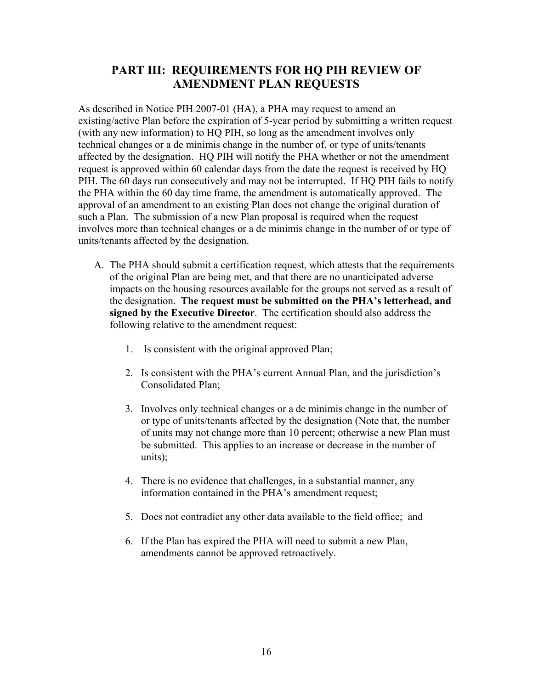# **PART III: REQUIREMENTS FOR HQ PIH REVIEW OF AMENDMENT PLAN REQUESTS**

As described in Notice PIH 2007-01 (HA), a PHA may request to amend an existing/active Plan before the expiration of 5-year period by submitting a written request (with any new information) to HQ PIH, so long as the amendment involves only technical changes or a de minimis change in the number of, or type of units/tenants affected by the designation. HQ PIH will notify the PHA whether or not the amendment request is approved within 60 calendar days from the date the request is received by HQ PIH. The 60 days run consecutively and may not be interrupted. If HQ PIH fails to notify the PHA within the 60 day time frame, the amendment is automatically approved. The approval of an amendment to an existing Plan does not change the original duration of such a Plan. The submission of a new Plan proposal is required when the request involves more than technical changes or a de minimis change in the number of or type of units/tenants affected by the designation.

- A. The PHA should submit a certification request, which attests that the requirements of the original Plan are being met, and that there are no unanticipated adverse impacts on the housing resources available for the groups not served as a result of the designation. **The request must be submitted on the PHA's letterhead, and signed by the Executive Director**. The certification should also address the following relative to the amendment request:
	- 1. Is consistent with the original approved Plan;
	- 2. Is consistent with the PHA's current Annual Plan, and the jurisdiction's Consolidated Plan;
	- 3. Involves only technical changes or a de minimis change in the number of or type of units/tenants affected by the designation (Note that, the number of units may not change more than 10 percent; otherwise a new Plan must be submitted. This applies to an increase or decrease in the number of units);
	- 4. There is no evidence that challenges, in a substantial manner, any information contained in the PHA's amendment request;
	- 5. Does not contradict any other data available to the field office; and
	- 6. If the Plan has expired the PHA will need to submit a new Plan, amendments cannot be approved retroactively.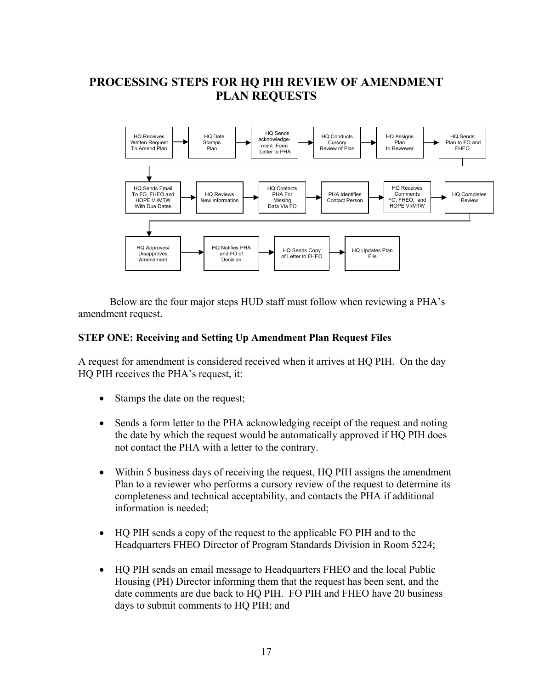# **PROCESSING STEPS FOR HQ PIH REVIEW OF AMENDMENT PLAN REQUESTS**



Below are the four major steps HUD staff must follow when reviewing a PHA's amendment request.

#### **STEP ONE: Receiving and Setting Up Amendment Plan Request Files**

A request for amendment is considered received when it arrives at HQ PIH. On the day HQ PIH receives the PHA's request, it:

- Stamps the date on the request;
- Sends a form letter to the PHA acknowledging receipt of the request and noting the date by which the request would be automatically approved if HQ PIH does not contact the PHA with a letter to the contrary.
- Within 5 business days of receiving the request, HQ PIH assigns the amendment Plan to a reviewer who performs a cursory review of the request to determine its completeness and technical acceptability, and contacts the PHA if additional information is needed;
- HQ PIH sends a copy of the request to the applicable FO PIH and to the Headquarters FHEO Director of Program Standards Division in Room 5224;
- HQ PIH sends an email message to Headquarters FHEO and the local Public Housing (PH) Director informing them that the request has been sent, and the date comments are due back to HQ PIH. FO PIH and FHEO have 20 business days to submit comments to HQ PIH; and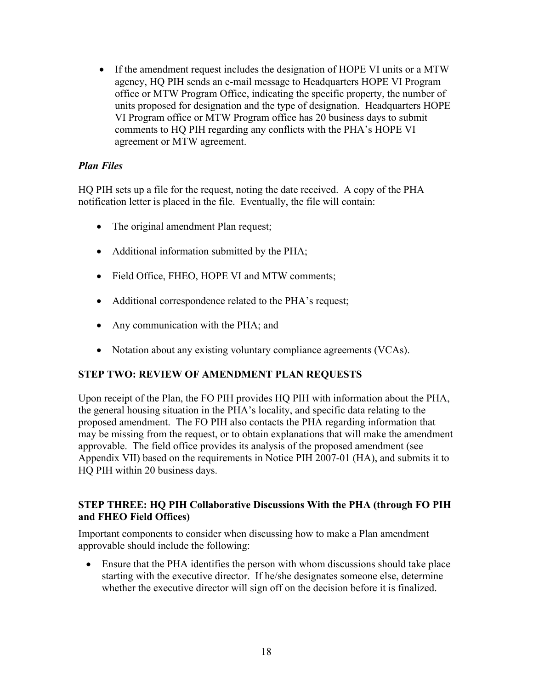• If the amendment request includes the designation of HOPE VI units or a MTW agency, HQ PIH sends an e-mail message to Headquarters HOPE VI Program office or MTW Program Office, indicating the specific property, the number of units proposed for designation and the type of designation. Headquarters HOPE VI Program office or MTW Program office has 20 business days to submit comments to HQ PIH regarding any conflicts with the PHA's HOPE VI agreement or MTW agreement.

### *Plan Files*

HQ PIH sets up a file for the request, noting the date received. A copy of the PHA notification letter is placed in the file. Eventually, the file will contain:

- The original amendment Plan request;
- Additional information submitted by the PHA;
- Field Office, FHEO, HOPE VI and MTW comments;
- Additional correspondence related to the PHA's request;
- Any communication with the PHA; and
- Notation about any existing voluntary compliance agreements (VCAs).

#### **STEP TWO: REVIEW OF AMENDMENT PLAN REQUESTS**

Upon receipt of the Plan, the FO PIH provides HQ PIH with information about the PHA, the general housing situation in the PHA's locality, and specific data relating to the proposed amendment. The FO PIH also contacts the PHA regarding information that may be missing from the request, or to obtain explanations that will make the amendment approvable. The field office provides its analysis of the proposed amendment (see Appendix VII) based on the requirements in Notice PIH 2007-01 (HA), and submits it to HQ PIH within 20 business days.

#### **STEP THREE: HQ PIH Collaborative Discussions With the PHA (through FO PIH and FHEO Field Offices)**

Important components to consider when discussing how to make a Plan amendment approvable should include the following:

• Ensure that the PHA identifies the person with whom discussions should take place starting with the executive director. If he/she designates someone else, determine whether the executive director will sign off on the decision before it is finalized.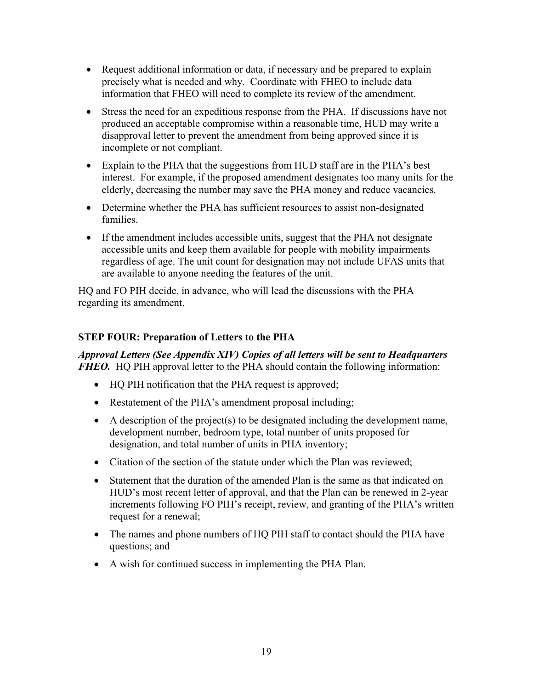- Request additional information or data, if necessary and be prepared to explain precisely what is needed and why. Coordinate with FHEO to include data information that FHEO will need to complete its review of the amendment.
- Stress the need for an expeditious response from the PHA. If discussions have not produced an acceptable compromise within a reasonable time, HUD may write a disapproval letter to prevent the amendment from being approved since it is incomplete or not compliant.
- Explain to the PHA that the suggestions from HUD staff are in the PHA's best interest. For example, if the proposed amendment designates too many units for the elderly, decreasing the number may save the PHA money and reduce vacancies.
- Determine whether the PHA has sufficient resources to assist non-designated families.
- If the amendment includes accessible units, suggest that the PHA not designate accessible units and keep them available for people with mobility impairments regardless of age. The unit count for designation may not include UFAS units that are available to anyone needing the features of the unit.

HQ and FO PIH decide, in advance, who will lead the discussions with the PHA regarding its amendment.

# **STEP FOUR: Preparation of Letters to the PHA**

*Approval Letters (See Appendix XIV) Copies of all letters will be sent to Headquarters FHEO.* HQ PIH approval letter to the PHA should contain the following information:

- HO PIH notification that the PHA request is approved;
- Restatement of the PHA's amendment proposal including;
- A description of the project(s) to be designated including the development name, development number, bedroom type, total number of units proposed for designation, and total number of units in PHA inventory;
- Citation of the section of the statute under which the Plan was reviewed;
- Statement that the duration of the amended Plan is the same as that indicated on HUD's most recent letter of approval, and that the Plan can be renewed in 2-year increments following FO PIH's receipt, review, and granting of the PHA's written request for a renewal;
- The names and phone numbers of HQ PIH staff to contact should the PHA have questions; and
- A wish for continued success in implementing the PHA Plan.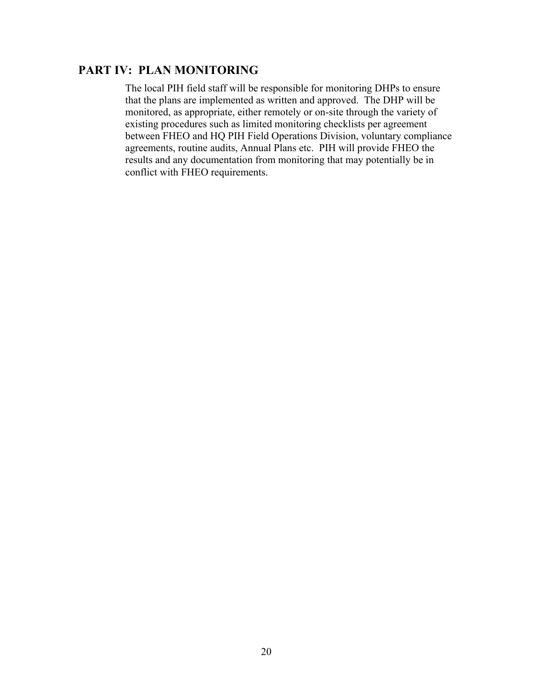# **PART IV: PLAN MONITORING**

The local PIH field staff will be responsible for monitoring DHPs to ensure that the plans are implemented as written and approved. The DHP will be monitored, as appropriate, either remotely or on-site through the variety of existing procedures such as limited monitoring checklists per agreement between FHEO and HQ PIH Field Operations Division, voluntary compliance agreements, routine audits, Annual Plans etc. PIH will provide FHEO the results and any documentation from monitoring that may potentially be in conflict with FHEO requirements.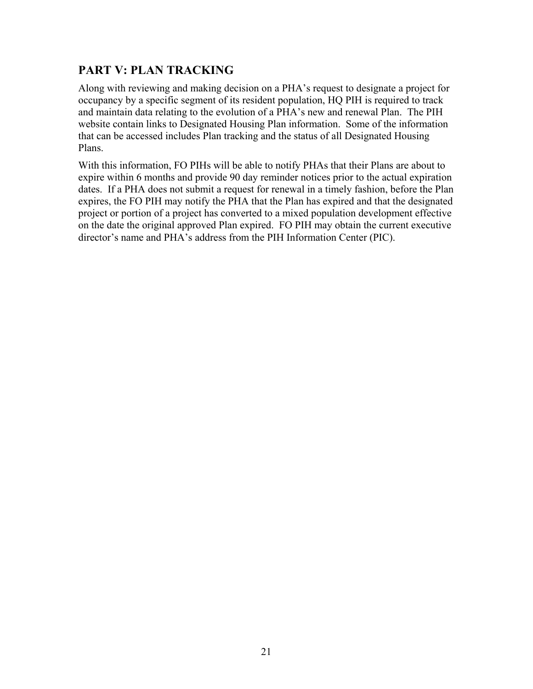# **PART V: PLAN TRACKING**

Along with reviewing and making decision on a PHA's request to designate a project for occupancy by a specific segment of its resident population, HQ PIH is required to track and maintain data relating to the evolution of a PHA's new and renewal Plan. The PIH website contain links to Designated Housing Plan information. Some of the information that can be accessed includes Plan tracking and the status of all Designated Housing Plans.

With this information, FO PIHs will be able to notify PHAs that their Plans are about to expire within 6 months and provide 90 day reminder notices prior to the actual expiration dates. If a PHA does not submit a request for renewal in a timely fashion, before the Plan expires, the FO PIH may notify the PHA that the Plan has expired and that the designated project or portion of a project has converted to a mixed population development effective on the date the original approved Plan expired. FO PIH may obtain the current executive director's name and PHA's address from the PIH Information Center (PIC).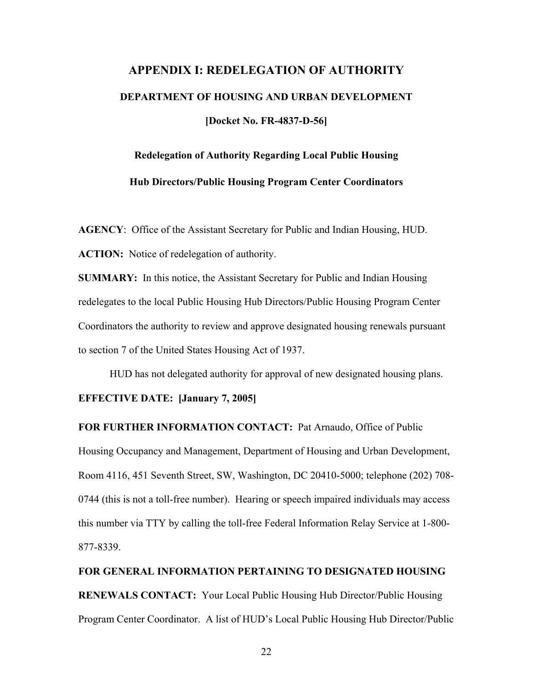# **APPENDIX I: REDELEGATION OF AUTHORITY DEPARTMENT OF HOUSING AND URBAN DEVELOPMENT [Docket No. FR-4837-D-56]**

# **Redelegation of Authority Regarding Local Public Housing Hub Directors/Public Housing Program Center Coordinators**

**AGENCY**: Office of the Assistant Secretary for Public and Indian Housing, HUD. **ACTION:** Notice of redelegation of authority.

**SUMMARY:** In this notice, the Assistant Secretary for Public and Indian Housing redelegates to the local Public Housing Hub Directors/Public Housing Program Center Coordinators the authority to review and approve designated housing renewals pursuant to section 7 of the United States Housing Act of 1937.

HUD has not delegated authority for approval of new designated housing plans.

#### **EFFECTIVE DATE: [January 7, 2005]**

**FOR FURTHER INFORMATION CONTACT:** Pat Arnaudo, Office of Public Housing Occupancy and Management, Department of Housing and Urban Development, Room 4116, 451 Seventh Street, SW, Washington, DC 20410-5000; telephone (202) 708- 0744 (this is not a toll-free number). Hearing or speech impaired individuals may access this number via TTY by calling the toll-free Federal Information Relay Service at 1-800- 877-8339.

**FOR GENERAL INFORMATION PERTAINING TO DESIGNATED HOUSING RENEWALS CONTACT:** Your Local Public Housing Hub Director/Public Housing Program Center Coordinator. A list of HUD's Local Public Housing Hub Director/Public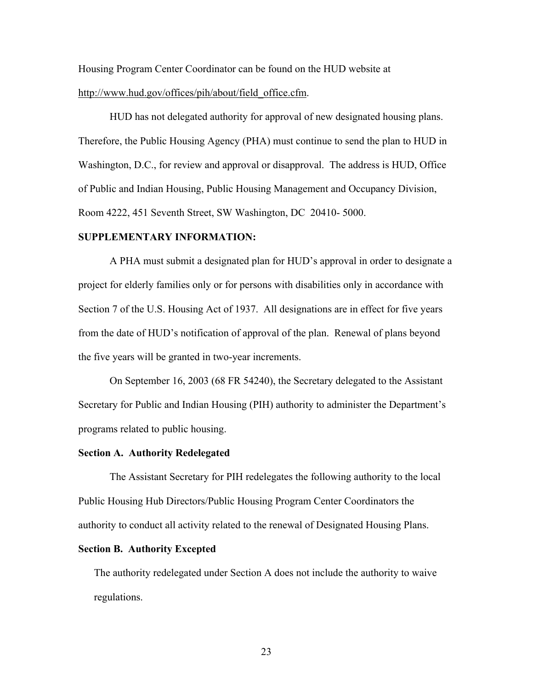Housing Program Center Coordinator can be found on the HUD website at http://www.hud.gov/offices/pih/about/field\_office.cfm.

HUD has not delegated authority for approval of new designated housing plans. Therefore, the Public Housing Agency (PHA) must continue to send the plan to HUD in Washington, D.C., for review and approval or disapproval. The address is HUD, Office of Public and Indian Housing, Public Housing Management and Occupancy Division, Room 4222, 451 Seventh Street, SW Washington, DC 20410- 5000.

#### **SUPPLEMENTARY INFORMATION:**

A PHA must submit a designated plan for HUD's approval in order to designate a project for elderly families only or for persons with disabilities only in accordance with Section 7 of the U.S. Housing Act of 1937. All designations are in effect for five years from the date of HUD's notification of approval of the plan. Renewal of plans beyond the five years will be granted in two-year increments.

 On September 16, 2003 (68 FR 54240), the Secretary delegated to the Assistant Secretary for Public and Indian Housing (PIH) authority to administer the Department's programs related to public housing.

#### **Section A. Authority Redelegated**

 The Assistant Secretary for PIH redelegates the following authority to the local Public Housing Hub Directors/Public Housing Program Center Coordinators the authority to conduct all activity related to the renewal of Designated Housing Plans.

#### **Section B. Authority Excepted**

The authority redelegated under Section A does not include the authority to waive regulations.

23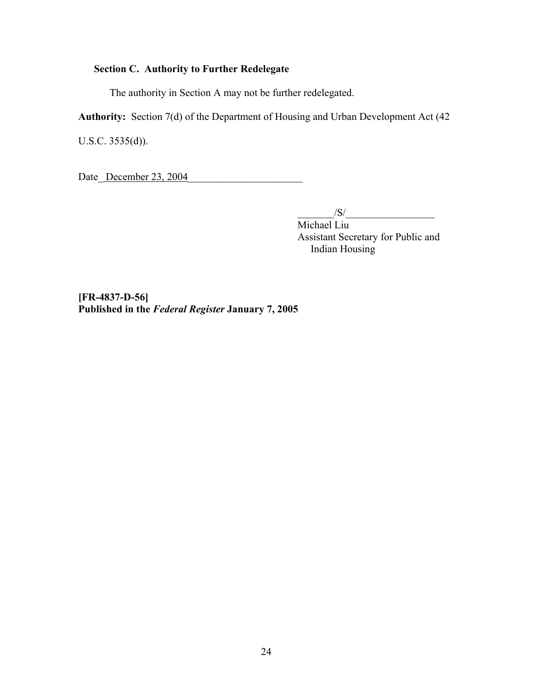# **Section C. Authority to Further Redelegate**

The authority in Section A may not be further redelegated.

**Authority:** Section 7(d) of the Department of Housing and Urban Development Act (42

U.S.C. 3535(d)).

Date December 23, 2004

 $\frac{|S|}{|S|}$  Michael Liu Assistant Secretary for Public and Indian Housing

**[FR-4837-D-56] Published in the** *Federal Register* **January 7, 2005**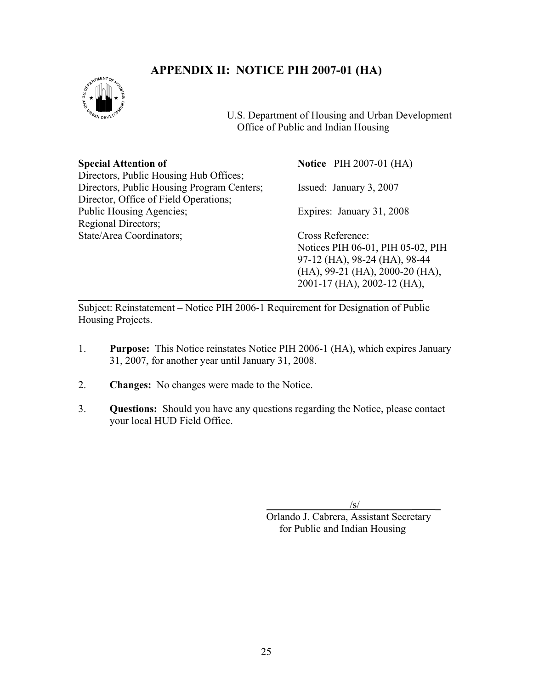# **APPENDIX II: NOTICE PIH 2007-01 (HA)**



l

 U.S. Department of Housing and Urban Development Office of Public and Indian Housing

| <b>Special Attention of</b>                | <b>Notice</b> PIH 2007-01 (HA)           |
|--------------------------------------------|------------------------------------------|
| Directors, Public Housing Hub Offices;     |                                          |
| Directors, Public Housing Program Centers; | Issued: January 3, 2007                  |
| Director, Office of Field Operations;      |                                          |
| Public Housing Agencies;                   | Expires: January 31, 2008                |
| Regional Directors;                        |                                          |
| State/Area Coordinators;                   | Cross Reference:                         |
|                                            | Notices PIH 06-01, PIH 05-02, PIH        |
|                                            | 97-12 (HA), 98-24 (HA), 98-44            |
|                                            | $(HA)$ , 99-21 $(HA)$ , 2000-20 $(HA)$ , |

Subject: Reinstatement – Notice PIH 2006-1 Requirement for Designation of Public Housing Projects.

- 1. **Purpose:** This Notice reinstates Notice PIH 2006-1 (HA), which expires January 31, 2007, for another year until January 31, 2008.
- 2. **Changes:** No changes were made to the Notice.
- 3. **Questions:** Should you have any questions regarding the Notice, please contact your local HUD Field Office.

 $\sqrt{s}$ /

2001-17 (HA), 2002-12 (HA),

Orlando J. Cabrera, Assistant Secretary for Public and Indian Housing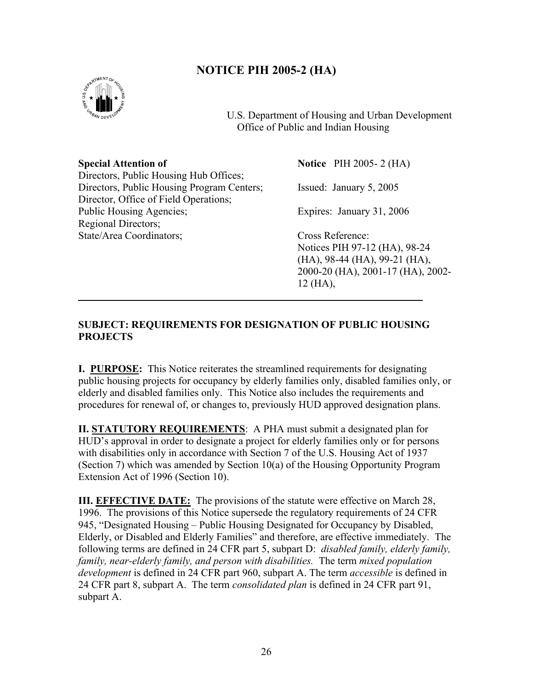# **NOTICE PIH 2005-2 (HA)**



l

 U.S. Department of Housing and Urban Development Office of Public and Indian Housing

**Special Attention of Notice** PIH 2005-2 (HA) Directors, Public Housing Hub Offices; Directors, Public Housing Program Centers; Issued: January 5, 2005 Director, Office of Field Operations; Public Housing Agencies; Expires: January 31, 2006 Regional Directors; State/Area Coordinators; Cross Reference:

Notices PIH 97-12 (HA), 98-24 (HA), 98-44 (HA), 99-21 (HA), 2000-20 (HA), 2001-17 (HA), 2002- 12 (HA),

### **SUBJECT: REQUIREMENTS FOR DESIGNATION OF PUBLIC HOUSING PROJECTS**

**I. PURPOSE:** This Notice reiterates the streamlined requirements for designating public housing projects for occupancy by elderly families only, disabled families only, or elderly and disabled families only. This Notice also includes the requirements and procedures for renewal of, or changes to, previously HUD approved designation plans.

**II. STATUTORY REQUIREMENTS**: A PHA must submit a designated plan for HUD's approval in order to designate a project for elderly families only or for persons with disabilities only in accordance with Section 7 of the U.S. Housing Act of 1937 (Section 7) which was amended by Section 10(a) of the Housing Opportunity Program Extension Act of 1996 (Section 10).

**III. EFFECTIVE DATE:** The provisions of the statute were effective on March 28. 1996. The provisions of this Notice supersede the regulatory requirements of 24 CFR 945, "Designated Housing – Public Housing Designated for Occupancy by Disabled, Elderly, or Disabled and Elderly Families" and therefore, are effective immediately. The following terms are defined in 24 CFR part 5, subpart D: *disabled family, elderly family, family, near-elderly family, and person with disabilities.* The term *mixed population development* is defined in 24 CFR part 960, subpart A. The term *accessible* is defined in 24 CFR part 8, subpart A. The term *consolidated plan* is defined in 24 CFR part 91, subpart A.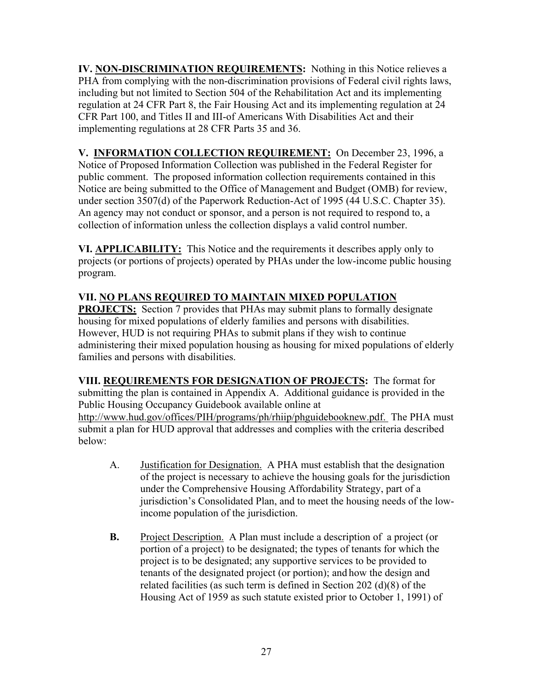**IV. NON-DISCRIMINATION REQUIREMENTS:** Nothing in this Notice relieves a PHA from complying with the non-discrimination provisions of Federal civil rights laws, including but not limited to Section 504 of the Rehabilitation Act and its implementing regulation at 24 CFR Part 8, the Fair Housing Act and its implementing regulation at 24 CFR Part 100, and Titles II and III-of Americans With Disabilities Act and their implementing regulations at 28 CFR Parts 35 and 36.

**V. INFORMATION COLLECTION REQUIREMENT:** On December 23, 1996, a Notice of Proposed Information Collection was published in the Federal Register for public comment. The proposed information collection requirements contained in this Notice are being submitted to the Office of Management and Budget (OMB) for review, under section 3507(d) of the Paperwork Reduction-Act of 1995 (44 U.S.C. Chapter 35). An agency may not conduct or sponsor, and a person is not required to respond to, a collection of information unless the collection displays a valid control number.

**VI. APPLICABILITY:** This Notice and the requirements it describes apply only to projects (or portions of projects) operated by PHAs under the low-income public housing program.

# **VII. NO PLANS REQUIRED TO MAINTAIN MIXED POPULATION**

**PROJECTS:** Section 7 provides that PHAs may submit plans to formally designate housing for mixed populations of elderly families and persons with disabilities. However, HUD is not requiring PHAs to submit plans if they wish to continue administering their mixed population housing as housing for mixed populations of elderly families and persons with disabilities.

**VIII. REQUIREMENTS FOR DESIGNATION OF PROJECTS:** The format for submitting the plan is contained in Appendix A. Additional guidance is provided in the Public Housing Occupancy Guidebook available online at http://www.hud.gov/offices/PIH/programs/ph/rhiip/phguidebooknew.pdf. The PHA must submit a plan for HUD approval that addresses and complies with the criteria described below:

- A. Justification for Designation. A PHA must establish that the designation of the project is necessary to achieve the housing goals for the jurisdiction under the Comprehensive Housing Affordability Strategy, part of a jurisdiction's Consolidated Plan, and to meet the housing needs of the lowincome population of the jurisdiction.
- **B.** Project Description. A Plan must include a description of a project (or portion of a project) to be designated; the types of tenants for which the project is to be designated; any supportive services to be provided to tenants of the designated project (or portion); and how the design and related facilities (as such term is defined in Section 202 (d)(8) of the Housing Act of 1959 as such statute existed prior to October 1, 1991) of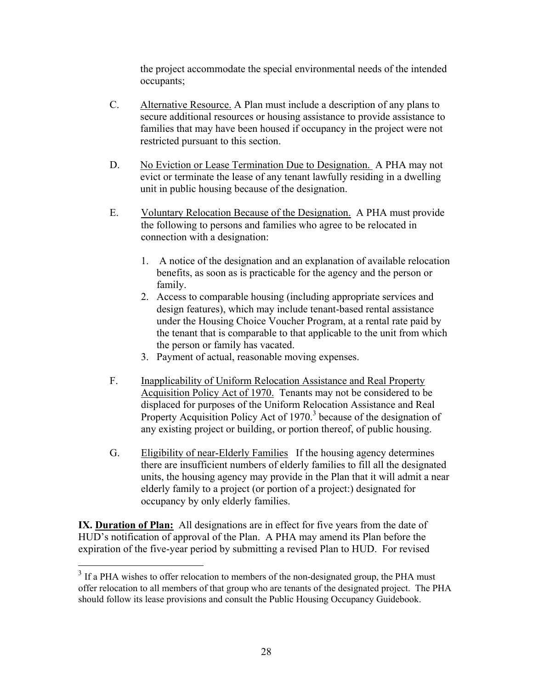the project accommodate the special environmental needs of the intended occupants;

- C. Alternative Resource. A Plan must include a description of any plans to secure additional resources or housing assistance to provide assistance to families that may have been housed if occupancy in the project were not restricted pursuant to this section.
- D. No Eviction or Lease Termination Due to Designation. A PHA may not evict or terminate the lease of any tenant lawfully residing in a dwelling unit in public housing because of the designation.
- E. Voluntary Relocation Because of the Designation. A PHA must provide the following to persons and families who agree to be relocated in connection with a designation:
	- 1. A notice of the designation and an explanation of available relocation benefits, as soon as is practicable for the agency and the person or family.
	- 2. Access to comparable housing (including appropriate services and design features), which may include tenant-based rental assistance under the Housing Choice Voucher Program, at a rental rate paid by the tenant that is comparable to that applicable to the unit from which the person or family has vacated.
	- 3. Payment of actual, reasonable moving expenses.
- F. Inapplicability of Uniform Relocation Assistance and Real Property Acquisition Policy Act of 1970. Tenants may not be considered to be displaced for purposes of the Uniform Relocation Assistance and Real Property Acquisition Policy Act of 1970.<sup>3</sup> because of the designation of any existing project or building, or portion thereof, of public housing.
- G. Eligibility of near-Elderly Families If the housing agency determines there are insufficient numbers of elderly families to fill all the designated units, the housing agency may provide in the Plan that it will admit a near elderly family to a project (or portion of a project:) designated for occupancy by only elderly families.

**IX. Duration of Plan:** All designations are in effect for five years from the date of HUD's notification of approval of the Plan. A PHA may amend its Plan before the expiration of the five-year period by submitting a revised Plan to HUD. For revised

 $\overline{a}$ 

 $3$  If a PHA wishes to offer relocation to members of the non-designated group, the PHA must offer relocation to all members of that group who are tenants of the designated project. The PHA should follow its lease provisions and consult the Public Housing Occupancy Guidebook.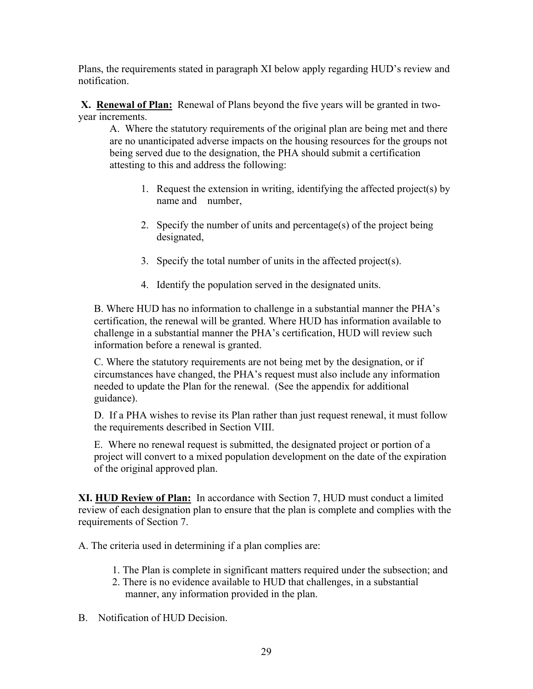Plans, the requirements stated in paragraph XI below apply regarding HUD's review and notification.

 **X. Renewal of Plan:** Renewal of Plans beyond the five years will be granted in twoyear increments.

A. Where the statutory requirements of the original plan are being met and there are no unanticipated adverse impacts on the housing resources for the groups not being served due to the designation, the PHA should submit a certification attesting to this and address the following:

- 1. Request the extension in writing, identifying the affected project(s) by name and number,
- 2. Specify the number of units and percentage(s) of the project being designated,
- 3. Specify the total number of units in the affected project(s).
- 4. Identify the population served in the designated units.

B. Where HUD has no information to challenge in a substantial manner the PHA's certification, the renewal will be granted. Where HUD has information available to challenge in a substantial manner the PHA's certification, HUD will review such information before a renewal is granted.

C. Where the statutory requirements are not being met by the designation, or if circumstances have changed, the PHA's request must also include any information needed to update the Plan for the renewal. (See the appendix for additional guidance).

D. If a PHA wishes to revise its Plan rather than just request renewal, it must follow the requirements described in Section VIII.

E. Where no renewal request is submitted, the designated project or portion of a project will convert to a mixed population development on the date of the expiration of the original approved plan.

**XI. HUD Review of Plan:** In accordance with Section 7, HUD must conduct a limited review of each designation plan to ensure that the plan is complete and complies with the requirements of Section 7.

A. The criteria used in determining if a plan complies are:

- 1. The Plan is complete in significant matters required under the subsection; and
- 2. There is no evidence available to HUD that challenges, in a substantial manner, any information provided in the plan.
- B. Notification of HUD Decision.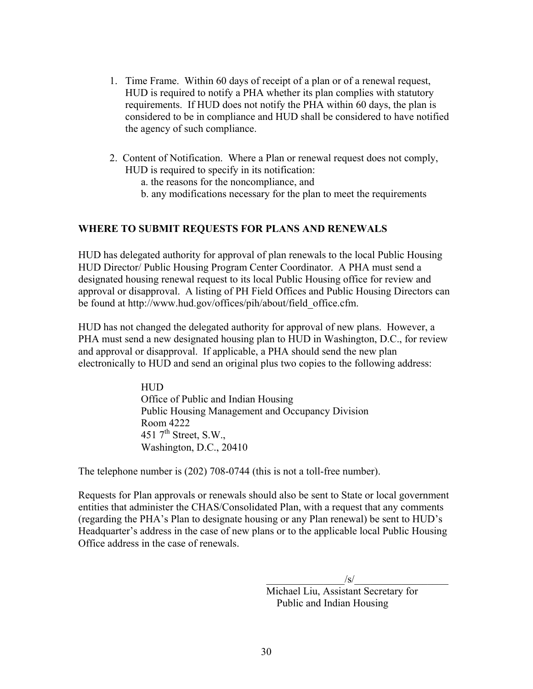- 1. Time Frame. Within 60 days of receipt of a plan or of a renewal request, HUD is required to notify a PHA whether its plan complies with statutory requirements. If HUD does not notify the PHA within 60 days, the plan is considered to be in compliance and HUD shall be considered to have notified the agency of such compliance.
- 2.Content of Notification. Where a Plan or renewal request does not comply, HUD is required to specify in its notification:
	- a. the reasons for the noncompliance, and
	- b. any modifications necessary for the plan to meet the requirements

#### **WHERE TO SUBMIT REQUESTS FOR PLANS AND RENEWALS**

HUD has delegated authority for approval of plan renewals to the local Public Housing HUD Director/ Public Housing Program Center Coordinator. A PHA must send a designated housing renewal request to its local Public Housing office for review and approval or disapproval. A listing of PH Field Offices and Public Housing Directors can be found at http://www.hud.gov/offices/pih/about/field\_office.cfm.

HUD has not changed the delegated authority for approval of new plans. However, a PHA must send a new designated housing plan to HUD in Washington, D.C., for review and approval or disapproval. If applicable, a PHA should send the new plan electronically to HUD and send an original plus two copies to the following address:

> HUD Office of Public and Indian Housing Public Housing Management and Occupancy Division Room 4222 451  $7<sup>th</sup>$  Street, S.W., Washington, D.C., 20410

The telephone number is (202) 708-0744 (this is not a toll-free number).

Requests for Plan approvals or renewals should also be sent to State or local government entities that administer the CHAS/Consolidated Plan, with a request that any comments (regarding the PHA's Plan to designate housing or any Plan renewal) be sent to HUD's Headquarter's address in the case of new plans or to the applicable local Public Housing Office address in the case of renewals.

 $\sqrt{s}/$ 

 Michael Liu, Assistant Secretary for Public and Indian Housing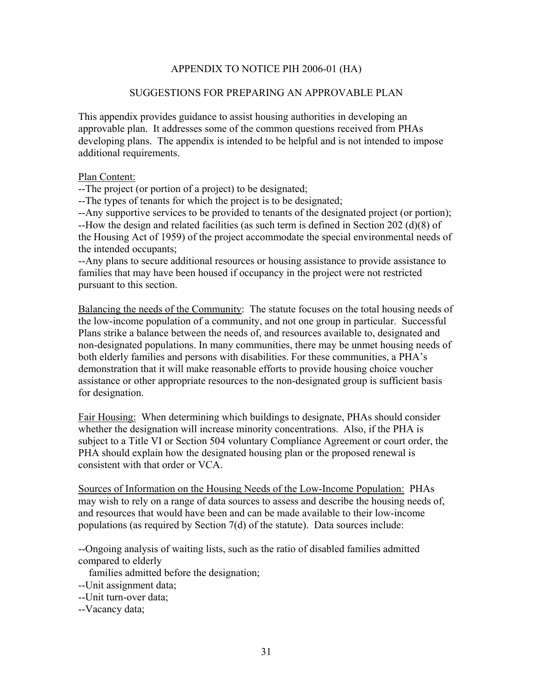#### APPENDIX TO NOTICE PIH 2006-01 (HA)

#### SUGGESTIONS FOR PREPARING AN APPROVABLE PLAN

This appendix provides guidance to assist housing authorities in developing an approvable plan. It addresses some of the common questions received from PHAs developing plans. The appendix is intended to be helpful and is not intended to impose additional requirements.

#### Plan Content:

--The project (or portion of a project) to be designated;

--The types of tenants for which the project is to be designated;

--Any supportive services to be provided to tenants of the designated project (or portion); --How the design and related facilities (as such term is defined in Section 202 (d)(8) of the Housing Act of 1959) of the project accommodate the special environmental needs of the intended occupants;

--Any plans to secure additional resources or housing assistance to provide assistance to families that may have been housed if occupancy in the project were not restricted pursuant to this section.

Balancing the needs of the Community: The statute focuses on the total housing needs of the low-income population of a community, and not one group in particular. Successful Plans strike a balance between the needs of, and resources available to, designated and non-designated populations. In many communities, there may be unmet housing needs of both elderly families and persons with disabilities. For these communities, a PHA's demonstration that it will make reasonable efforts to provide housing choice voucher assistance or other appropriate resources to the non-designated group is sufficient basis for designation.

Fair Housing: When determining which buildings to designate, PHAs should consider whether the designation will increase minority concentrations. Also, if the PHA is subject to a Title VI or Section 504 voluntary Compliance Agreement or court order, the PHA should explain how the designated housing plan or the proposed renewal is consistent with that order or VCA.

Sources of Information on the Housing Needs of the Low-Income Population: PHAs may wish to rely on a range of data sources to assess and describe the housing needs of, and resources that would have been and can be made available to their low-income populations (as required by Section 7(d) of the statute). Data sources include:

--Ongoing analysis of waiting lists, such as the ratio of disabled families admitted compared to elderly

families admitted before the designation;

--Unit assignment data;

--Unit turn-over data;

--Vacancy data;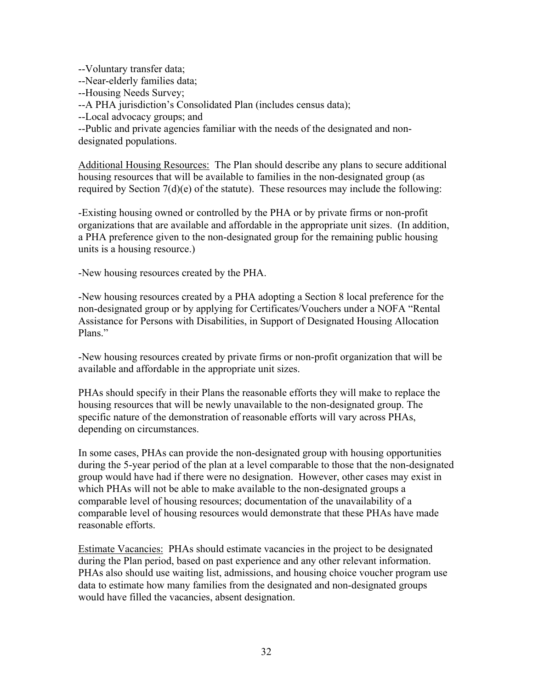--Voluntary transfer data;

--Near-elderly families data;

--Housing Needs Survey;

--A PHA jurisdiction's Consolidated Plan (includes census data);

--Local advocacy groups; and

--Public and private agencies familiar with the needs of the designated and nondesignated populations.

Additional Housing Resources: The Plan should describe any plans to secure additional housing resources that will be available to families in the non-designated group (as required by Section  $7(d)(e)$  of the statute). These resources may include the following:

-Existing housing owned or controlled by the PHA or by private firms or non-profit organizations that are available and affordable in the appropriate unit sizes. (In addition, a PHA preference given to the non-designated group for the remaining public housing units is a housing resource.)

-New housing resources created by the PHA.

-New housing resources created by a PHA adopting a Section 8 local preference for the non-designated group or by applying for Certificates/Vouchers under a NOFA "Rental Assistance for Persons with Disabilities, in Support of Designated Housing Allocation Plans."

-New housing resources created by private firms or non-profit organization that will be available and affordable in the appropriate unit sizes.

PHAs should specify in their Plans the reasonable efforts they will make to replace the housing resources that will be newly unavailable to the non-designated group. The specific nature of the demonstration of reasonable efforts will vary across PHAs, depending on circumstances.

In some cases, PHAs can provide the non-designated group with housing opportunities during the 5-year period of the plan at a level comparable to those that the non-designated group would have had if there were no designation. However, other cases may exist in which PHAs will not be able to make available to the non-designated groups a comparable level of housing resources; documentation of the unavailability of a comparable level of housing resources would demonstrate that these PHAs have made reasonable efforts.

Estimate Vacancies: PHAs should estimate vacancies in the project to be designated during the Plan period, based on past experience and any other relevant information. PHAs also should use waiting list, admissions, and housing choice voucher program use data to estimate how many families from the designated and non-designated groups would have filled the vacancies, absent designation.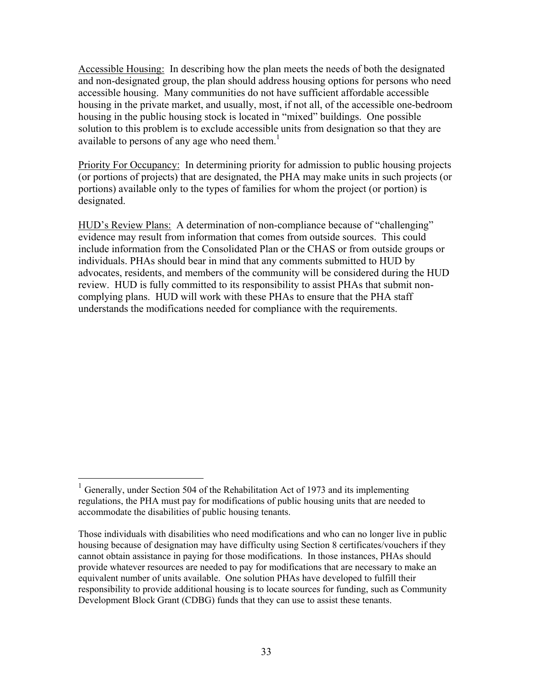Accessible Housing: In describing how the plan meets the needs of both the designated and non-designated group, the plan should address housing options for persons who need accessible housing. Many communities do not have sufficient affordable accessible housing in the private market, and usually, most, if not all, of the accessible one-bedroom housing in the public housing stock is located in "mixed" buildings. One possible solution to this problem is to exclude accessible units from designation so that they are available to persons of any age who need them.<sup>1</sup>

Priority For Occupancy: In determining priority for admission to public housing projects (or portions of projects) that are designated, the PHA may make units in such projects (or portions) available only to the types of families for whom the project (or portion) is designated.

HUD's Review Plans: A determination of non-compliance because of "challenging" evidence may result from information that comes from outside sources. This could include information from the Consolidated Plan or the CHAS or from outside groups or individuals. PHAs should bear in mind that any comments submitted to HUD by advocates, residents, and members of the community will be considered during the HUD review. HUD is fully committed to its responsibility to assist PHAs that submit noncomplying plans. HUD will work with these PHAs to ensure that the PHA staff understands the modifications needed for compliance with the requirements.

 $\overline{a}$ 

<sup>&</sup>lt;sup>1</sup> Generally, under Section 504 of the Rehabilitation Act of 1973 and its implementing regulations, the PHA must pay for modifications of public housing units that are needed to accommodate the disabilities of public housing tenants.

Those individuals with disabilities who need modifications and who can no longer live in public housing because of designation may have difficulty using Section 8 certificates/vouchers if they cannot obtain assistance in paying for those modifications. In those instances, PHAs should provide whatever resources are needed to pay for modifications that are necessary to make an equivalent number of units available. One solution PHAs have developed to fulfill their responsibility to provide additional housing is to locate sources for funding, such as Community Development Block Grant (CDBG) funds that they can use to assist these tenants.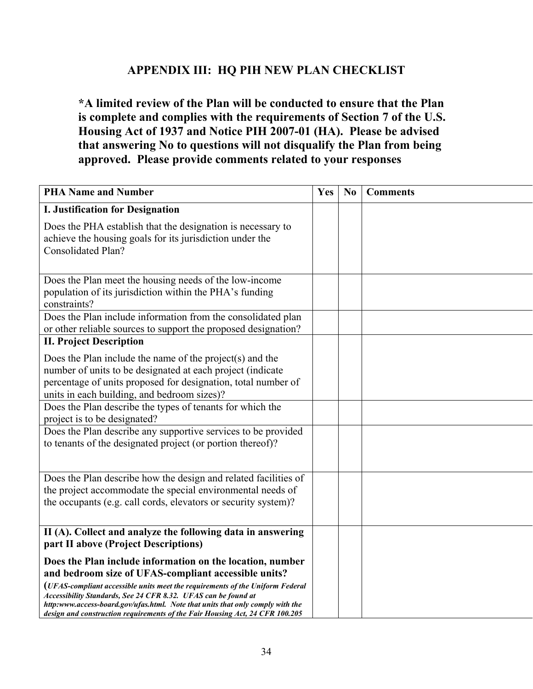# **APPENDIX III: HQ PIH NEW PLAN CHECKLIST**

**\*A limited review of the Plan will be conducted to ensure that the Plan is complete and complies with the requirements of Section 7 of the U.S. Housing Act of 1937 and Notice PIH 2007-01 (HA). Please be advised that answering No to questions will not disqualify the Plan from being approved. Please provide comments related to your responses** 

| <b>PHA Name and Number</b>                                                                                                                                                                                                                                                                                                                                                                                                             | Yes | N <sub>0</sub> | <b>Comments</b> |
|----------------------------------------------------------------------------------------------------------------------------------------------------------------------------------------------------------------------------------------------------------------------------------------------------------------------------------------------------------------------------------------------------------------------------------------|-----|----------------|-----------------|
| <b>I. Justification for Designation</b>                                                                                                                                                                                                                                                                                                                                                                                                |     |                |                 |
| Does the PHA establish that the designation is necessary to<br>achieve the housing goals for its jurisdiction under the<br><b>Consolidated Plan?</b>                                                                                                                                                                                                                                                                                   |     |                |                 |
| Does the Plan meet the housing needs of the low-income<br>population of its jurisdiction within the PHA's funding<br>constraints?                                                                                                                                                                                                                                                                                                      |     |                |                 |
| Does the Plan include information from the consolidated plan<br>or other reliable sources to support the proposed designation?                                                                                                                                                                                                                                                                                                         |     |                |                 |
| <b>II. Project Description</b>                                                                                                                                                                                                                                                                                                                                                                                                         |     |                |                 |
| Does the Plan include the name of the project(s) and the<br>number of units to be designated at each project (indicate<br>percentage of units proposed for designation, total number of<br>units in each building, and bedroom sizes)?                                                                                                                                                                                                 |     |                |                 |
| Does the Plan describe the types of tenants for which the<br>project is to be designated?                                                                                                                                                                                                                                                                                                                                              |     |                |                 |
| Does the Plan describe any supportive services to be provided<br>to tenants of the designated project (or portion thereof)?                                                                                                                                                                                                                                                                                                            |     |                |                 |
| Does the Plan describe how the design and related facilities of<br>the project accommodate the special environmental needs of<br>the occupants (e.g. call cords, elevators or security system)?                                                                                                                                                                                                                                        |     |                |                 |
| II (A). Collect and analyze the following data in answering<br>part II above (Project Descriptions)                                                                                                                                                                                                                                                                                                                                    |     |                |                 |
| Does the Plan include information on the location, number<br>and bedroom size of UFAS-compliant accessible units?<br>(UFAS-compliant accessible units meet the requirements of the Uniform Federal<br>Accessibility Standards, See 24 CFR 8.32. UFAS can be found at<br>http:www.access-board.gov/ufas.html. Note that units that only comply with the<br>design and construction requirements of the Fair Housing Act, 24 CFR 100.205 |     |                |                 |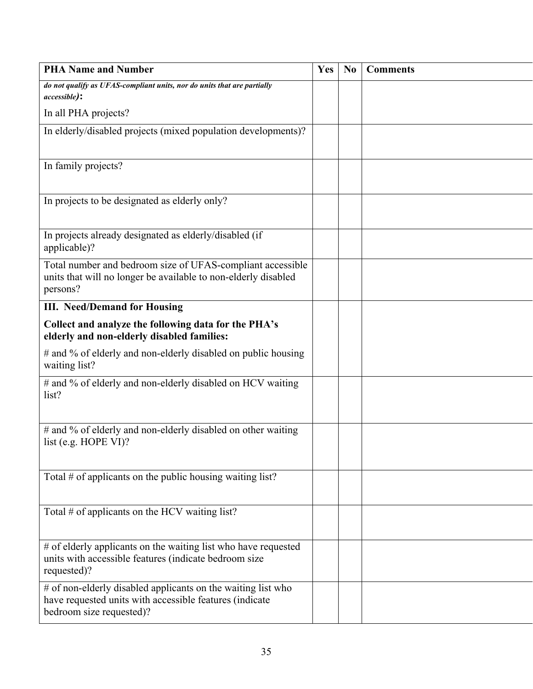| <b>PHA Name and Number</b>                                                                                                                          | Yes | N <sub>0</sub> | <b>Comments</b> |
|-----------------------------------------------------------------------------------------------------------------------------------------------------|-----|----------------|-----------------|
| do not qualify as UFAS-compliant units, nor do units that are partially<br><i>accessible</i> ):                                                     |     |                |                 |
| In all PHA projects?                                                                                                                                |     |                |                 |
| In elderly/disabled projects (mixed population developments)?                                                                                       |     |                |                 |
|                                                                                                                                                     |     |                |                 |
| In family projects?                                                                                                                                 |     |                |                 |
| In projects to be designated as elderly only?                                                                                                       |     |                |                 |
| In projects already designated as elderly/disabled (if<br>applicable)?                                                                              |     |                |                 |
| Total number and bedroom size of UFAS-compliant accessible<br>units that will no longer be available to non-elderly disabled<br>persons?            |     |                |                 |
| <b>III. Need/Demand for Housing</b>                                                                                                                 |     |                |                 |
| Collect and analyze the following data for the PHA's<br>elderly and non-elderly disabled families:                                                  |     |                |                 |
| # and % of elderly and non-elderly disabled on public housing<br>waiting list?                                                                      |     |                |                 |
| # and % of elderly and non-elderly disabled on HCV waiting<br>list?                                                                                 |     |                |                 |
| # and % of elderly and non-elderly disabled on other waiting<br>list (e.g. HOPE VI)?                                                                |     |                |                 |
| Total $#$ of applicants on the public housing waiting list?                                                                                         |     |                |                 |
| Total # of applicants on the HCV waiting list?                                                                                                      |     |                |                 |
| # of elderly applicants on the waiting list who have requested<br>units with accessible features (indicate bedroom size<br>requested)?              |     |                |                 |
| # of non-elderly disabled applicants on the waiting list who<br>have requested units with accessible features (indicate<br>bedroom size requested)? |     |                |                 |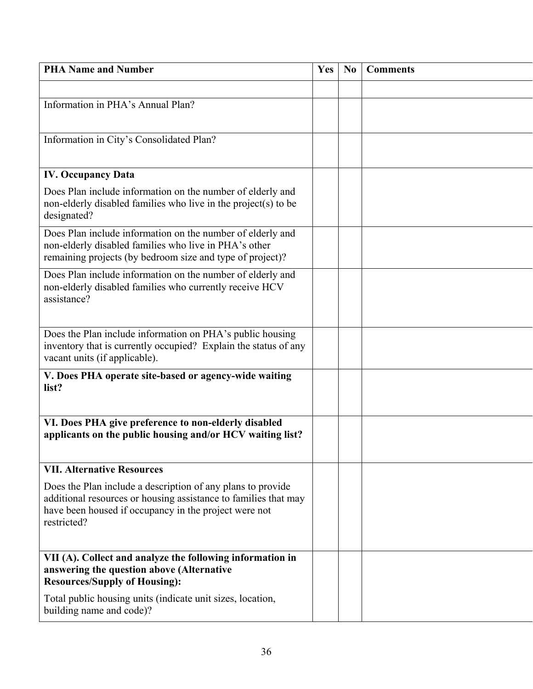| <b>PHA Name and Number</b>                                                                                                                                                                             | Yes | N <sub>0</sub> | <b>Comments</b> |
|--------------------------------------------------------------------------------------------------------------------------------------------------------------------------------------------------------|-----|----------------|-----------------|
|                                                                                                                                                                                                        |     |                |                 |
| Information in PHA's Annual Plan?                                                                                                                                                                      |     |                |                 |
|                                                                                                                                                                                                        |     |                |                 |
| Information in City's Consolidated Plan?                                                                                                                                                               |     |                |                 |
|                                                                                                                                                                                                        |     |                |                 |
| <b>IV. Occupancy Data</b>                                                                                                                                                                              |     |                |                 |
| Does Plan include information on the number of elderly and<br>non-elderly disabled families who live in the project(s) to be<br>designated?                                                            |     |                |                 |
| Does Plan include information on the number of elderly and<br>non-elderly disabled families who live in PHA's other<br>remaining projects (by bedroom size and type of project)?                       |     |                |                 |
| Does Plan include information on the number of elderly and<br>non-elderly disabled families who currently receive HCV<br>assistance?                                                                   |     |                |                 |
| Does the Plan include information on PHA's public housing<br>inventory that is currently occupied? Explain the status of any<br>vacant units (if applicable).                                          |     |                |                 |
| V. Does PHA operate site-based or agency-wide waiting<br>list?                                                                                                                                         |     |                |                 |
| VI. Does PHA give preference to non-elderly disabled<br>applicants on the public housing and/or HCV waiting list?                                                                                      |     |                |                 |
| <b>VII. Alternative Resources</b>                                                                                                                                                                      |     |                |                 |
| Does the Plan include a description of any plans to provide<br>additional resources or housing assistance to families that may<br>have been housed if occupancy in the project were not<br>restricted? |     |                |                 |
| VII (A). Collect and analyze the following information in<br>answering the question above (Alternative<br><b>Resources/Supply of Housing):</b>                                                         |     |                |                 |
| Total public housing units (indicate unit sizes, location,<br>building name and code)?                                                                                                                 |     |                |                 |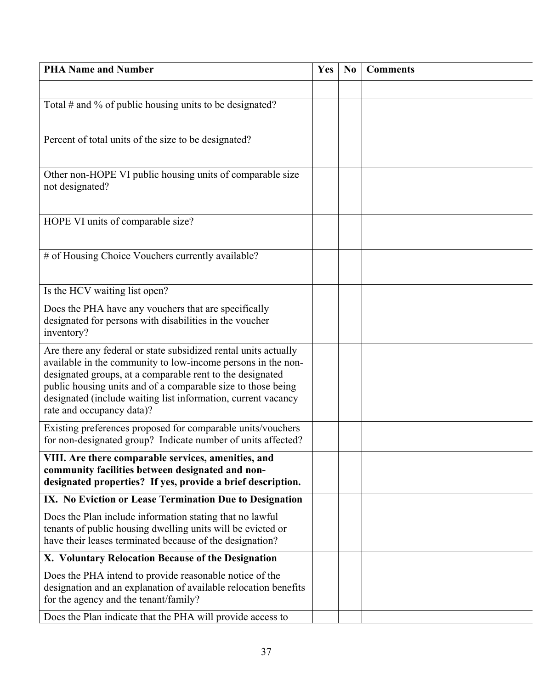| <b>PHA Name and Number</b>                                                                                                | Yes | N <sub>0</sub> | <b>Comments</b> |
|---------------------------------------------------------------------------------------------------------------------------|-----|----------------|-----------------|
|                                                                                                                           |     |                |                 |
| Total $#$ and % of public housing units to be designated?                                                                 |     |                |                 |
|                                                                                                                           |     |                |                 |
| Percent of total units of the size to be designated?                                                                      |     |                |                 |
|                                                                                                                           |     |                |                 |
| Other non-HOPE VI public housing units of comparable size<br>not designated?                                              |     |                |                 |
|                                                                                                                           |     |                |                 |
| HOPE VI units of comparable size?                                                                                         |     |                |                 |
|                                                                                                                           |     |                |                 |
| # of Housing Choice Vouchers currently available?                                                                         |     |                |                 |
|                                                                                                                           |     |                |                 |
| Is the HCV waiting list open?                                                                                             |     |                |                 |
| Does the PHA have any vouchers that are specifically                                                                      |     |                |                 |
| designated for persons with disabilities in the voucher<br>inventory?                                                     |     |                |                 |
| Are there any federal or state subsidized rental units actually                                                           |     |                |                 |
| available in the community to low-income persons in the non-<br>designated groups, at a comparable rent to the designated |     |                |                 |
| public housing units and of a comparable size to those being                                                              |     |                |                 |
| designated (include waiting list information, current vacancy<br>rate and occupancy data)?                                |     |                |                 |
| Existing preferences proposed for comparable units/vouchers                                                               |     |                |                 |
| for non-designated group? Indicate number of units affected?                                                              |     |                |                 |
| VIII. Are there comparable services, amenities, and                                                                       |     |                |                 |
| community facilities between designated and non-<br>designated properties? If yes, provide a brief description.           |     |                |                 |
| IX. No Eviction or Lease Termination Due to Designation                                                                   |     |                |                 |
| Does the Plan include information stating that no lawful                                                                  |     |                |                 |
| tenants of public housing dwelling units will be evicted or<br>have their leases terminated because of the designation?   |     |                |                 |
| X. Voluntary Relocation Because of the Designation                                                                        |     |                |                 |
| Does the PHA intend to provide reasonable notice of the                                                                   |     |                |                 |
| designation and an explanation of available relocation benefits<br>for the agency and the tenant/family?                  |     |                |                 |
| Does the Plan indicate that the PHA will provide access to                                                                |     |                |                 |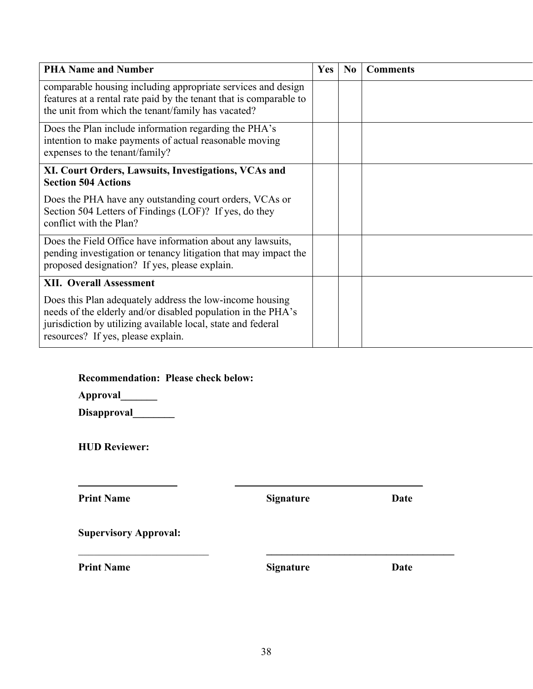| <b>PHA Name and Number</b>                                                                                                                                                                                                     | <b>Yes</b> | N <sub>0</sub> | <b>Comments</b> |
|--------------------------------------------------------------------------------------------------------------------------------------------------------------------------------------------------------------------------------|------------|----------------|-----------------|
| comparable housing including appropriate services and design<br>features at a rental rate paid by the tenant that is comparable to<br>the unit from which the tenant/family has vacated?                                       |            |                |                 |
| Does the Plan include information regarding the PHA's<br>intention to make payments of actual reasonable moving<br>expenses to the tenant/family?                                                                              |            |                |                 |
| XI. Court Orders, Lawsuits, Investigations, VCAs and<br><b>Section 504 Actions</b>                                                                                                                                             |            |                |                 |
| Does the PHA have any outstanding court orders, VCAs or<br>Section 504 Letters of Findings (LOF)? If yes, do they<br>conflict with the Plan?                                                                                   |            |                |                 |
| Does the Field Office have information about any lawsuits,<br>pending investigation or tenancy litigation that may impact the<br>proposed designation? If yes, please explain.                                                 |            |                |                 |
| <b>XII. Overall Assessment</b>                                                                                                                                                                                                 |            |                |                 |
| Does this Plan adequately address the low-income housing<br>needs of the elderly and/or disabled population in the PHA's<br>jurisdiction by utilizing available local, state and federal<br>resources? If yes, please explain. |            |                |                 |

**Recommendation: Please check below:** 

**Approval\_\_\_\_\_\_\_** 

Disapproval\_\_\_\_\_\_\_\_

**HUD Reviewer:** 

**Print Name Signature Date** 

**Supervisory Approval:** 

 *\_\_\_\_\_\_\_\_\_\_\_\_**\_\_\_\_\_\_ \_\_\_\_\_\_* 

**Print Name Signature Date** 

\_\_\_\_\_\_\_\_\_\_\_\_\_\_\_\_\_\_\_\_\_\_\_\_\_ **\_\_\_\_\_\_\_\_\_\_\_\_\_\_\_\_\_\_\_\_\_\_\_\_\_\_\_\_\_\_\_\_\_\_\_\_**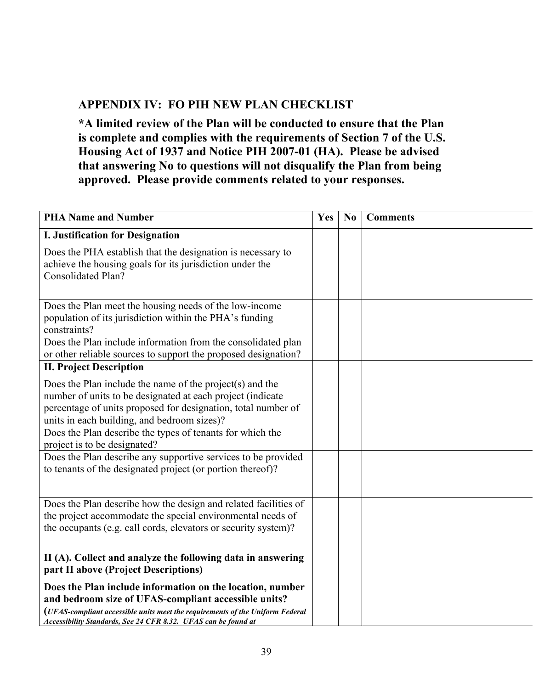# **APPENDIX IV: FO PIH NEW PLAN CHECKLIST**

**\*A limited review of the Plan will be conducted to ensure that the Plan is complete and complies with the requirements of Section 7 of the U.S. Housing Act of 1937 and Notice PIH 2007-01 (HA). Please be advised that answering No to questions will not disqualify the Plan from being approved. Please provide comments related to your responses.** 

| <b>PHA Name and Number</b>                                                                                                                                                                                                                                           | Yes | N <sub>0</sub> | <b>Comments</b> |
|----------------------------------------------------------------------------------------------------------------------------------------------------------------------------------------------------------------------------------------------------------------------|-----|----------------|-----------------|
| <b>I. Justification for Designation</b>                                                                                                                                                                                                                              |     |                |                 |
| Does the PHA establish that the designation is necessary to<br>achieve the housing goals for its jurisdiction under the<br><b>Consolidated Plan?</b>                                                                                                                 |     |                |                 |
| Does the Plan meet the housing needs of the low-income<br>population of its jurisdiction within the PHA's funding<br>constraints?                                                                                                                                    |     |                |                 |
| Does the Plan include information from the consolidated plan<br>or other reliable sources to support the proposed designation?                                                                                                                                       |     |                |                 |
| <b>II. Project Description</b>                                                                                                                                                                                                                                       |     |                |                 |
| Does the Plan include the name of the project(s) and the<br>number of units to be designated at each project (indicate<br>percentage of units proposed for designation, total number of<br>units in each building, and bedroom sizes)?                               |     |                |                 |
| Does the Plan describe the types of tenants for which the<br>project is to be designated?                                                                                                                                                                            |     |                |                 |
| Does the Plan describe any supportive services to be provided<br>to tenants of the designated project (or portion thereof)?                                                                                                                                          |     |                |                 |
| Does the Plan describe how the design and related facilities of<br>the project accommodate the special environmental needs of<br>the occupants (e.g. call cords, elevators or security system)?                                                                      |     |                |                 |
| II (A). Collect and analyze the following data in answering<br>part II above (Project Descriptions)                                                                                                                                                                  |     |                |                 |
| Does the Plan include information on the location, number<br>and bedroom size of UFAS-compliant accessible units?<br>(UFAS-compliant accessible units meet the requirements of the Uniform Federal<br>Accessibility Standards, See 24 CFR 8.32. UFAS can be found at |     |                |                 |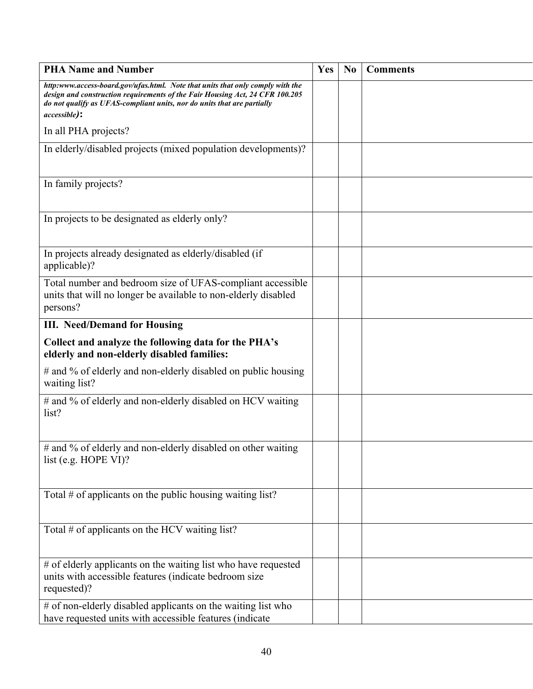| <b>PHA Name and Number</b>                                                                                                                                                                                                                                        | Yes | N <sub>0</sub> | <b>Comments</b> |
|-------------------------------------------------------------------------------------------------------------------------------------------------------------------------------------------------------------------------------------------------------------------|-----|----------------|-----------------|
| http:www.access-board.gov/ufas.html. Note that units that only comply with the<br>design and construction requirements of the Fair Housing Act, 24 CFR 100.205<br>do not qualify as UFAS-compliant units, nor do units that are partially<br><i>accessible</i> ): |     |                |                 |
| In all PHA projects?                                                                                                                                                                                                                                              |     |                |                 |
| In elderly/disabled projects (mixed population developments)?                                                                                                                                                                                                     |     |                |                 |
| In family projects?                                                                                                                                                                                                                                               |     |                |                 |
| In projects to be designated as elderly only?                                                                                                                                                                                                                     |     |                |                 |
| In projects already designated as elderly/disabled (if<br>applicable)?                                                                                                                                                                                            |     |                |                 |
| Total number and bedroom size of UFAS-compliant accessible<br>units that will no longer be available to non-elderly disabled<br>persons?                                                                                                                          |     |                |                 |
| <b>III.</b> Need/Demand for Housing                                                                                                                                                                                                                               |     |                |                 |
| Collect and analyze the following data for the PHA's<br>elderly and non-elderly disabled families:                                                                                                                                                                |     |                |                 |
| # and % of elderly and non-elderly disabled on public housing<br>waiting list?                                                                                                                                                                                    |     |                |                 |
| # and % of elderly and non-elderly disabled on HCV waiting<br>list?                                                                                                                                                                                               |     |                |                 |
| # and % of elderly and non-elderly disabled on other waiting<br>list (e.g. HOPE VI)?                                                                                                                                                                              |     |                |                 |
| Total # of applicants on the public housing waiting list?                                                                                                                                                                                                         |     |                |                 |
| Total $#$ of applicants on the HCV waiting list?                                                                                                                                                                                                                  |     |                |                 |
| # of elderly applicants on the waiting list who have requested<br>units with accessible features (indicate bedroom size<br>requested)?                                                                                                                            |     |                |                 |
| # of non-elderly disabled applicants on the waiting list who<br>have requested units with accessible features (indicate                                                                                                                                           |     |                |                 |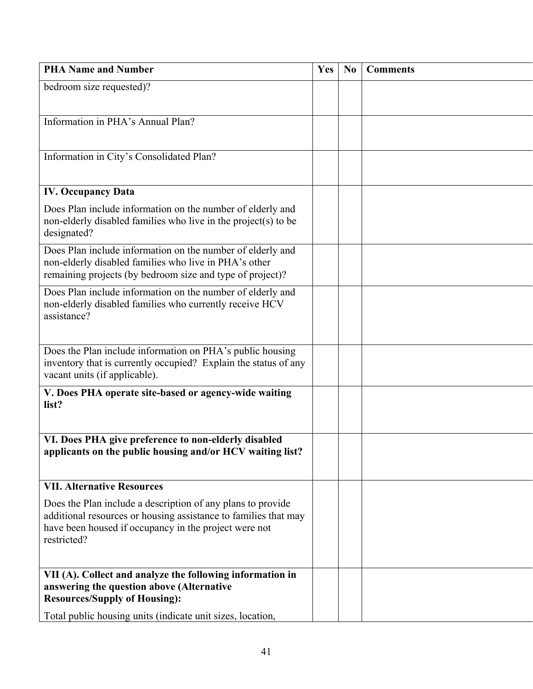| <b>PHA Name and Number</b>                                                                                                                                                                             | Yes | N <sub>0</sub> | <b>Comments</b> |
|--------------------------------------------------------------------------------------------------------------------------------------------------------------------------------------------------------|-----|----------------|-----------------|
| bedroom size requested)?                                                                                                                                                                               |     |                |                 |
|                                                                                                                                                                                                        |     |                |                 |
| Information in PHA's Annual Plan?                                                                                                                                                                      |     |                |                 |
|                                                                                                                                                                                                        |     |                |                 |
| Information in City's Consolidated Plan?                                                                                                                                                               |     |                |                 |
|                                                                                                                                                                                                        |     |                |                 |
| <b>IV. Occupancy Data</b>                                                                                                                                                                              |     |                |                 |
| Does Plan include information on the number of elderly and<br>non-elderly disabled families who live in the project(s) to be<br>designated?                                                            |     |                |                 |
| Does Plan include information on the number of elderly and<br>non-elderly disabled families who live in PHA's other<br>remaining projects (by bedroom size and type of project)?                       |     |                |                 |
| Does Plan include information on the number of elderly and<br>non-elderly disabled families who currently receive HCV<br>assistance?                                                                   |     |                |                 |
| Does the Plan include information on PHA's public housing<br>inventory that is currently occupied? Explain the status of any<br>vacant units (if applicable).                                          |     |                |                 |
| V. Does PHA operate site-based or agency-wide waiting<br>list?                                                                                                                                         |     |                |                 |
| VI. Does PHA give preference to non-elderly disabled<br>applicants on the public housing and/or HCV waiting list?                                                                                      |     |                |                 |
| <b>VII. Alternative Resources</b>                                                                                                                                                                      |     |                |                 |
| Does the Plan include a description of any plans to provide<br>additional resources or housing assistance to families that may<br>have been housed if occupancy in the project were not<br>restricted? |     |                |                 |
| VII (A). Collect and analyze the following information in                                                                                                                                              |     |                |                 |
| answering the question above (Alternative                                                                                                                                                              |     |                |                 |
| <b>Resources/Supply of Housing):</b>                                                                                                                                                                   |     |                |                 |
| Total public housing units (indicate unit sizes, location,                                                                                                                                             |     |                |                 |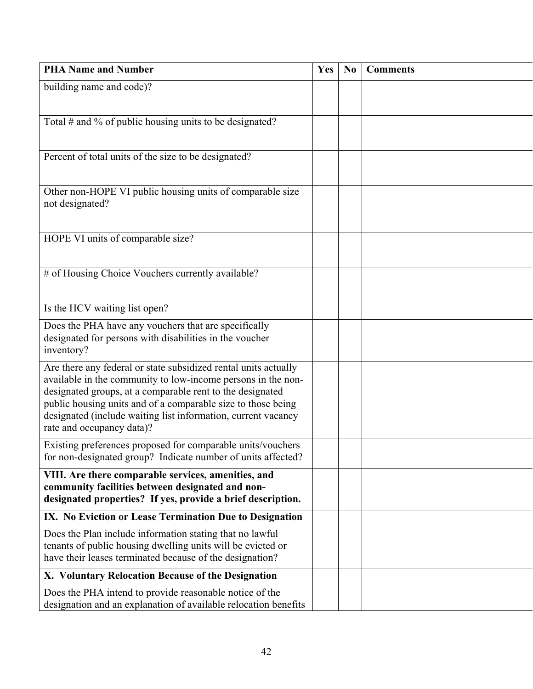| <b>PHA Name and Number</b>                                                                                                                                                                                                                                                                                                                                 | Yes | N <sub>0</sub> | <b>Comments</b> |
|------------------------------------------------------------------------------------------------------------------------------------------------------------------------------------------------------------------------------------------------------------------------------------------------------------------------------------------------------------|-----|----------------|-----------------|
| building name and code)?                                                                                                                                                                                                                                                                                                                                   |     |                |                 |
|                                                                                                                                                                                                                                                                                                                                                            |     |                |                 |
| Total $#$ and % of public housing units to be designated?                                                                                                                                                                                                                                                                                                  |     |                |                 |
| Percent of total units of the size to be designated?                                                                                                                                                                                                                                                                                                       |     |                |                 |
| Other non-HOPE VI public housing units of comparable size<br>not designated?                                                                                                                                                                                                                                                                               |     |                |                 |
| HOPE VI units of comparable size?                                                                                                                                                                                                                                                                                                                          |     |                |                 |
| # of Housing Choice Vouchers currently available?                                                                                                                                                                                                                                                                                                          |     |                |                 |
| Is the HCV waiting list open?                                                                                                                                                                                                                                                                                                                              |     |                |                 |
| Does the PHA have any vouchers that are specifically<br>designated for persons with disabilities in the voucher<br>inventory?                                                                                                                                                                                                                              |     |                |                 |
| Are there any federal or state subsidized rental units actually<br>available in the community to low-income persons in the non-<br>designated groups, at a comparable rent to the designated<br>public housing units and of a comparable size to those being<br>designated (include waiting list information, current vacancy<br>rate and occupancy data)? |     |                |                 |
| Existing preferences proposed for comparable units/vouchers<br>for non-designated group? Indicate number of units affected?                                                                                                                                                                                                                                |     |                |                 |
| VIII. Are there comparable services, amenities, and<br>community facilities between designated and non-<br>designated properties? If yes, provide a brief description.                                                                                                                                                                                     |     |                |                 |
| IX. No Eviction or Lease Termination Due to Designation                                                                                                                                                                                                                                                                                                    |     |                |                 |
| Does the Plan include information stating that no lawful<br>tenants of public housing dwelling units will be evicted or<br>have their leases terminated because of the designation?                                                                                                                                                                        |     |                |                 |
| X. Voluntary Relocation Because of the Designation                                                                                                                                                                                                                                                                                                         |     |                |                 |
| Does the PHA intend to provide reasonable notice of the<br>designation and an explanation of available relocation benefits                                                                                                                                                                                                                                 |     |                |                 |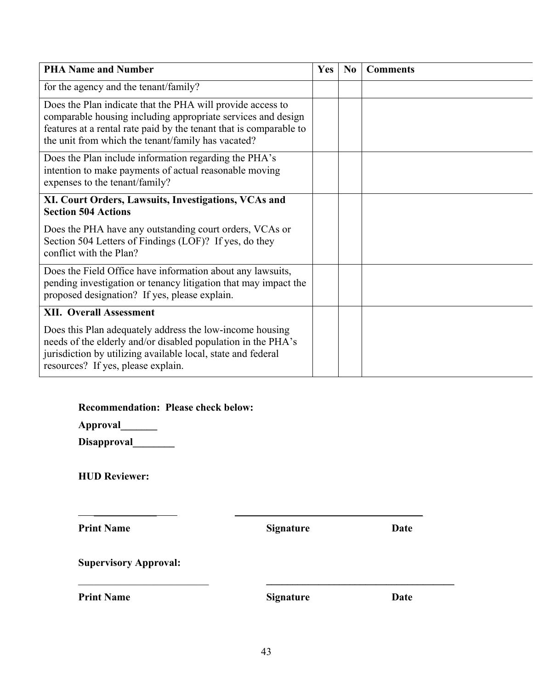| <b>PHA Name and Number</b>                                                                                                                                                                                                                             | <b>Yes</b> | N <sub>0</sub> | <b>Comments</b> |
|--------------------------------------------------------------------------------------------------------------------------------------------------------------------------------------------------------------------------------------------------------|------------|----------------|-----------------|
| for the agency and the tenant/family?                                                                                                                                                                                                                  |            |                |                 |
| Does the Plan indicate that the PHA will provide access to<br>comparable housing including appropriate services and design<br>features at a rental rate paid by the tenant that is comparable to<br>the unit from which the tenant/family has vacated? |            |                |                 |
| Does the Plan include information regarding the PHA's<br>intention to make payments of actual reasonable moving<br>expenses to the tenant/family?                                                                                                      |            |                |                 |
| XI. Court Orders, Lawsuits, Investigations, VCAs and<br><b>Section 504 Actions</b>                                                                                                                                                                     |            |                |                 |
| Does the PHA have any outstanding court orders, VCAs or<br>Section 504 Letters of Findings (LOF)? If yes, do they<br>conflict with the Plan?                                                                                                           |            |                |                 |
| Does the Field Office have information about any lawsuits,<br>pending investigation or tenancy litigation that may impact the<br>proposed designation? If yes, please explain.                                                                         |            |                |                 |
| <b>XII. Overall Assessment</b>                                                                                                                                                                                                                         |            |                |                 |
| Does this Plan adequately address the low-income housing<br>needs of the elderly and/or disabled population in the PHA's<br>jurisdiction by utilizing available local, state and federal<br>resources? If yes, please explain.                         |            |                |                 |

**Approval\_\_\_\_\_\_\_** 

Disapproval\_\_\_\_\_\_\_\_

**HUD Reviewer:** 

**Print Name Signature Date** 

 *\_\_\_\_\_\_\_\_\_\_\_\_**\_\_\_\_\_\_ \_\_\_\_\_\_* 

**Supervisory Approval:** 

**Print Name Signature Date** 

\_\_\_\_\_\_\_\_\_\_\_\_\_\_\_\_\_\_\_\_\_\_\_\_\_ **\_\_\_\_\_\_\_\_\_\_\_\_\_\_\_\_\_\_\_\_\_\_\_\_\_\_\_\_\_\_\_\_\_\_\_\_**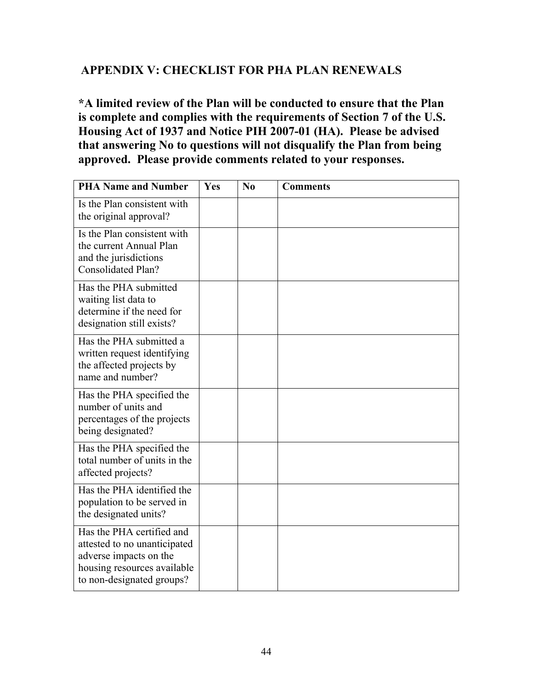# **APPENDIX V: CHECKLIST FOR PHA PLAN RENEWALS**

**\*A limited review of the Plan will be conducted to ensure that the Plan is complete and complies with the requirements of Section 7 of the U.S. Housing Act of 1937 and Notice PIH 2007-01 (HA). Please be advised that answering No to questions will not disqualify the Plan from being approved. Please provide comments related to your responses.** 

| <b>PHA Name and Number</b>                                                                                                                      | <b>Yes</b> | No | <b>Comments</b> |
|-------------------------------------------------------------------------------------------------------------------------------------------------|------------|----|-----------------|
| Is the Plan consistent with<br>the original approval?                                                                                           |            |    |                 |
| Is the Plan consistent with<br>the current Annual Plan<br>and the jurisdictions<br><b>Consolidated Plan?</b>                                    |            |    |                 |
| Has the PHA submitted<br>waiting list data to<br>determine if the need for<br>designation still exists?                                         |            |    |                 |
| Has the PHA submitted a<br>written request identifying<br>the affected projects by<br>name and number?                                          |            |    |                 |
| Has the PHA specified the<br>number of units and<br>percentages of the projects<br>being designated?                                            |            |    |                 |
| Has the PHA specified the<br>total number of units in the<br>affected projects?                                                                 |            |    |                 |
| Has the PHA identified the<br>population to be served in<br>the designated units?                                                               |            |    |                 |
| Has the PHA certified and<br>attested to no unanticipated<br>adverse impacts on the<br>housing resources available<br>to non-designated groups? |            |    |                 |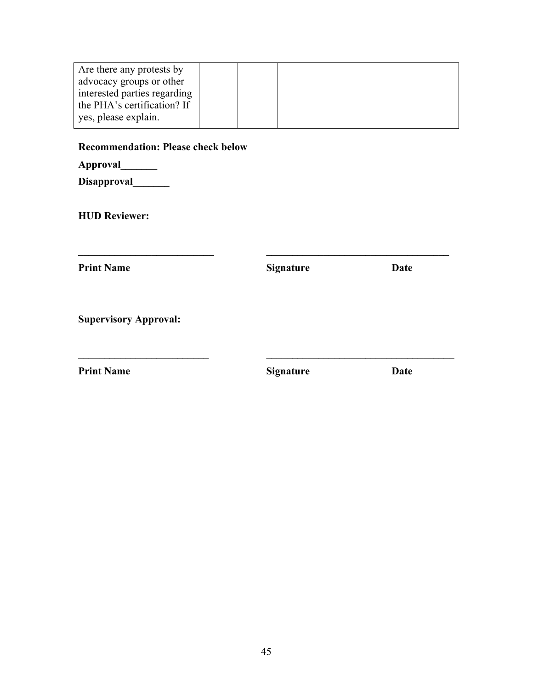| Are there any protests by    |  |  |  |
|------------------------------|--|--|--|
| advocacy groups or other     |  |  |  |
| interested parties regarding |  |  |  |
| the PHA's certification? If  |  |  |  |
| yes, please explain.         |  |  |  |

### **Recommendation: Please check below**

Disapproval\_\_\_\_\_\_\_

**HUD Reviewer:** 

| <b>Print Name</b>            | <b>Signature</b> | Date |
|------------------------------|------------------|------|
| <b>Supervisory Approval:</b> |                  |      |
|                              |                  |      |
| <b>Print Name</b>            | <b>Signature</b> | Date |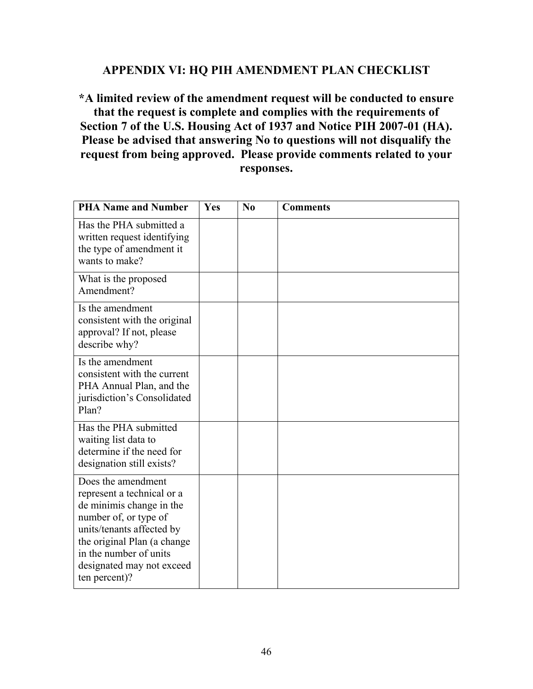### **APPENDIX VI: HQ PIH AMENDMENT PLAN CHECKLIST**

**\*A limited review of the amendment request will be conducted to ensure that the request is complete and complies with the requirements of Section 7 of the U.S. Housing Act of 1937 and Notice PIH 2007-01 (HA). Please be advised that answering No to questions will not disqualify the request from being approved. Please provide comments related to your responses.** 

| <b>PHA Name and Number</b>                                                                                                                                                                                                                | Yes | No | <b>Comments</b> |
|-------------------------------------------------------------------------------------------------------------------------------------------------------------------------------------------------------------------------------------------|-----|----|-----------------|
| Has the PHA submitted a<br>written request identifying<br>the type of amendment it<br>wants to make?                                                                                                                                      |     |    |                 |
| What is the proposed<br>Amendment?                                                                                                                                                                                                        |     |    |                 |
| Is the amendment<br>consistent with the original<br>approval? If not, please<br>describe why?                                                                                                                                             |     |    |                 |
| Is the amendment<br>consistent with the current<br>PHA Annual Plan, and the<br>jurisdiction's Consolidated<br>Plan?                                                                                                                       |     |    |                 |
| Has the PHA submitted<br>waiting list data to<br>determine if the need for<br>designation still exists?                                                                                                                                   |     |    |                 |
| Does the amendment<br>represent a technical or a<br>de minimis change in the<br>number of, or type of<br>units/tenants affected by<br>the original Plan (a change<br>in the number of units<br>designated may not exceed<br>ten percent)? |     |    |                 |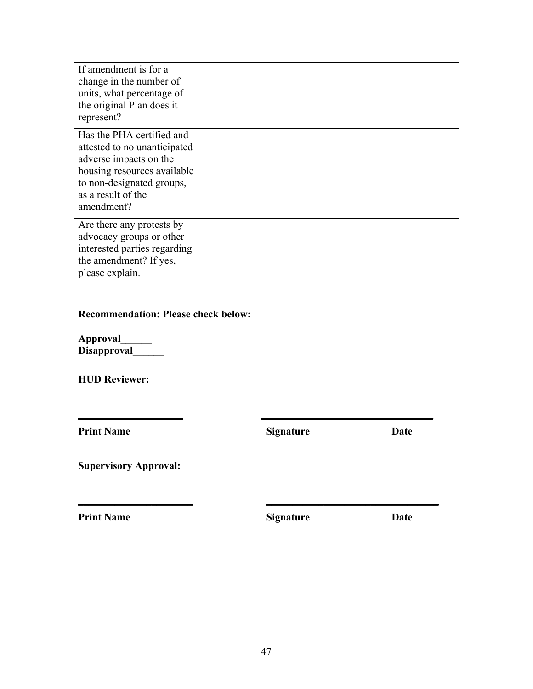| If amendment is for a<br>change in the number of<br>units, what percentage of<br>the original Plan does it<br>represent?                                                            |  |  |
|-------------------------------------------------------------------------------------------------------------------------------------------------------------------------------------|--|--|
| Has the PHA certified and<br>attested to no unanticipated<br>adverse impacts on the<br>housing resources available<br>to non-designated groups,<br>as a result of the<br>amendment? |  |  |
| Are there any protests by<br>advocacy groups or other<br>interested parties regarding<br>the amendment? If yes,<br>please explain.                                                  |  |  |

### **Recommendation: Please check below:**

**Approval\_\_\_\_\_\_ Disapproval\_\_\_\_\_\_** 

**HUD Reviewer:** 

**Print Name Signature Date** 

**\_\_\_\_\_\_\_\_\_\_\_\_\_\_ \_\_\_\_\_\_\_\_\_\_\_\_\_\_\_\_\_\_\_\_\_\_\_\_\_\_\_\_\_\_\_\_\_**

**\_\_\_\_\_\_\_\_\_\_\_\_\_\_\_\_\_\_\_\_\_\_ \_\_\_\_\_\_\_\_\_\_\_\_\_\_\_\_\_\_\_\_\_\_\_\_\_\_\_\_\_\_\_\_\_**

**Supervisory Approval:** 

**Print Name Signature Date**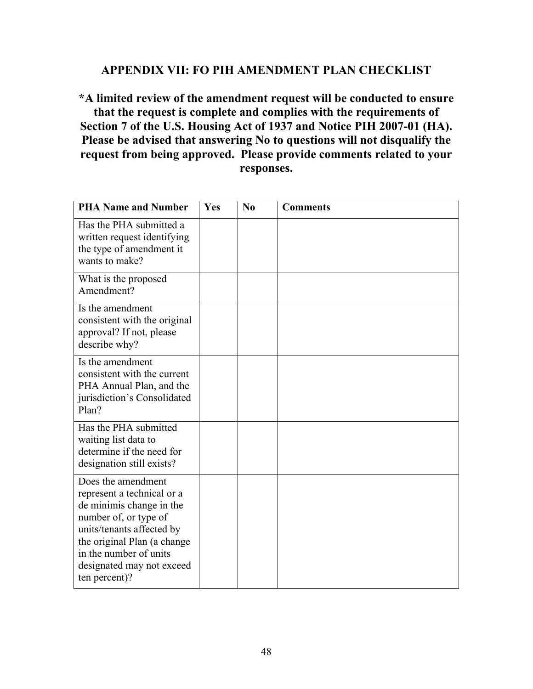### **APPENDIX VII: FO PIH AMENDMENT PLAN CHECKLIST**

**\*A limited review of the amendment request will be conducted to ensure that the request is complete and complies with the requirements of Section 7 of the U.S. Housing Act of 1937 and Notice PIH 2007-01 (HA). Please be advised that answering No to questions will not disqualify the request from being approved. Please provide comments related to your responses.** 

| <b>PHA Name and Number</b>                                                                                                                                                                                                                | Yes | No | <b>Comments</b> |
|-------------------------------------------------------------------------------------------------------------------------------------------------------------------------------------------------------------------------------------------|-----|----|-----------------|
| Has the PHA submitted a<br>written request identifying<br>the type of amendment it<br>wants to make?                                                                                                                                      |     |    |                 |
| What is the proposed<br>Amendment?                                                                                                                                                                                                        |     |    |                 |
| Is the amendment<br>consistent with the original<br>approval? If not, please<br>describe why?                                                                                                                                             |     |    |                 |
| Is the amendment<br>consistent with the current<br>PHA Annual Plan, and the<br>jurisdiction's Consolidated<br>Plan?                                                                                                                       |     |    |                 |
| Has the PHA submitted<br>waiting list data to<br>determine if the need for<br>designation still exists?                                                                                                                                   |     |    |                 |
| Does the amendment<br>represent a technical or a<br>de minimis change in the<br>number of, or type of<br>units/tenants affected by<br>the original Plan (a change<br>in the number of units<br>designated may not exceed<br>ten percent)? |     |    |                 |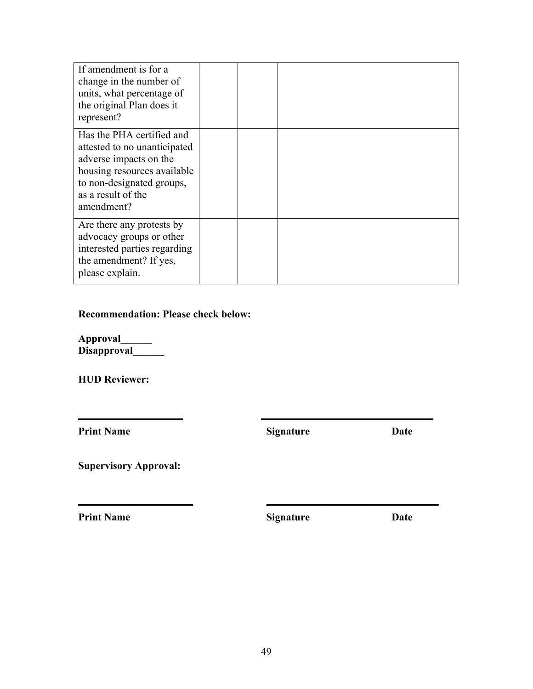| If amendment is for a<br>change in the number of<br>units, what percentage of<br>the original Plan does it<br>represent?                                                            |  |  |
|-------------------------------------------------------------------------------------------------------------------------------------------------------------------------------------|--|--|
| Has the PHA certified and<br>attested to no unanticipated<br>adverse impacts on the<br>housing resources available<br>to non-designated groups,<br>as a result of the<br>amendment? |  |  |
| Are there any protests by<br>advocacy groups or other<br>interested parties regarding<br>the amendment? If yes,<br>please explain.                                                  |  |  |

### **Recommendation: Please check below:**

**Approval\_\_\_\_\_\_ Disapproval\_\_\_\_\_\_** 

**HUD Reviewer:** 

**Print Name Signature Date** 

**\_\_\_\_\_\_\_\_\_\_\_\_\_\_ \_\_\_\_\_\_\_\_\_\_\_\_\_\_\_\_\_\_\_\_\_\_\_\_\_\_\_\_\_\_\_\_\_**

**\_\_\_\_\_\_\_\_\_\_\_\_\_\_\_\_\_\_\_\_\_\_ \_\_\_\_\_\_\_\_\_\_\_\_\_\_\_\_\_\_\_\_\_\_\_\_\_\_\_\_\_\_\_\_\_**

**Supervisory Approval:** 

**Print Name Signature Date**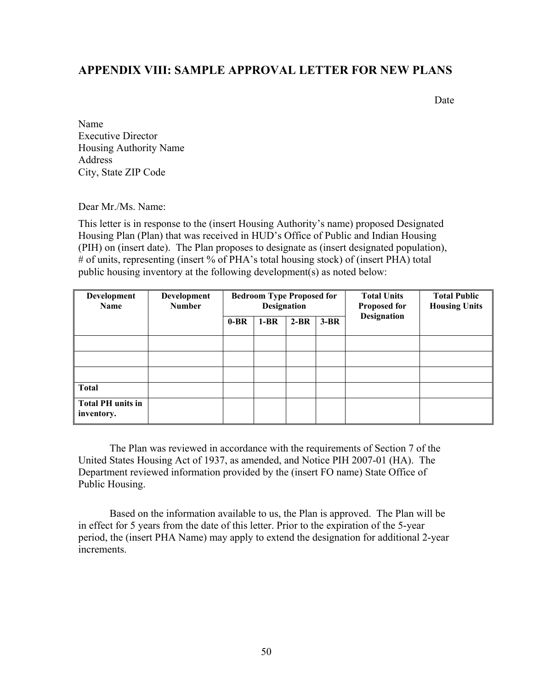### **APPENDIX VIII: SAMPLE APPROVAL LETTER FOR NEW PLANS**

Date

Name Executive Director Housing Authority Name Address City, State ZIP Code

Dear Mr./Ms. Name:

This letter is in response to the (insert Housing Authority's name) proposed Designated Housing Plan (Plan) that was received in HUD's Office of Public and Indian Housing (PIH) on (insert date). The Plan proposes to designate as (insert designated population), # of units, representing (insert % of PHA's total housing stock) of (insert PHA) total public housing inventory at the following development(s) as noted below:

| Development<br><b>Name</b>             | Development<br><b>Number</b> | <b>Bedroom Type Proposed for</b><br><b>Designation</b> |        |        |        | <b>Total Units</b><br><b>Proposed for</b> | <b>Total Public</b><br><b>Housing Units</b> |
|----------------------------------------|------------------------------|--------------------------------------------------------|--------|--------|--------|-------------------------------------------|---------------------------------------------|
|                                        |                              | $0-BR$                                                 | $1-BR$ | $2-BR$ | $3-BR$ | <b>Designation</b>                        |                                             |
|                                        |                              |                                                        |        |        |        |                                           |                                             |
|                                        |                              |                                                        |        |        |        |                                           |                                             |
|                                        |                              |                                                        |        |        |        |                                           |                                             |
| <b>Total</b>                           |                              |                                                        |        |        |        |                                           |                                             |
| <b>Total PH</b> units in<br>inventory. |                              |                                                        |        |        |        |                                           |                                             |

The Plan was reviewed in accordance with the requirements of Section 7 of the United States Housing Act of 1937, as amended, and Notice PIH 2007-01 (HA). The Department reviewed information provided by the (insert FO name) State Office of Public Housing.

Based on the information available to us, the Plan is approved. The Plan will be in effect for 5 years from the date of this letter. Prior to the expiration of the 5-year period, the (insert PHA Name) may apply to extend the designation for additional 2-year increments.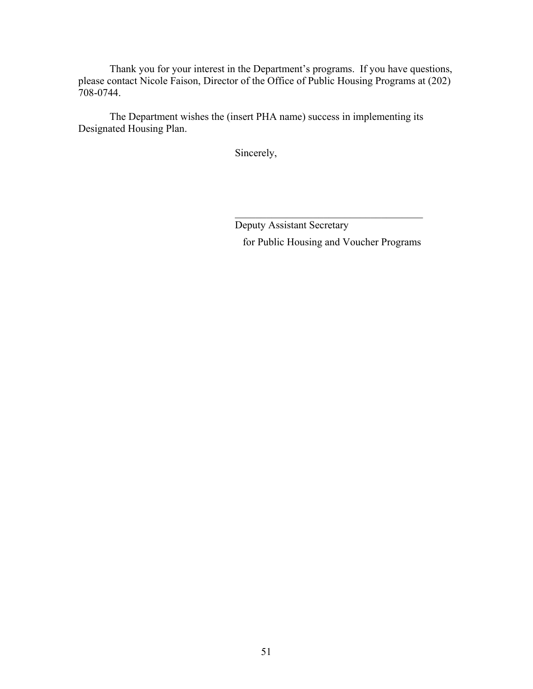Thank you for your interest in the Department's programs. If you have questions, please contact Nicole Faison, Director of the Office of Public Housing Programs at (202) 708-0744.

The Department wishes the (insert PHA name) success in implementing its Designated Housing Plan.

Sincerely,

Deputy Assistant Secretary for Public Housing and Voucher Programs

 $\mathcal{L}_\text{max}$  , and the set of the set of the set of the set of the set of the set of the set of the set of the set of the set of the set of the set of the set of the set of the set of the set of the set of the set of the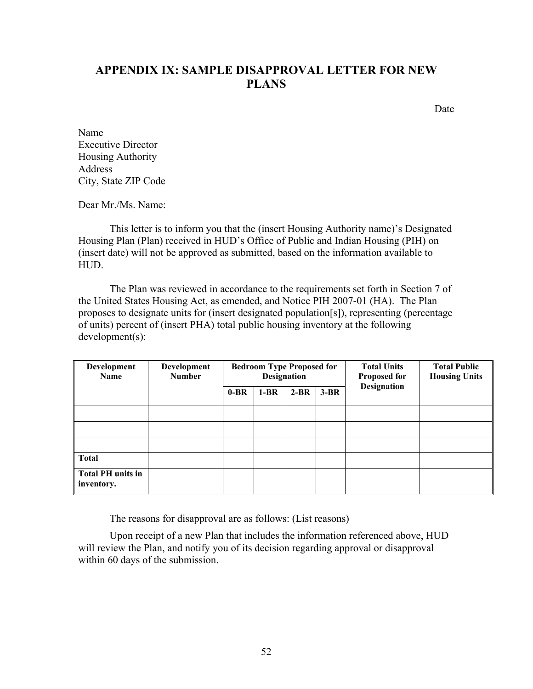# **APPENDIX IX: SAMPLE DISAPPROVAL LETTER FOR NEW PLANS**

Date

Name Executive Director Housing Authority Address City, State ZIP Code

Dear Mr /Ms. Name:

This letter is to inform you that the (insert Housing Authority name)'s Designated Housing Plan (Plan) received in HUD's Office of Public and Indian Housing (PIH) on (insert date) will not be approved as submitted, based on the information available to HUD.

The Plan was reviewed in accordance to the requirements set forth in Section 7 of the United States Housing Act, as emended, and Notice PIH 2007-01 (HA). The Plan proposes to designate units for (insert designated population[s]), representing (percentage of units) percent of (insert PHA) total public housing inventory at the following development(s):

| Development<br><b>Name</b>             | Development<br><b>Number</b> | <b>Bedroom Type Proposed for</b><br><b>Designation</b> |        |        |        | <b>Total Units</b><br><b>Proposed for</b> | <b>Total Public</b><br><b>Housing Units</b> |
|----------------------------------------|------------------------------|--------------------------------------------------------|--------|--------|--------|-------------------------------------------|---------------------------------------------|
|                                        |                              | $0-BR$                                                 | $1-BR$ | $2-BR$ | $3-BR$ | <b>Designation</b>                        |                                             |
|                                        |                              |                                                        |        |        |        |                                           |                                             |
|                                        |                              |                                                        |        |        |        |                                           |                                             |
|                                        |                              |                                                        |        |        |        |                                           |                                             |
| <b>Total</b>                           |                              |                                                        |        |        |        |                                           |                                             |
| <b>Total PH</b> units in<br>inventory. |                              |                                                        |        |        |        |                                           |                                             |

The reasons for disapproval are as follows: (List reasons)

Upon receipt of a new Plan that includes the information referenced above, HUD will review the Plan, and notify you of its decision regarding approval or disapproval within 60 days of the submission.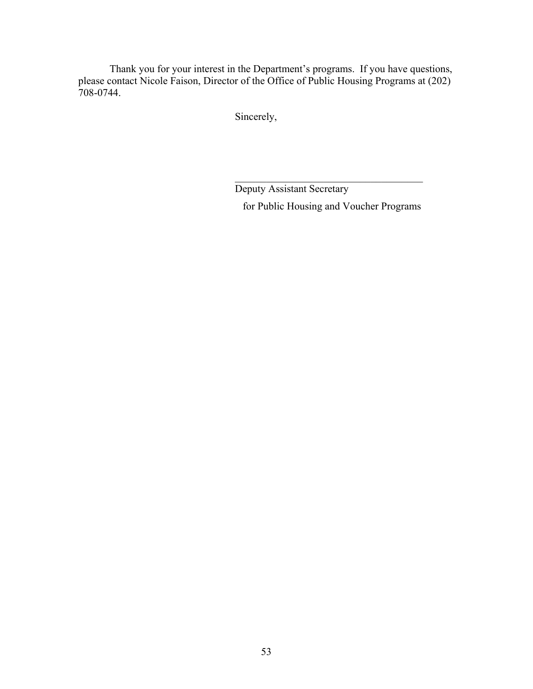Thank you for your interest in the Department's programs. If you have questions, please contact Nicole Faison, Director of the Office of Public Housing Programs at (202) 708-0744.

Sincerely,

Deputy Assistant Secretary for Public Housing and Voucher Programs

 $\mathcal{L}_\text{max}$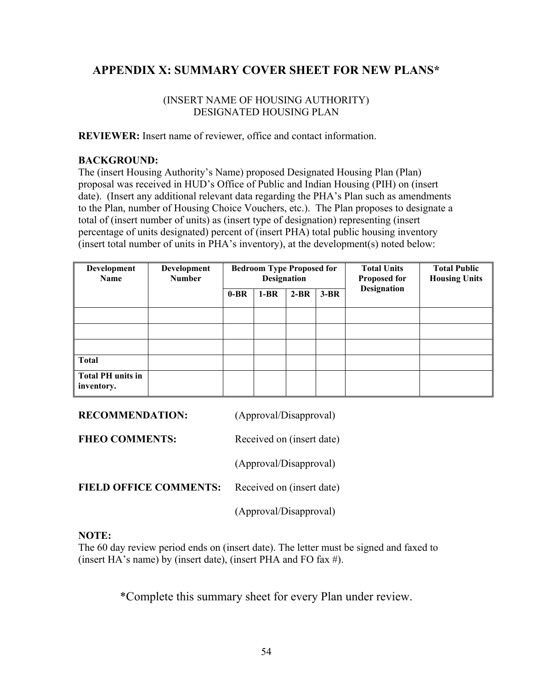# **APPENDIX X: SUMMARY COVER SHEET FOR NEW PLANS\***

### (INSERT NAME OF HOUSING AUTHORITY) DESIGNATED HOUSING PLAN

**REVIEWER:** Insert name of reviewer, office and contact information.

### **BACKGROUND:**

The (insert Housing Authority's Name) proposed Designated Housing Plan (Plan) proposal was received in HUD's Office of Public and Indian Housing (PIH) on (insert date). (Insert any additional relevant data regarding the PHA's Plan such as amendments to the Plan, number of Housing Choice Vouchers, etc.). The Plan proposes to designate a total of (insert number of units) as (insert type of designation) representing (insert percentage of units designated) percent of (insert PHA) total public housing inventory (insert total number of units in PHA's inventory), at the development(s) noted below:

| Development<br><b>Name</b>             | Development<br><b>Number</b> | <b>Bedroom Type Proposed for</b><br><b>Designation</b> |        |        |        | <b>Total Units</b><br><b>Proposed for</b> | <b>Total Public</b><br><b>Housing Units</b> |
|----------------------------------------|------------------------------|--------------------------------------------------------|--------|--------|--------|-------------------------------------------|---------------------------------------------|
|                                        |                              | $0-BR$                                                 | $1-BR$ | $2-BR$ | $3-BR$ | <b>Designation</b>                        |                                             |
|                                        |                              |                                                        |        |        |        |                                           |                                             |
|                                        |                              |                                                        |        |        |        |                                           |                                             |
|                                        |                              |                                                        |        |        |        |                                           |                                             |
| <b>Total</b>                           |                              |                                                        |        |        |        |                                           |                                             |
| <b>Total PH</b> units in<br>inventory. |                              |                                                        |        |        |        |                                           |                                             |

| <b>RECOMMENDATION:</b>        | (Approval/Disapproval)    |
|-------------------------------|---------------------------|
| <b>FHEO COMMENTS:</b>         | Received on (insert date) |
|                               | (Approval/Disapproval)    |
| <b>FIELD OFFICE COMMENTS:</b> | Received on (insert date) |
|                               | (Approval/Disapproval)    |

#### **NOTE:**

The 60 day review period ends on (insert date). The letter must be signed and faxed to (insert HA's name) by (insert date), (insert PHA and FO fax #).

\*Complete this summary sheet for every Plan under review.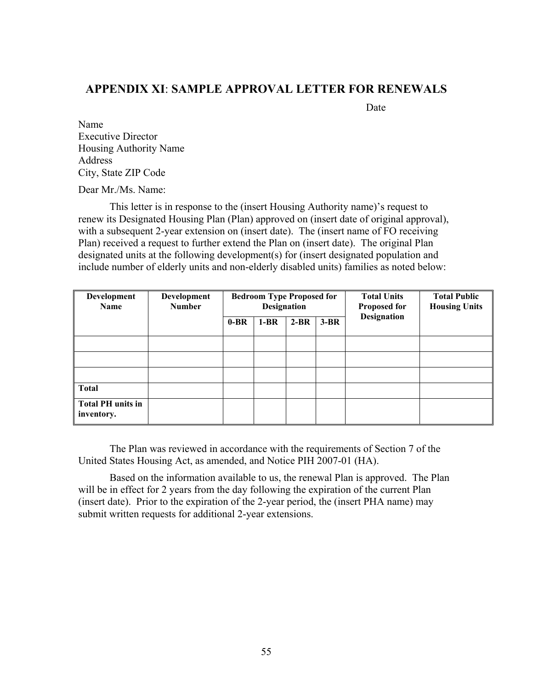### **APPENDIX XI**: **SAMPLE APPROVAL LETTER FOR RENEWALS**

Date **Date** 

Name Executive Director Housing Authority Name Address City, State ZIP Code

Dear Mr./Ms. Name:

 This letter is in response to the (insert Housing Authority name)'s request to renew its Designated Housing Plan (Plan) approved on (insert date of original approval), with a subsequent 2-year extension on (insert date). The (insert name of FO receiving Plan) received a request to further extend the Plan on (insert date). The original Plan designated units at the following development(s) for (insert designated population and include number of elderly units and non-elderly disabled units) families as noted below:

| Development<br><b>Name</b>             | Development<br><b>Number</b> | <b>Bedroom Type Proposed for</b><br><b>Designation</b> |        |        |        | <b>Total Units</b><br><b>Proposed for</b> | <b>Total Public</b><br><b>Housing Units</b> |
|----------------------------------------|------------------------------|--------------------------------------------------------|--------|--------|--------|-------------------------------------------|---------------------------------------------|
|                                        |                              | $0-BR$                                                 | $1-BR$ | $2-BR$ | $3-BR$ | <b>Designation</b>                        |                                             |
|                                        |                              |                                                        |        |        |        |                                           |                                             |
|                                        |                              |                                                        |        |        |        |                                           |                                             |
|                                        |                              |                                                        |        |        |        |                                           |                                             |
| <b>Total</b>                           |                              |                                                        |        |        |        |                                           |                                             |
| <b>Total PH</b> units in<br>inventory. |                              |                                                        |        |        |        |                                           |                                             |

The Plan was reviewed in accordance with the requirements of Section 7 of the United States Housing Act, as amended, and Notice PIH 2007-01 (HA).

Based on the information available to us, the renewal Plan is approved. The Plan will be in effect for 2 years from the day following the expiration of the current Plan (insert date). Prior to the expiration of the 2-year period, the (insert PHA name) may submit written requests for additional 2-year extensions.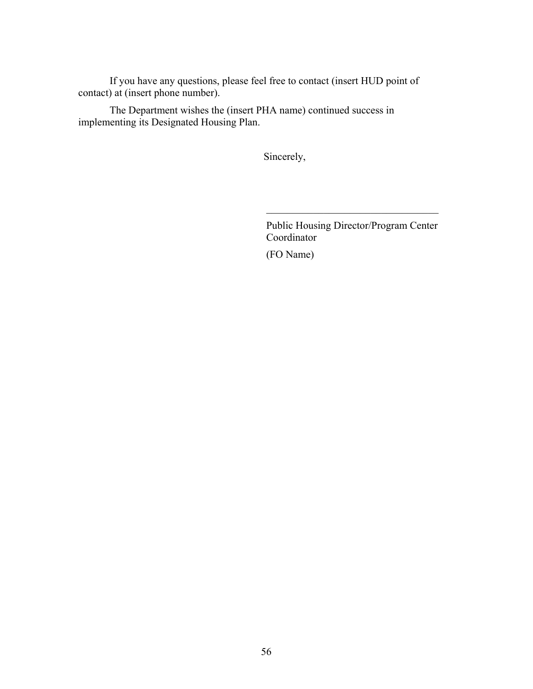If you have any questions, please feel free to contact (insert HUD point of contact) at (insert phone number).

The Department wishes the (insert PHA name) continued success in implementing its Designated Housing Plan.

Sincerely,

Public Housing Director/Program Center Coordinator

 $\mathcal{L}_\text{max}$ 

(FO Name)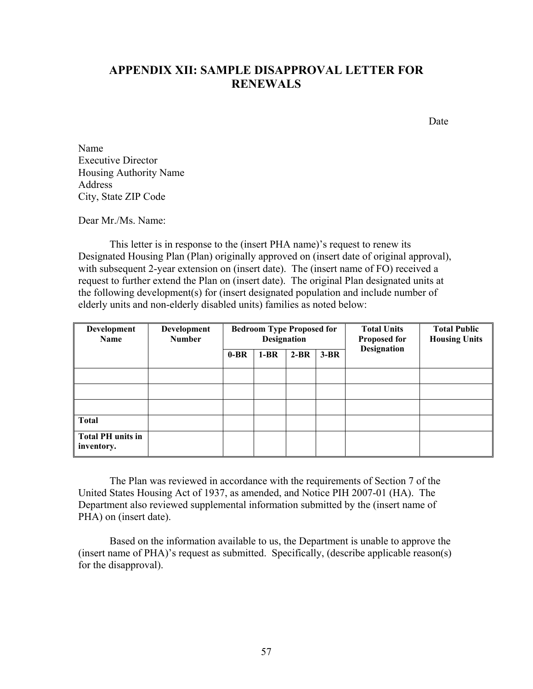# **APPENDIX XII: SAMPLE DISAPPROVAL LETTER FOR RENEWALS**

Date

Name Executive Director Housing Authority Name Address City, State ZIP Code

Dear Mr./Ms. Name:

This letter is in response to the (insert PHA name)'s request to renew its Designated Housing Plan (Plan) originally approved on (insert date of original approval), with subsequent 2-year extension on (insert date). The (insert name of FO) received a request to further extend the Plan on (insert date). The original Plan designated units at the following development(s) for (insert designated population and include number of elderly units and non-elderly disabled units) families as noted below:

| Development<br><b>Name</b>             | Development<br><b>Number</b> | <b>Bedroom Type Proposed for</b><br><b>Designation</b> |        |        |        | <b>Total Units</b><br><b>Proposed for</b> | <b>Total Public</b><br><b>Housing Units</b> |
|----------------------------------------|------------------------------|--------------------------------------------------------|--------|--------|--------|-------------------------------------------|---------------------------------------------|
|                                        |                              | $0-BR$                                                 | $1-BR$ | $2-BR$ | $3-BR$ | <b>Designation</b>                        |                                             |
|                                        |                              |                                                        |        |        |        |                                           |                                             |
|                                        |                              |                                                        |        |        |        |                                           |                                             |
|                                        |                              |                                                        |        |        |        |                                           |                                             |
| <b>Total</b>                           |                              |                                                        |        |        |        |                                           |                                             |
| <b>Total PH</b> units in<br>inventory. |                              |                                                        |        |        |        |                                           |                                             |

The Plan was reviewed in accordance with the requirements of Section 7 of the United States Housing Act of 1937, as amended, and Notice PIH 2007-01 (HA). The Department also reviewed supplemental information submitted by the (insert name of PHA) on (insert date).

Based on the information available to us, the Department is unable to approve the (insert name of PHA)'s request as submitted. Specifically, (describe applicable reason(s) for the disapproval).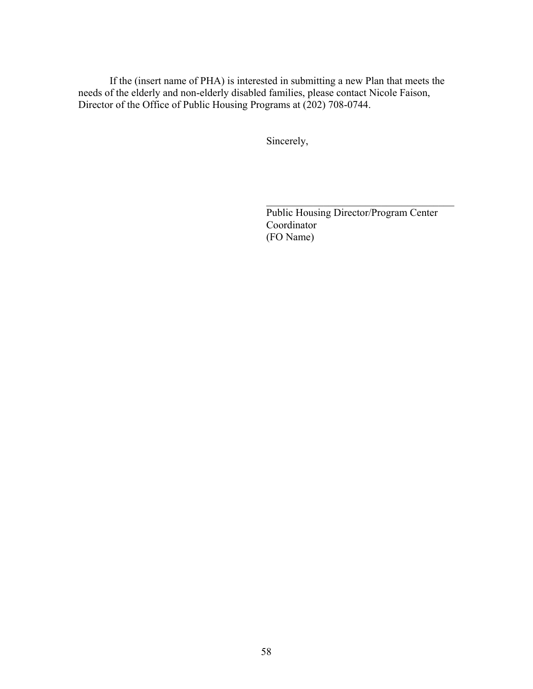If the (insert name of PHA) is interested in submitting a new Plan that meets the needs of the elderly and non-elderly disabled families, please contact Nicole Faison, Director of the Office of Public Housing Programs at (202) 708-0744.

Sincerely,

Public Housing Director/Program Center Coordinator (FO Name)

 $\mathcal{L}_\text{max}$  , where  $\mathcal{L}_\text{max}$  and  $\mathcal{L}_\text{max}$  and  $\mathcal{L}_\text{max}$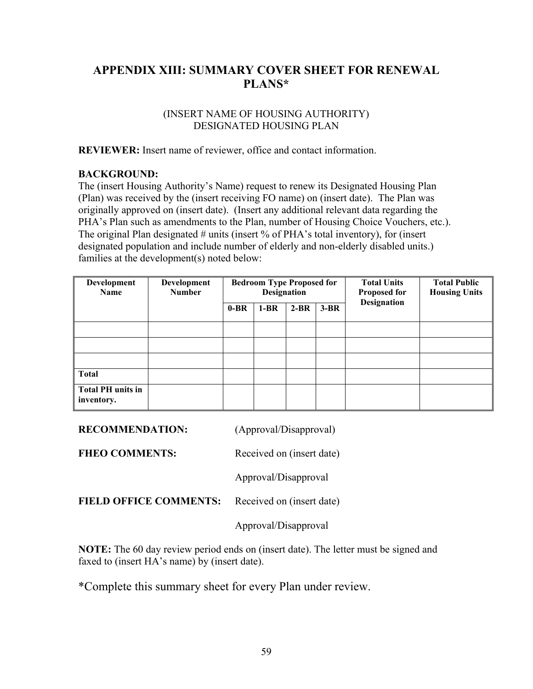# **APPENDIX XIII: SUMMARY COVER SHEET FOR RENEWAL PLANS\***

#### (INSERT NAME OF HOUSING AUTHORITY) DESIGNATED HOUSING PLAN

**REVIEWER:** Insert name of reviewer, office and contact information.

### **BACKGROUND:**

The (insert Housing Authority's Name) request to renew its Designated Housing Plan (Plan) was received by the (insert receiving FO name) on (insert date). The Plan was originally approved on (insert date). (Insert any additional relevant data regarding the PHA's Plan such as amendments to the Plan, number of Housing Choice Vouchers, etc.). The original Plan designated # units (insert % of PHA's total inventory), for (insert designated population and include number of elderly and non-elderly disabled units.) families at the development(s) noted below:

| Development<br><b>Name</b>             | Development<br><b>Number</b> | <b>Bedroom Type Proposed for</b><br><b>Designation</b> |        |        |        | <b>Total Units</b><br><b>Proposed for</b> | <b>Total Public</b><br><b>Housing Units</b> |
|----------------------------------------|------------------------------|--------------------------------------------------------|--------|--------|--------|-------------------------------------------|---------------------------------------------|
|                                        |                              | $0-BR$                                                 | $1-BR$ | $2-BR$ | $3-BR$ | <b>Designation</b>                        |                                             |
|                                        |                              |                                                        |        |        |        |                                           |                                             |
|                                        |                              |                                                        |        |        |        |                                           |                                             |
|                                        |                              |                                                        |        |        |        |                                           |                                             |
| <b>Total</b>                           |                              |                                                        |        |        |        |                                           |                                             |
| <b>Total PH units in</b><br>inventory. |                              |                                                        |        |        |        |                                           |                                             |

| <b>RECOMMENDATION:</b> | (Approval/Disapproval) |
|------------------------|------------------------|
|                        |                        |

FHEO COMMENTS: Received on (insert date)

Approval/Disapproval

**FIELD OFFICE COMMENTS:** Received on (insert date)

Approval/Disapproval

**NOTE:** The 60 day review period ends on (insert date). The letter must be signed and faxed to (insert HA's name) by (insert date).

\*Complete this summary sheet for every Plan under review.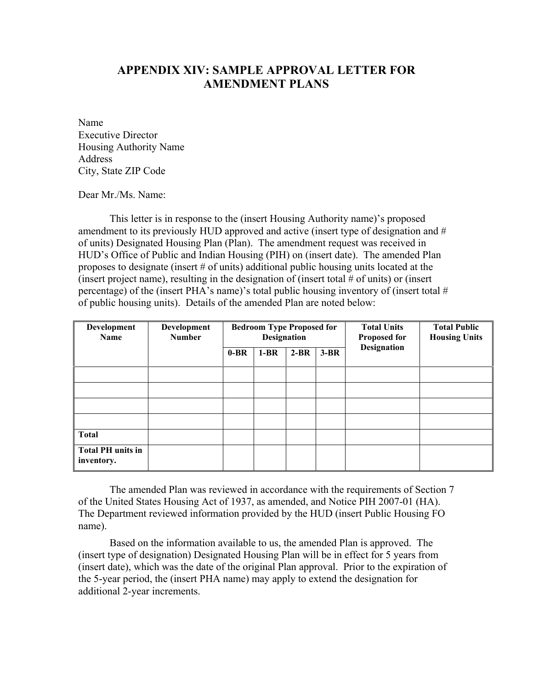# **APPENDIX XIV: SAMPLE APPROVAL LETTER FOR AMENDMENT PLANS**

Name Executive Director Housing Authority Name Address City, State ZIP Code

Dear Mr./Ms. Name:

This letter is in response to the (insert Housing Authority name)'s proposed amendment to its previously HUD approved and active (insert type of designation and # of units) Designated Housing Plan (Plan). The amendment request was received in HUD's Office of Public and Indian Housing (PIH) on (insert date). The amended Plan proposes to designate (insert # of units) additional public housing units located at the (insert project name), resulting in the designation of (insert total  $\#$  of units) or (insert percentage) of the (insert PHA's name)'s total public housing inventory of (insert total # of public housing units). Details of the amended Plan are noted below:

| Development<br><b>Name</b>             | Development<br><b>Number</b> |        | <b>Bedroom Type Proposed for</b><br><b>Designation</b> |        |        | <b>Total Units</b><br><b>Proposed for</b> | <b>Total Public</b><br><b>Housing Units</b> |
|----------------------------------------|------------------------------|--------|--------------------------------------------------------|--------|--------|-------------------------------------------|---------------------------------------------|
|                                        |                              | $0-BR$ | $1-BR$                                                 | $2-BR$ | $3-BR$ | <b>Designation</b>                        |                                             |
|                                        |                              |        |                                                        |        |        |                                           |                                             |
|                                        |                              |        |                                                        |        |        |                                           |                                             |
|                                        |                              |        |                                                        |        |        |                                           |                                             |
|                                        |                              |        |                                                        |        |        |                                           |                                             |
| <b>Total</b>                           |                              |        |                                                        |        |        |                                           |                                             |
| <b>Total PH</b> units in<br>inventory. |                              |        |                                                        |        |        |                                           |                                             |

The amended Plan was reviewed in accordance with the requirements of Section 7 of the United States Housing Act of 1937, as amended, and Notice PIH 2007-01 (HA). The Department reviewed information provided by the HUD (insert Public Housing FO name).

Based on the information available to us, the amended Plan is approved. The (insert type of designation) Designated Housing Plan will be in effect for 5 years from (insert date), which was the date of the original Plan approval. Prior to the expiration of the 5-year period, the (insert PHA name) may apply to extend the designation for additional 2-year increments.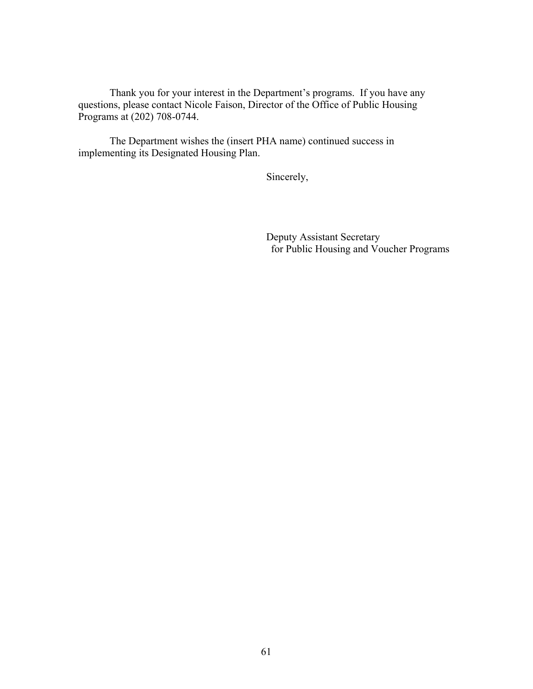Thank you for your interest in the Department's programs. If you have any questions, please contact Nicole Faison, Director of the Office of Public Housing Programs at (202) 708-0744.

The Department wishes the (insert PHA name) continued success in implementing its Designated Housing Plan.

Sincerely,

 Deputy Assistant Secretary for Public Housing and Voucher Programs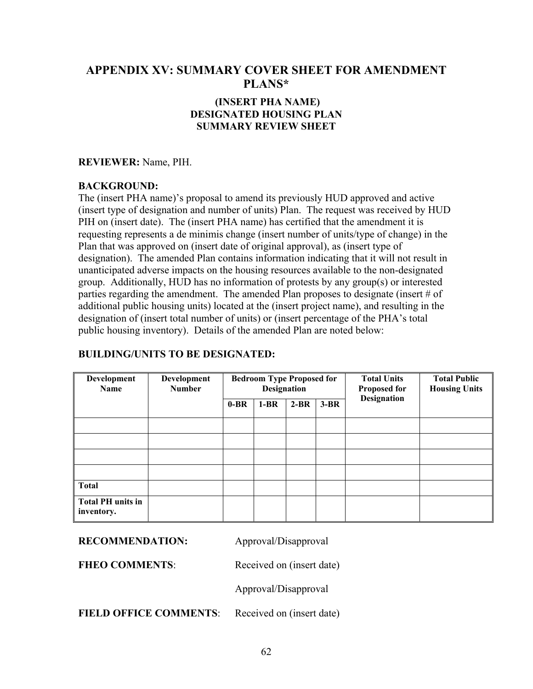### **APPENDIX XV: SUMMARY COVER SHEET FOR AMENDMENT PLANS\***

### **(INSERT PHA NAME) DESIGNATED HOUSING PLAN SUMMARY REVIEW SHEET**

#### **REVIEWER:** Name, PIH.

### **BACKGROUND:**

The (insert PHA name)'s proposal to amend its previously HUD approved and active (insert type of designation and number of units) Plan. The request was received by HUD PIH on (insert date). The (insert PHA name) has certified that the amendment it is requesting represents a de minimis change (insert number of units/type of change) in the Plan that was approved on (insert date of original approval), as (insert type of designation). The amended Plan contains information indicating that it will not result in unanticipated adverse impacts on the housing resources available to the non-designated group. Additionally, HUD has no information of protests by any group(s) or interested parties regarding the amendment. The amended Plan proposes to designate (insert # of additional public housing units) located at the (insert project name), and resulting in the designation of (insert total number of units) or (insert percentage of the PHA's total public housing inventory). Details of the amended Plan are noted below:

### **BUILDING/UNITS TO BE DESIGNATED:**

| Development<br><b>Name</b>             | Development<br><b>Number</b> |        | <b>Bedroom Type Proposed for</b><br><b>Designation</b> |        |        | <b>Total Units</b><br><b>Proposed for</b> | <b>Total Public</b><br><b>Housing Units</b> |
|----------------------------------------|------------------------------|--------|--------------------------------------------------------|--------|--------|-------------------------------------------|---------------------------------------------|
|                                        |                              | $0-BR$ | $1-BR$                                                 | $2-BR$ | $3-BR$ | <b>Designation</b>                        |                                             |
|                                        |                              |        |                                                        |        |        |                                           |                                             |
|                                        |                              |        |                                                        |        |        |                                           |                                             |
|                                        |                              |        |                                                        |        |        |                                           |                                             |
|                                        |                              |        |                                                        |        |        |                                           |                                             |
| <b>Total</b>                           |                              |        |                                                        |        |        |                                           |                                             |
| <b>Total PH units in</b><br>inventory. |                              |        |                                                        |        |        |                                           |                                             |

**RECOMMENDATION:** Approval/Disapproval

FHEO COMMENTS: Received on (insert date)

Approval/Disapproval

FIELD OFFICE COMMENTS: Received on (insert date)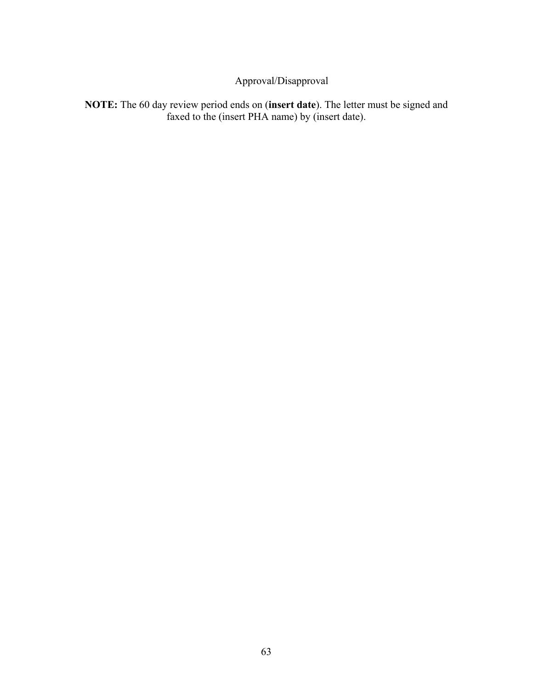# Approval/Disapproval

**NOTE:** The 60 day review period ends on (**insert date**). The letter must be signed and faxed to the (insert PHA name) by (insert date).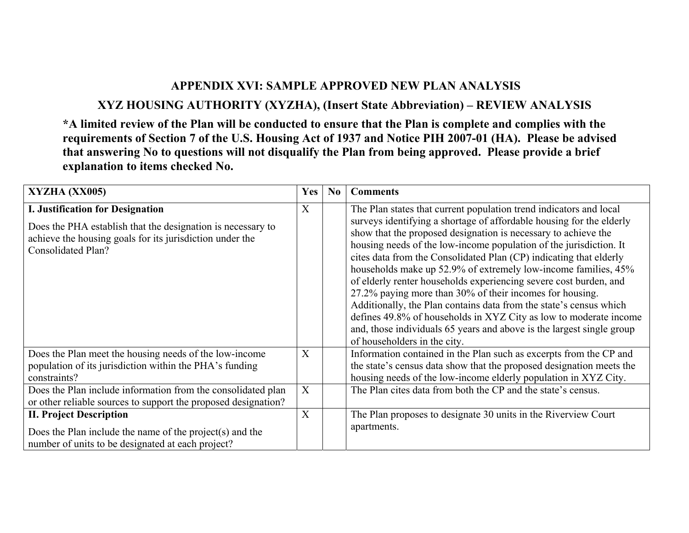# **APPENDIX XVI: SAMPLE APPROVED NEW PLAN ANALYSIS**

**XYZ HOUSING AUTHORITY (XYZHA), (Insert State Abbreviation) – REVIEW ANALYSIS** 

**\*A limited review of the Plan will be conducted to ensure that the Plan is complete and complies with the requirements of Section 7 of the U.S. Housing Act of 1937 and Notice PIH 2007-01 (HA). Please be advised that answering No to questions will not disqualify the Plan from being approved. Please provide a brief explanation to items checked No.** 

| XYZHA (XX005)                                                                                                                                                                            | Yes | N <sub>0</sub> | <b>Comments</b>                                                                                                                                                                                                                                                                                                                                                                                                                                                                                                                                                                                                                                                                                                                                                                                                 |
|------------------------------------------------------------------------------------------------------------------------------------------------------------------------------------------|-----|----------------|-----------------------------------------------------------------------------------------------------------------------------------------------------------------------------------------------------------------------------------------------------------------------------------------------------------------------------------------------------------------------------------------------------------------------------------------------------------------------------------------------------------------------------------------------------------------------------------------------------------------------------------------------------------------------------------------------------------------------------------------------------------------------------------------------------------------|
| I. Justification for Designation<br>Does the PHA establish that the designation is necessary to<br>achieve the housing goals for its jurisdiction under the<br><b>Consolidated Plan?</b> | X   |                | The Plan states that current population trend indicators and local<br>surveys identifying a shortage of affordable housing for the elderly<br>show that the proposed designation is necessary to achieve the<br>housing needs of the low-income population of the jurisdiction. It<br>cites data from the Consolidated Plan (CP) indicating that elderly<br>households make up 52.9% of extremely low-income families, 45%<br>of elderly renter households experiencing severe cost burden, and<br>27.2% paying more than 30% of their incomes for housing.<br>Additionally, the Plan contains data from the state's census which<br>defines 49.8% of households in XYZ City as low to moderate income<br>and, those individuals 65 years and above is the largest single group<br>of householders in the city. |
| Does the Plan meet the housing needs of the low-income<br>population of its jurisdiction within the PHA's funding<br>constraints?                                                        | X   |                | Information contained in the Plan such as excerpts from the CP and<br>the state's census data show that the proposed designation meets the<br>housing needs of the low-income elderly population in XYZ City.                                                                                                                                                                                                                                                                                                                                                                                                                                                                                                                                                                                                   |
| Does the Plan include information from the consolidated plan<br>or other reliable sources to support the proposed designation?                                                           | X   |                | The Plan cites data from both the CP and the state's census.                                                                                                                                                                                                                                                                                                                                                                                                                                                                                                                                                                                                                                                                                                                                                    |
| <b>II. Project Description</b><br>Does the Plan include the name of the project(s) and the<br>number of units to be designated at each project?                                          | X   |                | The Plan proposes to designate 30 units in the Riverview Court<br>apartments.                                                                                                                                                                                                                                                                                                                                                                                                                                                                                                                                                                                                                                                                                                                                   |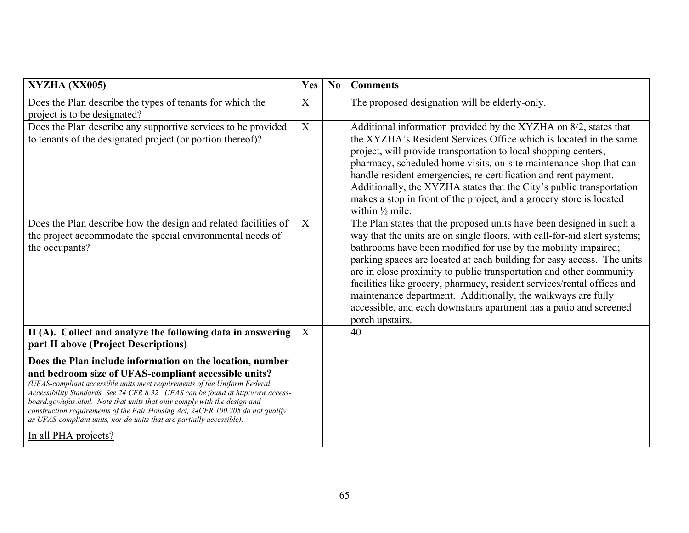| XYZHA (XX005)                                                                                                                                                                                                                                                                                                                                                                                                                                                                                                                                      | Yes              | No | <b>Comments</b>                                                                                                                                                                                                                                                                                                                                                                                                                                                                                                                                                                                          |
|----------------------------------------------------------------------------------------------------------------------------------------------------------------------------------------------------------------------------------------------------------------------------------------------------------------------------------------------------------------------------------------------------------------------------------------------------------------------------------------------------------------------------------------------------|------------------|----|----------------------------------------------------------------------------------------------------------------------------------------------------------------------------------------------------------------------------------------------------------------------------------------------------------------------------------------------------------------------------------------------------------------------------------------------------------------------------------------------------------------------------------------------------------------------------------------------------------|
| Does the Plan describe the types of tenants for which the<br>project is to be designated?                                                                                                                                                                                                                                                                                                                                                                                                                                                          | X                |    | The proposed designation will be elderly-only.                                                                                                                                                                                                                                                                                                                                                                                                                                                                                                                                                           |
| Does the Plan describe any supportive services to be provided<br>to tenants of the designated project (or portion thereof)?                                                                                                                                                                                                                                                                                                                                                                                                                        | $\boldsymbol{X}$ |    | Additional information provided by the XYZHA on 8/2, states that<br>the XYZHA's Resident Services Office which is located in the same<br>project, will provide transportation to local shopping centers,<br>pharmacy, scheduled home visits, on-site maintenance shop that can<br>handle resident emergencies, re-certification and rent payment.<br>Additionally, the XYZHA states that the City's public transportation<br>makes a stop in front of the project, and a grocery store is located<br>within $\frac{1}{2}$ mile.                                                                          |
| Does the Plan describe how the design and related facilities of<br>the project accommodate the special environmental needs of<br>the occupants?                                                                                                                                                                                                                                                                                                                                                                                                    | X                |    | The Plan states that the proposed units have been designed in such a<br>way that the units are on single floors, with call-for-aid alert systems;<br>bathrooms have been modified for use by the mobility impaired;<br>parking spaces are located at each building for easy access. The units<br>are in close proximity to public transportation and other community<br>facilities like grocery, pharmacy, resident services/rental offices and<br>maintenance department. Additionally, the walkways are fully<br>accessible, and each downstairs apartment has a patio and screened<br>porch upstairs. |
| II (A). Collect and analyze the following data in answering<br>part II above (Project Descriptions)                                                                                                                                                                                                                                                                                                                                                                                                                                                | X                |    | 40                                                                                                                                                                                                                                                                                                                                                                                                                                                                                                                                                                                                       |
| Does the Plan include information on the location, number<br>and bedroom size of UFAS-compliant accessible units?<br>(UFAS-compliant accessible units meet requirements of the Uniform Federal<br>Accessibility Standards, See 24 CFR 8.32. UFAS can be found at http:www.access-<br>board.gov/ufas.html. Note that units that only comply with the design and<br>construction requirements of the Fair Housing Act, 24CFR 100.205 do not qualify<br>as UFAS-compliant units, nor do units that are partially accessible):<br>In all PHA projects? |                  |    |                                                                                                                                                                                                                                                                                                                                                                                                                                                                                                                                                                                                          |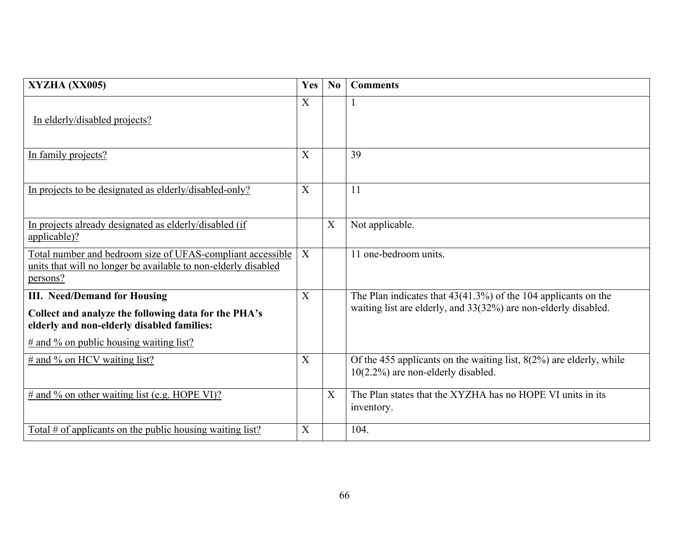| XYZHA (XX005)                                                                                                                                                                           | Yes | No                        | <b>Comments</b>                                                                                                                     |
|-----------------------------------------------------------------------------------------------------------------------------------------------------------------------------------------|-----|---------------------------|-------------------------------------------------------------------------------------------------------------------------------------|
| In elderly/disabled projects?                                                                                                                                                           | X   |                           |                                                                                                                                     |
| In family projects?                                                                                                                                                                     | X   |                           | 39                                                                                                                                  |
| In projects to be designated as elderly/disabled-only?                                                                                                                                  | X   |                           | 11                                                                                                                                  |
| In projects already designated as elderly/disabled (if<br>applicable)?                                                                                                                  |     | $\boldsymbol{\mathrm{X}}$ | Not applicable.                                                                                                                     |
| Total number and bedroom size of UFAS-compliant accessible<br>units that will no longer be available to non-elderly disabled<br>persons?                                                | X   |                           | 11 one-bedroom units.                                                                                                               |
| <b>III.</b> Need/Demand for Housing<br>Collect and analyze the following data for the PHA's<br>elderly and non-elderly disabled families:<br>$\#$ and % on public housing waiting list? | X   |                           | The Plan indicates that $43(41.3%)$ of the 104 applicants on the<br>waiting list are elderly, and 33(32%) are non-elderly disabled. |
| $\#$ and % on HCV waiting list?                                                                                                                                                         | X   |                           | Of the 455 applicants on the waiting list, $8(2\%)$ are elderly, while<br>$10(2.2\%)$ are non-elderly disabled.                     |
| $\#$ and % on other waiting list (e.g. HOPE VI)?                                                                                                                                        |     | X                         | The Plan states that the XYZHA has no HOPE VI units in its<br>inventory.                                                            |
| Total # of applicants on the public housing waiting list?                                                                                                                               | X   |                           | 104.                                                                                                                                |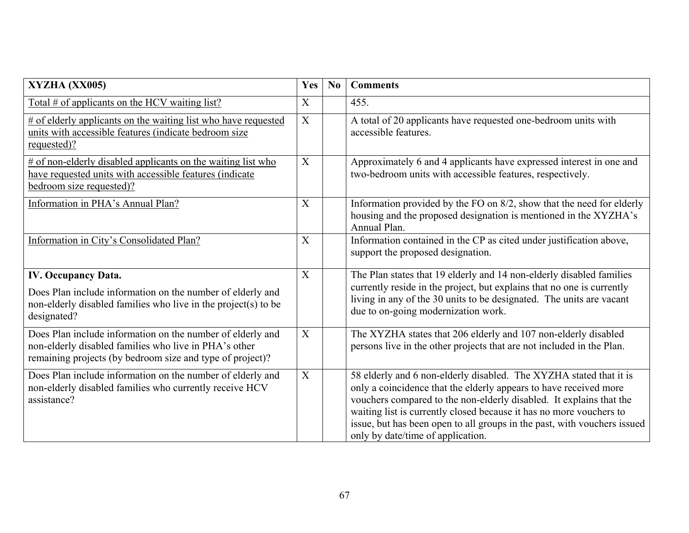| XYZHA (XX005)                                                                                                                                                                    | Yes                       | N <sub>0</sub> | <b>Comments</b>                                                                                                                                                                                                                                                                                                                                                                                        |
|----------------------------------------------------------------------------------------------------------------------------------------------------------------------------------|---------------------------|----------------|--------------------------------------------------------------------------------------------------------------------------------------------------------------------------------------------------------------------------------------------------------------------------------------------------------------------------------------------------------------------------------------------------------|
| Total # of applicants on the HCV waiting list?                                                                                                                                   | X                         |                | 455.                                                                                                                                                                                                                                                                                                                                                                                                   |
| $#$ of elderly applicants on the waiting list who have requested<br>units with accessible features (indicate bedroom size<br>requested)?                                         | $\boldsymbol{\mathrm{X}}$ |                | A total of 20 applicants have requested one-bedroom units with<br>accessible features.                                                                                                                                                                                                                                                                                                                 |
| $#$ of non-elderly disabled applicants on the waiting list who<br>have requested units with accessible features (indicate<br>bedroom size requested)?                            | X                         |                | Approximately 6 and 4 applicants have expressed interest in one and<br>two-bedroom units with accessible features, respectively.                                                                                                                                                                                                                                                                       |
| Information in PHA's Annual Plan?                                                                                                                                                | $\boldsymbol{\mathrm{X}}$ |                | Information provided by the FO on 8/2, show that the need for elderly<br>housing and the proposed designation is mentioned in the XYZHA's<br>Annual Plan.                                                                                                                                                                                                                                              |
| Information in City's Consolidated Plan?                                                                                                                                         | $\boldsymbol{\mathrm{X}}$ |                | Information contained in the CP as cited under justification above,<br>support the proposed designation.                                                                                                                                                                                                                                                                                               |
| <b>IV. Occupancy Data.</b><br>Does Plan include information on the number of elderly and<br>non-elderly disabled families who live in the project(s) to be<br>designated?        | X                         |                | The Plan states that 19 elderly and 14 non-elderly disabled families<br>currently reside in the project, but explains that no one is currently<br>living in any of the 30 units to be designated. The units are vacant<br>due to on-going modernization work.                                                                                                                                          |
| Does Plan include information on the number of elderly and<br>non-elderly disabled families who live in PHA's other<br>remaining projects (by bedroom size and type of project)? | X                         |                | The XYZHA states that 206 elderly and 107 non-elderly disabled<br>persons live in the other projects that are not included in the Plan.                                                                                                                                                                                                                                                                |
| Does Plan include information on the number of elderly and<br>non-elderly disabled families who currently receive HCV<br>assistance?                                             | $\boldsymbol{\mathrm{X}}$ |                | 58 elderly and 6 non-elderly disabled. The XYZHA stated that it is<br>only a coincidence that the elderly appears to have received more<br>vouchers compared to the non-elderly disabled. It explains that the<br>waiting list is currently closed because it has no more vouchers to<br>issue, but has been open to all groups in the past, with vouchers issued<br>only by date/time of application. |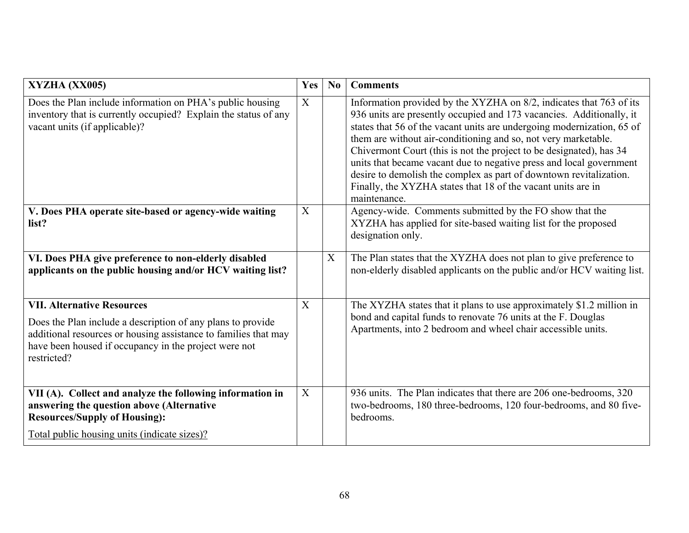| XYZHA (XX005)                                                                                                                                                                                                                               | Yes          | N <sub>0</sub> | <b>Comments</b>                                                                                                                                                                                                                                                                                                                                                                                                                                                                                                                                                                             |
|---------------------------------------------------------------------------------------------------------------------------------------------------------------------------------------------------------------------------------------------|--------------|----------------|---------------------------------------------------------------------------------------------------------------------------------------------------------------------------------------------------------------------------------------------------------------------------------------------------------------------------------------------------------------------------------------------------------------------------------------------------------------------------------------------------------------------------------------------------------------------------------------------|
| Does the Plan include information on PHA's public housing<br>inventory that is currently occupied? Explain the status of any<br>vacant units (if applicable)?                                                                               | $\mathbf{X}$ |                | Information provided by the XYZHA on 8/2, indicates that 763 of its<br>936 units are presently occupied and 173 vacancies. Additionally, it<br>states that 56 of the vacant units are undergoing modernization, 65 of<br>them are without air-conditioning and so, not very marketable.<br>Chivermont Court (this is not the project to be designated), has 34<br>units that became vacant due to negative press and local government<br>desire to demolish the complex as part of downtown revitalization.<br>Finally, the XYZHA states that 18 of the vacant units are in<br>maintenance. |
| V. Does PHA operate site-based or agency-wide waiting<br>list?                                                                                                                                                                              | X            |                | Agency-wide. Comments submitted by the FO show that the<br>XYZHA has applied for site-based waiting list for the proposed<br>designation only.                                                                                                                                                                                                                                                                                                                                                                                                                                              |
| VI. Does PHA give preference to non-elderly disabled<br>applicants on the public housing and/or HCV waiting list?                                                                                                                           |              | X              | The Plan states that the XYZHA does not plan to give preference to<br>non-elderly disabled applicants on the public and/or HCV waiting list.                                                                                                                                                                                                                                                                                                                                                                                                                                                |
| <b>VII. Alternative Resources</b><br>Does the Plan include a description of any plans to provide<br>additional resources or housing assistance to families that may<br>have been housed if occupancy in the project were not<br>restricted? | X            |                | The XYZHA states that it plans to use approximately \$1.2 million in<br>bond and capital funds to renovate 76 units at the F. Douglas<br>Apartments, into 2 bedroom and wheel chair accessible units.                                                                                                                                                                                                                                                                                                                                                                                       |
| VII (A). Collect and analyze the following information in<br>answering the question above (Alternative<br><b>Resources/Supply of Housing):</b><br>Total public housing units (indicate sizes)?                                              | X            |                | 936 units. The Plan indicates that there are 206 one-bedrooms, 320<br>two-bedrooms, 180 three-bedrooms, 120 four-bedrooms, and 80 five-<br>bedrooms.                                                                                                                                                                                                                                                                                                                                                                                                                                        |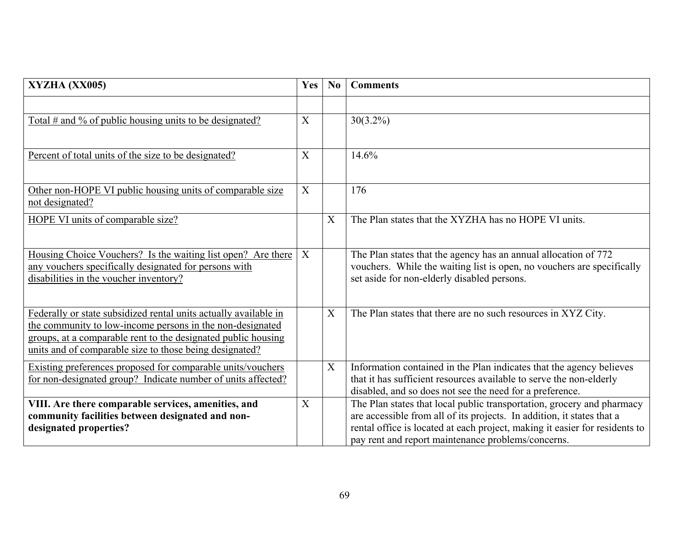| XYZHA (XX005)                                                                                                                                                                                                                                             | Yes | N <sub>0</sub> | <b>Comments</b>                                                                                                                                                                                                                                                                       |
|-----------------------------------------------------------------------------------------------------------------------------------------------------------------------------------------------------------------------------------------------------------|-----|----------------|---------------------------------------------------------------------------------------------------------------------------------------------------------------------------------------------------------------------------------------------------------------------------------------|
|                                                                                                                                                                                                                                                           | X   |                |                                                                                                                                                                                                                                                                                       |
| Total # and % of public housing units to be designated?                                                                                                                                                                                                   |     |                | $30(3.2\%)$                                                                                                                                                                                                                                                                           |
| Percent of total units of the size to be designated?                                                                                                                                                                                                      | X   |                | 14.6%                                                                                                                                                                                                                                                                                 |
| Other non-HOPE VI public housing units of comparable size<br>not designated?                                                                                                                                                                              | X   |                | 176                                                                                                                                                                                                                                                                                   |
| HOPE VI units of comparable size?                                                                                                                                                                                                                         |     | X              | The Plan states that the XYZHA has no HOPE VI units.                                                                                                                                                                                                                                  |
| Housing Choice Vouchers? Is the waiting list open? Are there<br>any vouchers specifically designated for persons with<br>disabilities in the voucher inventory?                                                                                           | X   |                | The Plan states that the agency has an annual allocation of 772<br>vouchers. While the waiting list is open, no vouchers are specifically<br>set aside for non-elderly disabled persons.                                                                                              |
| Federally or state subsidized rental units actually available in<br>the community to low-income persons in the non-designated<br>groups, at a comparable rent to the designated public housing<br>units and of comparable size to those being designated? |     | X              | The Plan states that there are no such resources in XYZ City.                                                                                                                                                                                                                         |
| <b>Existing preferences proposed for comparable units/vouchers</b><br>for non-designated group? Indicate number of units affected?                                                                                                                        |     | X              | Information contained in the Plan indicates that the agency believes<br>that it has sufficient resources available to serve the non-elderly<br>disabled, and so does not see the need for a preference.                                                                               |
| VIII. Are there comparable services, amenities, and<br>community facilities between designated and non-<br>designated properties?                                                                                                                         | X   |                | The Plan states that local public transportation, grocery and pharmacy<br>are accessible from all of its projects. In addition, it states that a<br>rental office is located at each project, making it easier for residents to<br>pay rent and report maintenance problems/concerns. |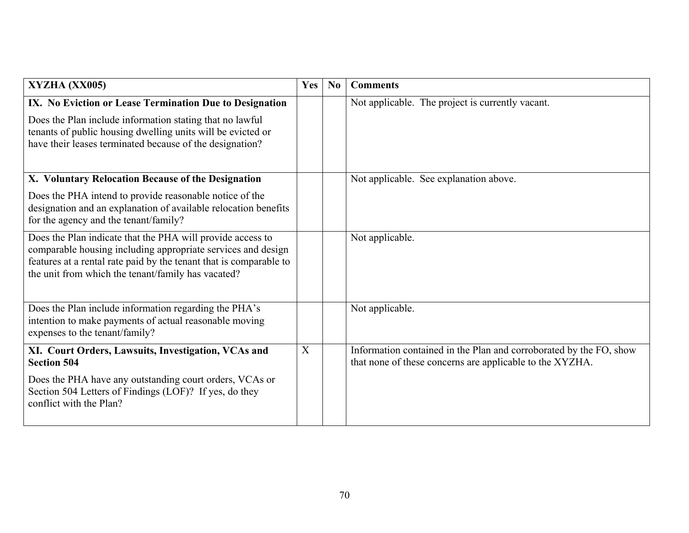| <b>XYZHA (XX005)</b>                                                                                                                                                                                                                                   | Yes | No | <b>Comments</b>                                                                                                                |
|--------------------------------------------------------------------------------------------------------------------------------------------------------------------------------------------------------------------------------------------------------|-----|----|--------------------------------------------------------------------------------------------------------------------------------|
| IX. No Eviction or Lease Termination Due to Designation                                                                                                                                                                                                |     |    | Not applicable. The project is currently vacant.                                                                               |
| Does the Plan include information stating that no lawful<br>tenants of public housing dwelling units will be evicted or<br>have their leases terminated because of the designation?                                                                    |     |    |                                                                                                                                |
| X. Voluntary Relocation Because of the Designation                                                                                                                                                                                                     |     |    | Not applicable. See explanation above.                                                                                         |
| Does the PHA intend to provide reasonable notice of the<br>designation and an explanation of available relocation benefits<br>for the agency and the tenant/family?                                                                                    |     |    |                                                                                                                                |
| Does the Plan indicate that the PHA will provide access to<br>comparable housing including appropriate services and design<br>features at a rental rate paid by the tenant that is comparable to<br>the unit from which the tenant/family has vacated? |     |    | Not applicable.                                                                                                                |
| Does the Plan include information regarding the PHA's<br>intention to make payments of actual reasonable moving<br>expenses to the tenant/family?                                                                                                      |     |    | Not applicable.                                                                                                                |
| XI. Court Orders, Lawsuits, Investigation, VCAs and<br><b>Section 504</b>                                                                                                                                                                              | X   |    | Information contained in the Plan and corroborated by the FO, show<br>that none of these concerns are applicable to the XYZHA. |
| Does the PHA have any outstanding court orders, VCAs or<br>Section 504 Letters of Findings (LOF)? If yes, do they<br>conflict with the Plan?                                                                                                           |     |    |                                                                                                                                |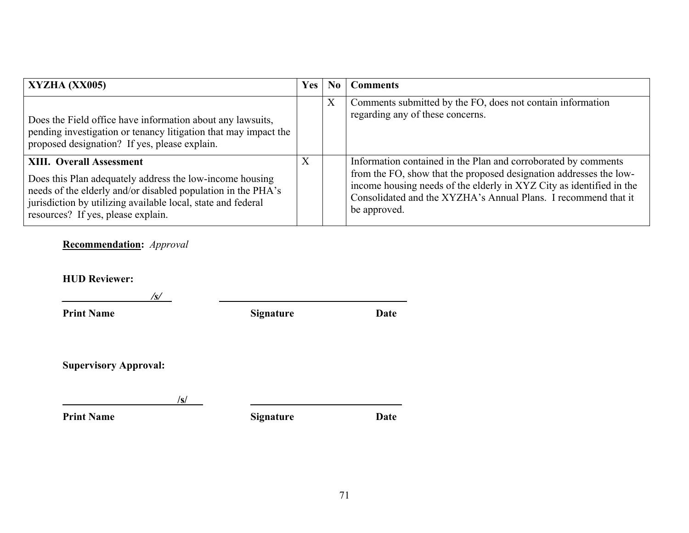| XYZHA (XX005)                                                                                                                                                                                                                                                     | <b>Yes</b> | No | <b>Comments</b>                                                                                                                                                                                                                                                                                |
|-------------------------------------------------------------------------------------------------------------------------------------------------------------------------------------------------------------------------------------------------------------------|------------|----|------------------------------------------------------------------------------------------------------------------------------------------------------------------------------------------------------------------------------------------------------------------------------------------------|
| Does the Field office have information about any lawsuits,<br>pending investigation or tenancy litigation that may impact the<br>proposed designation? If yes, please explain.                                                                                    |            | X  | Comments submitted by the FO, does not contain information<br>regarding any of these concerns.                                                                                                                                                                                                 |
| <b>XIII. Overall Assessment</b><br>Does this Plan adequately address the low-income housing<br>needs of the elderly and/or disabled population in the PHA's<br>jurisdiction by utilizing available local, state and federal<br>resources? If yes, please explain. | X          |    | Information contained in the Plan and corroborated by comments<br>from the FO, show that the proposed designation addresses the low-<br>income housing needs of the elderly in XYZ City as identified in the<br>Consolidated and the XYZHA's Annual Plans. I recommend that it<br>be approved. |

# **Recommendation:** *Approval*

**HUD Reviewer:** 

| /s/                          |                  |             |
|------------------------------|------------------|-------------|
| <b>Print Name</b>            | <b>Signature</b> | <b>Date</b> |
| <b>Supervisory Approval:</b> |                  |             |
| /s/                          |                  |             |
| <b>Print Name</b>            | <b>Signature</b> | <b>Date</b> |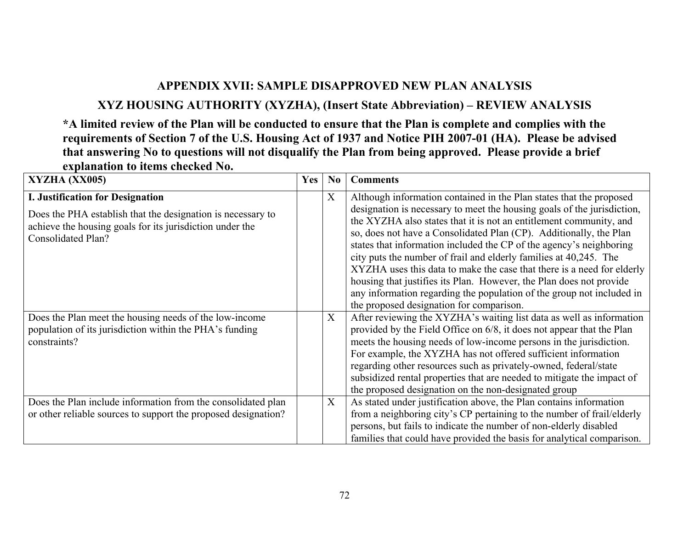# **APPENDIX XVII: SAMPLE DISAPPROVED NEW PLAN ANALYSIS**

# **XYZ HOUSING AUTHORITY (XYZHA), (Insert State Abbreviation) – REVIEW ANALYSIS**

**\*A limited review of the Plan will be conducted to ensure that the Plan is complete and complies with the requirements of Section 7 of the U.S. Housing Act of 1937 and Notice PIH 2007-01 (HA). Please be advised that answering No to questions will not disqualify the Plan from being approved. Please provide a brief explanation to items checked No.** 

| XYZHA (XX005)                                                                                                                                                                                   | Yes | N <sub>0</sub> | <b>Comments</b>                                                                                                                                                                                                                                                                                                                                                                                                                                                                                                                                                                                                                                                                                              |
|-------------------------------------------------------------------------------------------------------------------------------------------------------------------------------------------------|-----|----------------|--------------------------------------------------------------------------------------------------------------------------------------------------------------------------------------------------------------------------------------------------------------------------------------------------------------------------------------------------------------------------------------------------------------------------------------------------------------------------------------------------------------------------------------------------------------------------------------------------------------------------------------------------------------------------------------------------------------|
| <b>I. Justification for Designation</b><br>Does the PHA establish that the designation is necessary to<br>achieve the housing goals for its jurisdiction under the<br><b>Consolidated Plan?</b> |     | X              | Although information contained in the Plan states that the proposed<br>designation is necessary to meet the housing goals of the jurisdiction,<br>the XYZHA also states that it is not an entitlement community, and<br>so, does not have a Consolidated Plan (CP). Additionally, the Plan<br>states that information included the CP of the agency's neighboring<br>city puts the number of frail and elderly families at 40,245. The<br>XYZHA uses this data to make the case that there is a need for elderly<br>housing that justifies its Plan. However, the Plan does not provide<br>any information regarding the population of the group not included in<br>the proposed designation for comparison. |
| Does the Plan meet the housing needs of the low-income<br>population of its jurisdiction within the PHA's funding<br>constraints?                                                               |     | X              | After reviewing the XYZHA's waiting list data as well as information<br>provided by the Field Office on 6/8, it does not appear that the Plan<br>meets the housing needs of low-income persons in the jurisdiction.<br>For example, the XYZHA has not offered sufficient information<br>regarding other resources such as privately-owned, federal/state<br>subsidized rental properties that are needed to mitigate the impact of<br>the proposed designation on the non-designated group                                                                                                                                                                                                                   |
| Does the Plan include information from the consolidated plan<br>or other reliable sources to support the proposed designation?                                                                  |     | X              | As stated under justification above, the Plan contains information<br>from a neighboring city's CP pertaining to the number of frail/elderly<br>persons, but fails to indicate the number of non-elderly disabled<br>families that could have provided the basis for analytical comparison.                                                                                                                                                                                                                                                                                                                                                                                                                  |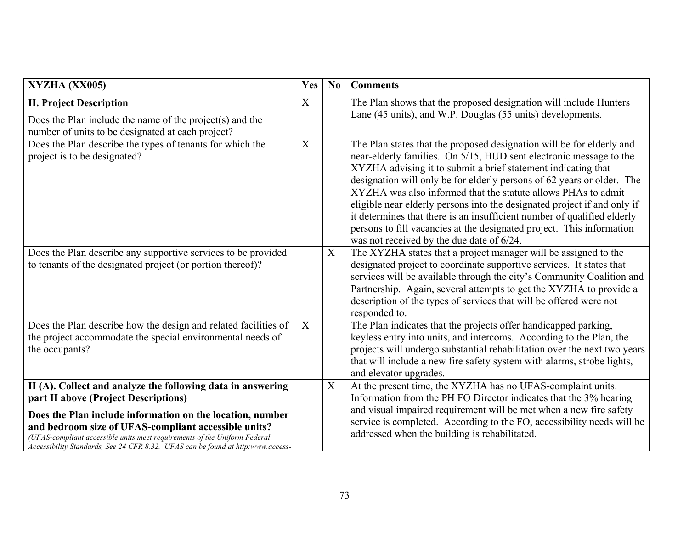| XYZHA (XX005)                                                                                                                                                                                                                                                                                                                                                                            | Yes | N <sub>0</sub> | <b>Comments</b>                                                                                                                                                                                                                                                                                                                                                                                                                                                                                                                                                                                                                      |
|------------------------------------------------------------------------------------------------------------------------------------------------------------------------------------------------------------------------------------------------------------------------------------------------------------------------------------------------------------------------------------------|-----|----------------|--------------------------------------------------------------------------------------------------------------------------------------------------------------------------------------------------------------------------------------------------------------------------------------------------------------------------------------------------------------------------------------------------------------------------------------------------------------------------------------------------------------------------------------------------------------------------------------------------------------------------------------|
| <b>II. Project Description</b><br>Does the Plan include the name of the project(s) and the<br>number of units to be designated at each project?                                                                                                                                                                                                                                          | X   |                | The Plan shows that the proposed designation will include Hunters<br>Lane (45 units), and W.P. Douglas (55 units) developments.                                                                                                                                                                                                                                                                                                                                                                                                                                                                                                      |
| Does the Plan describe the types of tenants for which the<br>project is to be designated?                                                                                                                                                                                                                                                                                                | X   |                | The Plan states that the proposed designation will be for elderly and<br>near-elderly families. On 5/15, HUD sent electronic message to the<br>XYZHA advising it to submit a brief statement indicating that<br>designation will only be for elderly persons of 62 years or older. The<br>XYZHA was also informed that the statute allows PHAs to admit<br>eligible near elderly persons into the designated project if and only if<br>it determines that there is an insufficient number of qualified elderly<br>persons to fill vacancies at the designated project. This information<br>was not received by the due date of 6/24. |
| Does the Plan describe any supportive services to be provided<br>to tenants of the designated project (or portion thereof)?                                                                                                                                                                                                                                                              |     | $\mathbf X$    | The XYZHA states that a project manager will be assigned to the<br>designated project to coordinate supportive services. It states that<br>services will be available through the city's Community Coalition and<br>Partnership. Again, several attempts to get the XYZHA to provide a<br>description of the types of services that will be offered were not<br>responded to.                                                                                                                                                                                                                                                        |
| Does the Plan describe how the design and related facilities of<br>the project accommodate the special environmental needs of<br>the occupants?                                                                                                                                                                                                                                          | X   |                | The Plan indicates that the projects offer handicapped parking,<br>keyless entry into units, and intercoms. According to the Plan, the<br>projects will undergo substantial rehabilitation over the next two years<br>that will include a new fire safety system with alarms, strobe lights,<br>and elevator upgrades.                                                                                                                                                                                                                                                                                                               |
| II (A). Collect and analyze the following data in answering<br>part II above (Project Descriptions)<br>Does the Plan include information on the location, number<br>and bedroom size of UFAS-compliant accessible units?<br>(UFAS-compliant accessible units meet requirements of the Uniform Federal<br>Accessibility Standards, See 24 CFR 8.32. UFAS can be found at http:www.access- |     | X              | At the present time, the XYZHA has no UFAS-complaint units.<br>Information from the PH FO Director indicates that the 3% hearing<br>and visual impaired requirement will be met when a new fire safety<br>service is completed. According to the FO, accessibility needs will be<br>addressed when the building is rehabilitated.                                                                                                                                                                                                                                                                                                    |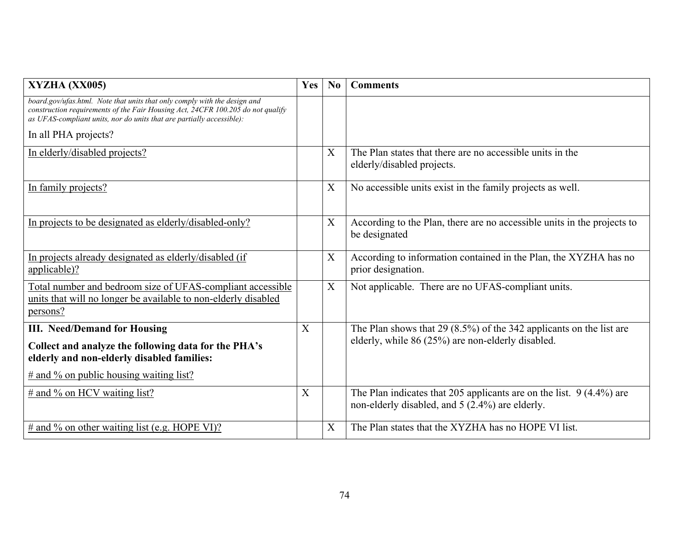| XYZHA (XX005)                                                                                                                                                                                                                         | Yes | N <sub>0</sub>            | <b>Comments</b>                                                                                                           |
|---------------------------------------------------------------------------------------------------------------------------------------------------------------------------------------------------------------------------------------|-----|---------------------------|---------------------------------------------------------------------------------------------------------------------------|
| board.gov/ufas.html. Note that units that only comply with the design and<br>construction requirements of the Fair Housing Act, 24CFR 100.205 do not qualify<br>as UFAS-compliant units, nor do units that are partially accessible): |     |                           |                                                                                                                           |
| In all PHA projects?                                                                                                                                                                                                                  |     |                           |                                                                                                                           |
| In elderly/disabled projects?                                                                                                                                                                                                         |     | $\overline{X}$            | The Plan states that there are no accessible units in the<br>elderly/disabled projects.                                   |
| In family projects?                                                                                                                                                                                                                   |     | $\boldsymbol{\mathrm{X}}$ | No accessible units exist in the family projects as well.                                                                 |
| In projects to be designated as elderly/disabled-only?                                                                                                                                                                                |     | X                         | According to the Plan, there are no accessible units in the projects to<br>be designated                                  |
| In projects already designated as elderly/disabled (if<br>applicable)?                                                                                                                                                                |     | $\boldsymbol{\mathrm{X}}$ | According to information contained in the Plan, the XYZHA has no<br>prior designation.                                    |
| Total number and bedroom size of UFAS-compliant accessible<br>units that will no longer be available to non-elderly disabled<br>persons?                                                                                              |     | X                         | Not applicable. There are no UFAS-compliant units.                                                                        |
| <b>III.</b> Need/Demand for Housing                                                                                                                                                                                                   | X   |                           | The Plan shows that $29(8.5\%)$ of the 342 applicants on the list are                                                     |
| Collect and analyze the following data for the PHA's<br>elderly and non-elderly disabled families:                                                                                                                                    |     |                           | elderly, while 86 (25%) are non-elderly disabled.                                                                         |
| $\#$ and % on public housing waiting list?                                                                                                                                                                                            |     |                           |                                                                                                                           |
| $\#$ and % on HCV waiting list?                                                                                                                                                                                                       | X   |                           | The Plan indicates that 205 applicants are on the list. $9(4.4\%)$ are<br>non-elderly disabled, and 5 (2.4%) are elderly. |
| $\#$ and % on other waiting list (e.g. HOPE VI)?                                                                                                                                                                                      |     | X                         | The Plan states that the XYZHA has no HOPE VI list.                                                                       |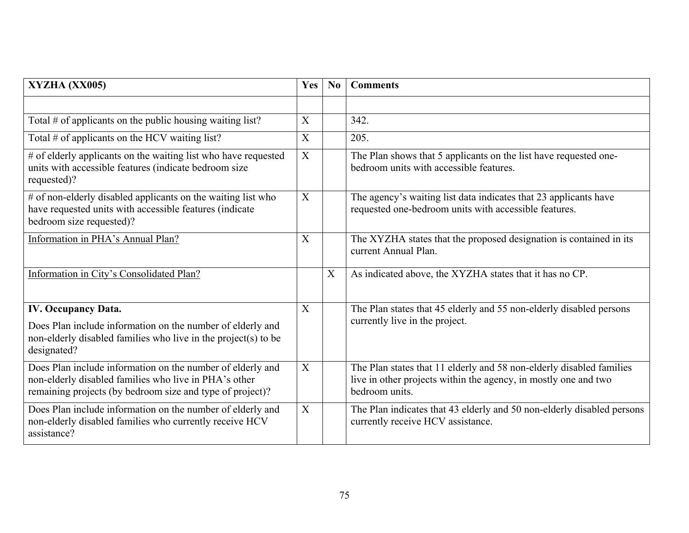| XYZHA (XX005)                                                                                                                                                                    | Yes          | No | <b>Comments</b>                                                                                                                                           |
|----------------------------------------------------------------------------------------------------------------------------------------------------------------------------------|--------------|----|-----------------------------------------------------------------------------------------------------------------------------------------------------------|
|                                                                                                                                                                                  |              |    |                                                                                                                                                           |
| Total $#$ of applicants on the public housing waiting list?                                                                                                                      | X            |    | 342.                                                                                                                                                      |
| Total # of applicants on the HCV waiting list?                                                                                                                                   | X            |    | 205.                                                                                                                                                      |
| # of elderly applicants on the waiting list who have requested<br>units with accessible features (indicate bedroom size<br>requested)?                                           | X            |    | The Plan shows that 5 applicants on the list have requested one-<br>bedroom units with accessible features.                                               |
| # of non-elderly disabled applicants on the waiting list who<br>have requested units with accessible features (indicate<br>bedroom size requested)?                              | X            |    | The agency's waiting list data indicates that 23 applicants have<br>requested one-bedroom units with accessible features.                                 |
| Information in PHA's Annual Plan?                                                                                                                                                | X            |    | The XYZHA states that the proposed designation is contained in its<br>current Annual Plan.                                                                |
| Information in City's Consolidated Plan?                                                                                                                                         |              | X  | As indicated above, the XYZHA states that it has no CP.                                                                                                   |
| <b>IV. Occupancy Data.</b><br>Does Plan include information on the number of elderly and<br>non-elderly disabled families who live in the project(s) to be<br>designated?        | X            |    | The Plan states that 45 elderly and 55 non-elderly disabled persons<br>currently live in the project.                                                     |
| Does Plan include information on the number of elderly and<br>non-elderly disabled families who live in PHA's other<br>remaining projects (by bedroom size and type of project)? | X            |    | The Plan states that 11 elderly and 58 non-elderly disabled families<br>live in other projects within the agency, in mostly one and two<br>bedroom units. |
| Does Plan include information on the number of elderly and<br>non-elderly disabled families who currently receive HCV<br>assistance?                                             | $\mathbf{X}$ |    | The Plan indicates that 43 elderly and 50 non-elderly disabled persons<br>currently receive HCV assistance.                                               |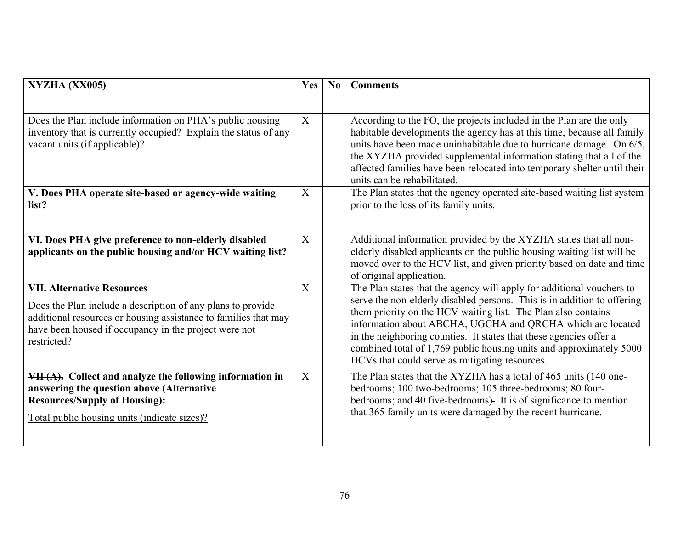| XYZHA (XX005)                                                                                                                                                                                                                                                                                                                                                    | Yes                   | No | <b>Comments</b>                                                                                                                                                                                                                                                                                                                                                                                                                                                                                                                                                                                                                                                                                                                    |
|------------------------------------------------------------------------------------------------------------------------------------------------------------------------------------------------------------------------------------------------------------------------------------------------------------------------------------------------------------------|-----------------------|----|------------------------------------------------------------------------------------------------------------------------------------------------------------------------------------------------------------------------------------------------------------------------------------------------------------------------------------------------------------------------------------------------------------------------------------------------------------------------------------------------------------------------------------------------------------------------------------------------------------------------------------------------------------------------------------------------------------------------------------|
| Does the Plan include information on PHA's public housing<br>inventory that is currently occupied? Explain the status of any<br>vacant units (if applicable)?<br>V. Does PHA operate site-based or agency-wide waiting<br>list?                                                                                                                                  | X<br>X                |    | According to the FO, the projects included in the Plan are the only<br>habitable developments the agency has at this time, because all family<br>units have been made uninhabitable due to hurricane damage. On 6/5,<br>the XYZHA provided supplemental information stating that all of the<br>affected families have been relocated into temporary shelter until their<br>units can be rehabilitated.<br>The Plan states that the agency operated site-based waiting list system<br>prior to the loss of its family units.                                                                                                                                                                                                        |
| VI. Does PHA give preference to non-elderly disabled<br>applicants on the public housing and/or HCV waiting list?<br><b>VII. Alternative Resources</b><br>Does the Plan include a description of any plans to provide<br>additional resources or housing assistance to families that may<br>have been housed if occupancy in the project were not<br>restricted? | $\boldsymbol{X}$<br>X |    | Additional information provided by the XYZHA states that all non-<br>elderly disabled applicants on the public housing waiting list will be<br>moved over to the HCV list, and given priority based on date and time<br>of original application.<br>The Plan states that the agency will apply for additional vouchers to<br>serve the non-elderly disabled persons. This is in addition to offering<br>them priority on the HCV waiting list. The Plan also contains<br>information about ABCHA, UGCHA and QRCHA which are located<br>in the neighboring counties. It states that these agencies offer a<br>combined total of 1,769 public housing units and approximately 5000<br>HCVs that could serve as mitigating resources. |
| VII (A). Collect and analyze the following information in<br>answering the question above (Alternative<br><b>Resources/Supply of Housing):</b><br><u>Total public housing units (indicate sizes)?</u>                                                                                                                                                            | X                     |    | The Plan states that the XYZHA has a total of 465 units (140 one-<br>bedrooms; 100 two-bedrooms; 105 three-bedrooms; 80 four-<br>bedrooms; and 40 five-bedrooms). It is of significance to mention<br>that 365 family units were damaged by the recent hurricane.                                                                                                                                                                                                                                                                                                                                                                                                                                                                  |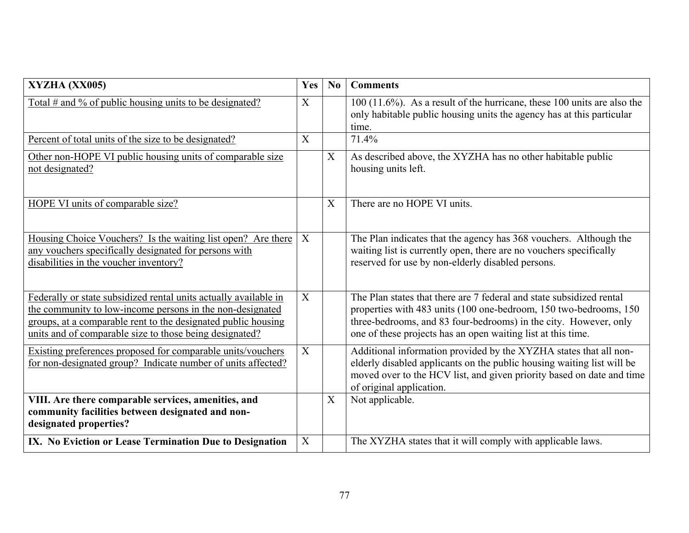| XYZHA (XX005)                                                                                                                                                                                                                                             | Yes | No | <b>Comments</b>                                                                                                                                                                                                                                                               |
|-----------------------------------------------------------------------------------------------------------------------------------------------------------------------------------------------------------------------------------------------------------|-----|----|-------------------------------------------------------------------------------------------------------------------------------------------------------------------------------------------------------------------------------------------------------------------------------|
| Total # and % of public housing units to be designated?                                                                                                                                                                                                   | X   |    | $100(11.6\%)$ . As a result of the hurricane, these 100 units are also the<br>only habitable public housing units the agency has at this particular<br>time.                                                                                                                  |
| Percent of total units of the size to be designated?                                                                                                                                                                                                      | X   |    | 71.4%                                                                                                                                                                                                                                                                         |
| Other non-HOPE VI public housing units of comparable size<br>not designated?                                                                                                                                                                              |     | X  | As described above, the XYZHA has no other habitable public<br>housing units left.                                                                                                                                                                                            |
| HOPE VI units of comparable size?                                                                                                                                                                                                                         |     | X  | There are no HOPE VI units.                                                                                                                                                                                                                                                   |
| Housing Choice Vouchers? Is the waiting list open? Are there<br>any vouchers specifically designated for persons with<br>disabilities in the voucher inventory?                                                                                           | X   |    | The Plan indicates that the agency has 368 vouchers. Although the<br>waiting list is currently open, there are no vouchers specifically<br>reserved for use by non-elderly disabled persons.                                                                                  |
| Federally or state subsidized rental units actually available in<br>the community to low-income persons in the non-designated<br>groups, at a comparable rent to the designated public housing<br>units and of comparable size to those being designated? | X   |    | The Plan states that there are 7 federal and state subsidized rental<br>properties with 483 units (100 one-bedroom, 150 two-bedrooms, 150<br>three-bedrooms, and 83 four-bedrooms) in the city. However, only<br>one of these projects has an open waiting list at this time. |
| Existing preferences proposed for comparable units/vouchers<br>for non-designated group? Indicate number of units affected?                                                                                                                               | X   |    | Additional information provided by the XYZHA states that all non-<br>elderly disabled applicants on the public housing waiting list will be<br>moved over to the HCV list, and given priority based on date and time<br>of original application.                              |
| VIII. Are there comparable services, amenities, and<br>community facilities between designated and non-<br>designated properties?                                                                                                                         |     | X  | Not applicable.                                                                                                                                                                                                                                                               |
| IX. No Eviction or Lease Termination Due to Designation                                                                                                                                                                                                   | X   |    | The XYZHA states that it will comply with applicable laws.                                                                                                                                                                                                                    |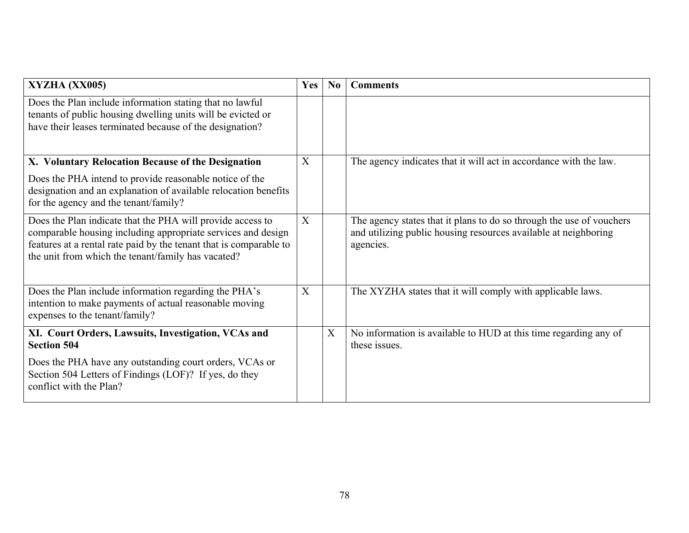| XYZHA (XX005)                                                                                                                                                                                                                                          | Yes            | No          | <b>Comments</b>                                                                                                                                      |
|--------------------------------------------------------------------------------------------------------------------------------------------------------------------------------------------------------------------------------------------------------|----------------|-------------|------------------------------------------------------------------------------------------------------------------------------------------------------|
| Does the Plan include information stating that no lawful<br>tenants of public housing dwelling units will be evicted or<br>have their leases terminated because of the designation?                                                                    |                |             |                                                                                                                                                      |
| X. Voluntary Relocation Because of the Designation                                                                                                                                                                                                     | X              |             | The agency indicates that it will act in accordance with the law.                                                                                    |
| Does the PHA intend to provide reasonable notice of the<br>designation and an explanation of available relocation benefits<br>for the agency and the tenant/family?                                                                                    |                |             |                                                                                                                                                      |
| Does the Plan indicate that the PHA will provide access to<br>comparable housing including appropriate services and design<br>features at a rental rate paid by the tenant that is comparable to<br>the unit from which the tenant/family has vacated? | $\overline{X}$ |             | The agency states that it plans to do so through the use of vouchers<br>and utilizing public housing resources available at neighboring<br>agencies. |
| Does the Plan include information regarding the PHA's<br>intention to make payments of actual reasonable moving<br>expenses to the tenant/family?                                                                                                      | X              |             | The XYZHA states that it will comply with applicable laws.                                                                                           |
| XI. Court Orders, Lawsuits, Investigation, VCAs and<br><b>Section 504</b>                                                                                                                                                                              |                | $\mathbf X$ | No information is available to HUD at this time regarding any of<br>these issues.                                                                    |
| Does the PHA have any outstanding court orders, VCAs or<br>Section 504 Letters of Findings (LOF)? If yes, do they<br>conflict with the Plan?                                                                                                           |                |             |                                                                                                                                                      |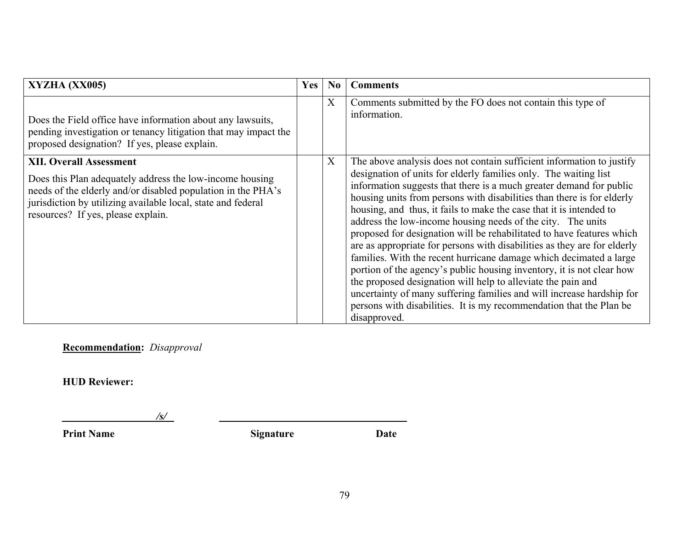| XYZHA (XX005)                                                                                                                                                                                                                                                    | <b>Yes</b> | N <sub>0</sub> | <b>Comments</b>                                                                                                                                                                                                                                                                                                                                                                                                                                                                                                                                                                                                                                                                                                                                                                                                                                                                                                                                                      |
|------------------------------------------------------------------------------------------------------------------------------------------------------------------------------------------------------------------------------------------------------------------|------------|----------------|----------------------------------------------------------------------------------------------------------------------------------------------------------------------------------------------------------------------------------------------------------------------------------------------------------------------------------------------------------------------------------------------------------------------------------------------------------------------------------------------------------------------------------------------------------------------------------------------------------------------------------------------------------------------------------------------------------------------------------------------------------------------------------------------------------------------------------------------------------------------------------------------------------------------------------------------------------------------|
| Does the Field office have information about any lawsuits,<br>pending investigation or tenancy litigation that may impact the<br>proposed designation? If yes, please explain.                                                                                   |            | X              | Comments submitted by the FO does not contain this type of<br>information.                                                                                                                                                                                                                                                                                                                                                                                                                                                                                                                                                                                                                                                                                                                                                                                                                                                                                           |
| <b>XII. Overall Assessment</b><br>Does this Plan adequately address the low-income housing<br>needs of the elderly and/or disabled population in the PHA's<br>jurisdiction by utilizing available local, state and federal<br>resources? If yes, please explain. |            | X              | The above analysis does not contain sufficient information to justify<br>designation of units for elderly families only. The waiting list<br>information suggests that there is a much greater demand for public<br>housing units from persons with disabilities than there is for elderly<br>housing, and thus, it fails to make the case that it is intended to<br>address the low-income housing needs of the city. The units<br>proposed for designation will be rehabilitated to have features which<br>are as appropriate for persons with disabilities as they are for elderly<br>families. With the recent hurricane damage which decimated a large<br>portion of the agency's public housing inventory, it is not clear how<br>the proposed designation will help to alleviate the pain and<br>uncertainty of many suffering families and will increase hardship for<br>persons with disabilities. It is my recommendation that the Plan be<br>disapproved. |

**Recommendation:** *Disapproval*

**HUD Reviewer:** 

*\_\_\_\_\_\_\_\_\_\_\_\_\_\_\_\_\_\_/s/ \_\_\_\_\_\_\_\_\_\_\_\_*

**Print Name Signature Date**